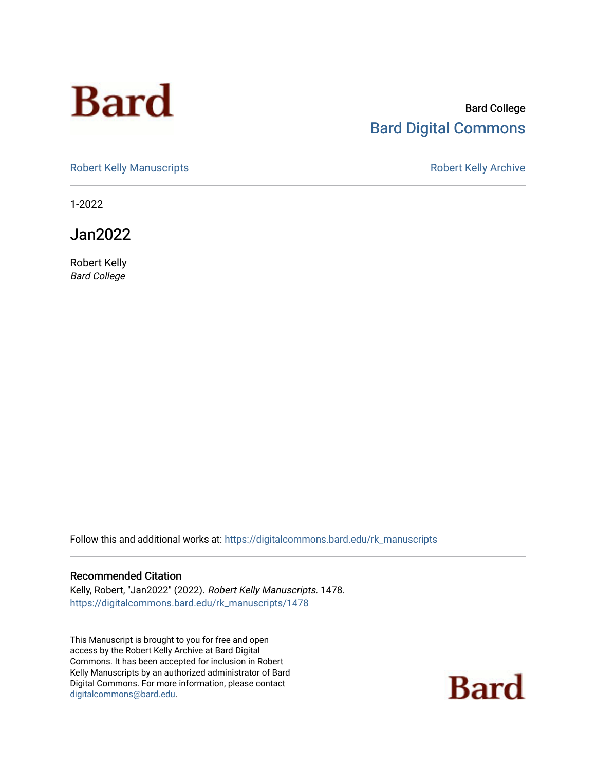# **Bard**

#### Bard College [Bard Digital Commons](https://digitalcommons.bard.edu/)

[Robert Kelly Manuscripts](https://digitalcommons.bard.edu/rk_manuscripts) **Robert Kelly Archive** 

1-2022

Jan2022

Robert Kelly Bard College

Follow this and additional works at: [https://digitalcommons.bard.edu/rk\\_manuscripts](https://digitalcommons.bard.edu/rk_manuscripts?utm_source=digitalcommons.bard.edu%2Frk_manuscripts%2F1478&utm_medium=PDF&utm_campaign=PDFCoverPages) 

#### Recommended Citation

Kelly, Robert, "Jan2022" (2022). Robert Kelly Manuscripts. 1478. [https://digitalcommons.bard.edu/rk\\_manuscripts/1478](https://digitalcommons.bard.edu/rk_manuscripts/1478?utm_source=digitalcommons.bard.edu%2Frk_manuscripts%2F1478&utm_medium=PDF&utm_campaign=PDFCoverPages)

This Manuscript is brought to you for free and open access by the Robert Kelly Archive at Bard Digital Commons. It has been accepted for inclusion in Robert Kelly Manuscripts by an authorized administrator of Bard Digital Commons. For more information, please contact [digitalcommons@bard.edu](mailto:digitalcommons@bard.edu).

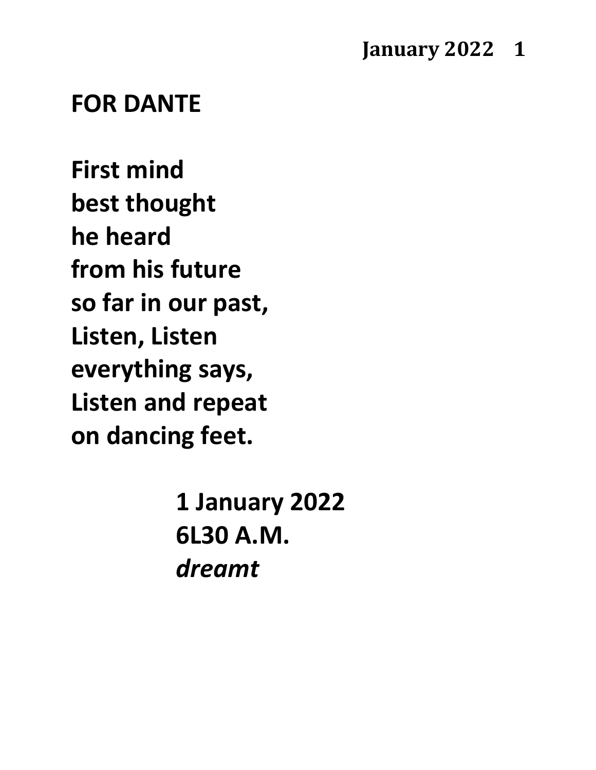#### **January 2022 1**

#### **FOR DANTE**

**First mind best thought he heard from his future so far in our past, Listen, Listen everything says, Listen and repeat on dancing feet.**

> **1 January 2022 6L30 A.M.** *dreamt*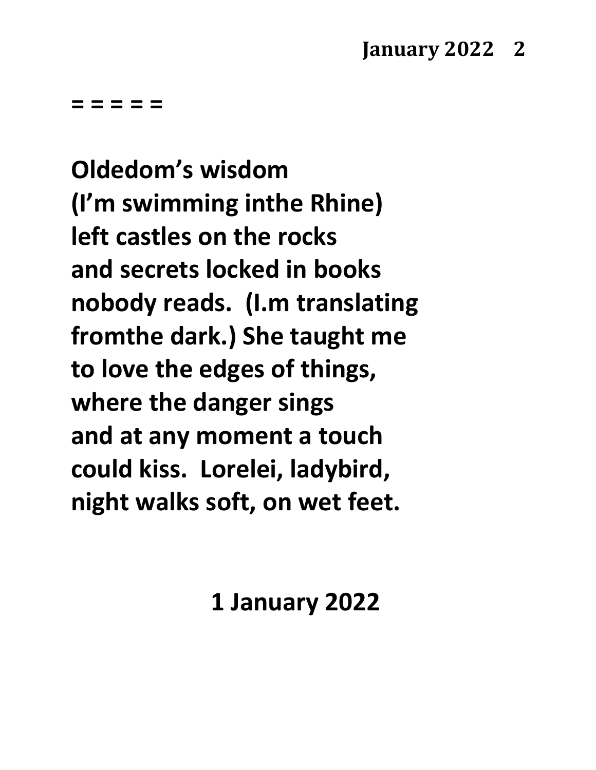**Oldedom's wisdom (I'm swimming inthe Rhine) left castles on the rocks and secrets locked in books nobody reads. (I.m translating fromthe dark.) She taught me to love the edges of things, where the danger sings and at any moment a touch could kiss. Lorelei, ladybird, night walks soft, on wet feet.**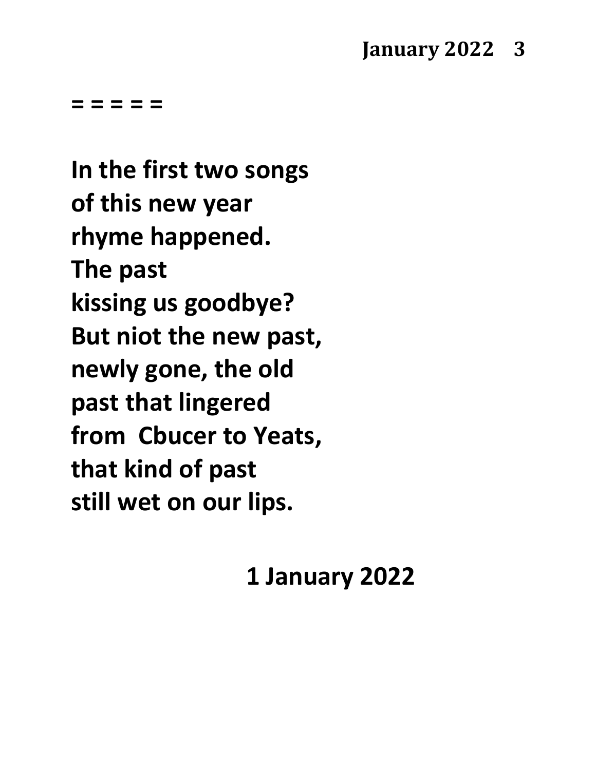**In the first two songs of this new year rhyme happened. The past kissing us goodbye? But niot the new past, newly gone, the old past that lingered from Cbucer to Yeats, that kind of past still wet on our lips.**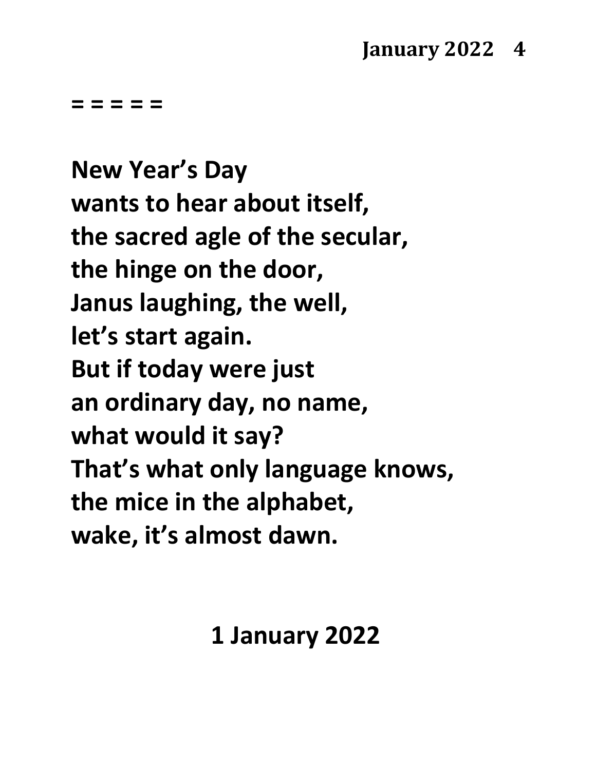**New Year's Day wants to hear about itself, the sacred agle of the secular, the hinge on the door, Janus laughing, the well, let's start again. But if today were just an ordinary day, no name, what would it say? That's what only language knows, the mice in the alphabet, wake, it's almost dawn.**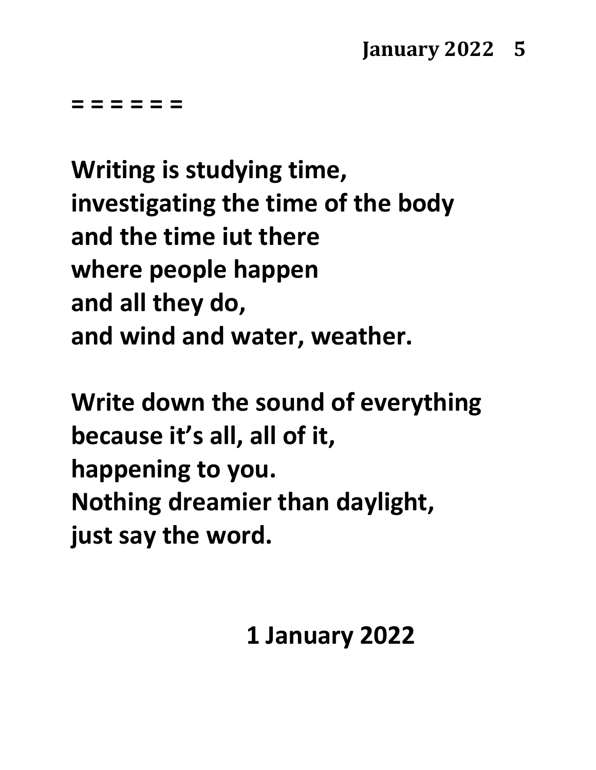**= = = = = =**

**Writing is studying time, investigating the time of the body and the time iut there where people happen and all they do, and wind and water, weather.**

**Write down the sound of everything because it's all, all of it, happening to you. Nothing dreamier than daylight, just say the word.**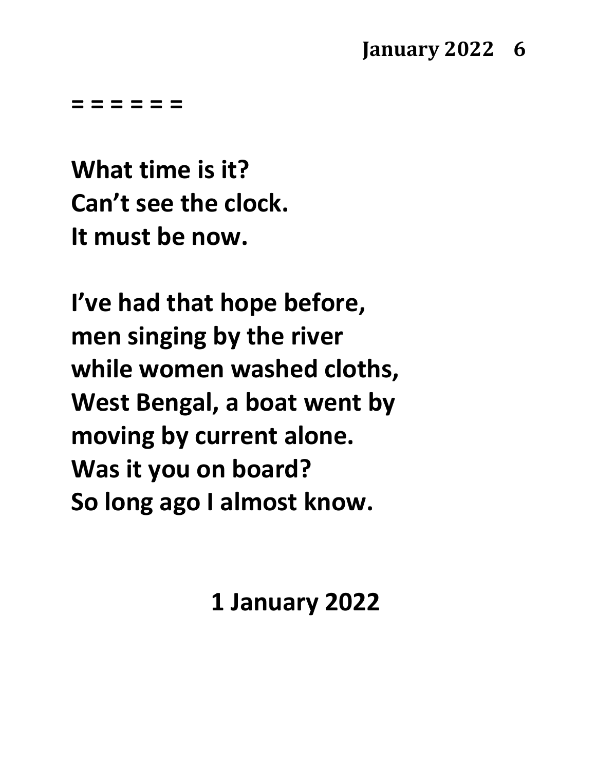#### **January 2022 6**

**= = = = = =**

**What time is it? Can't see the clock. It must be now.**

**I've had that hope before, men singing by the river while women washed cloths, West Bengal, a boat went by moving by current alone. Was it you on board? So long ago I almost know.**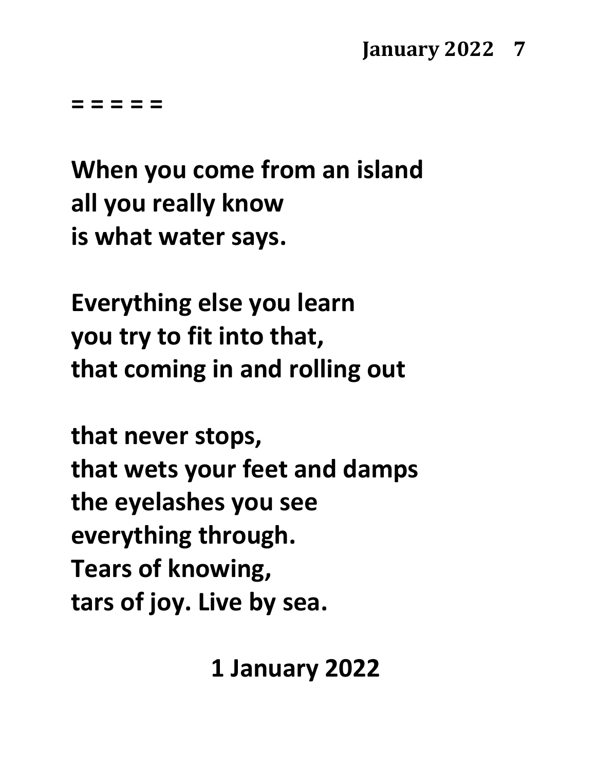#### **January 2022 7**

**= = = = =**

**When you come from an island all you really know is what water says.**

**Everything else you learn you try to fit into that, that coming in and rolling out**

**that never stops, that wets your feet and damps the eyelashes you see everything through. Tears of knowing, tars of joy. Live by sea.**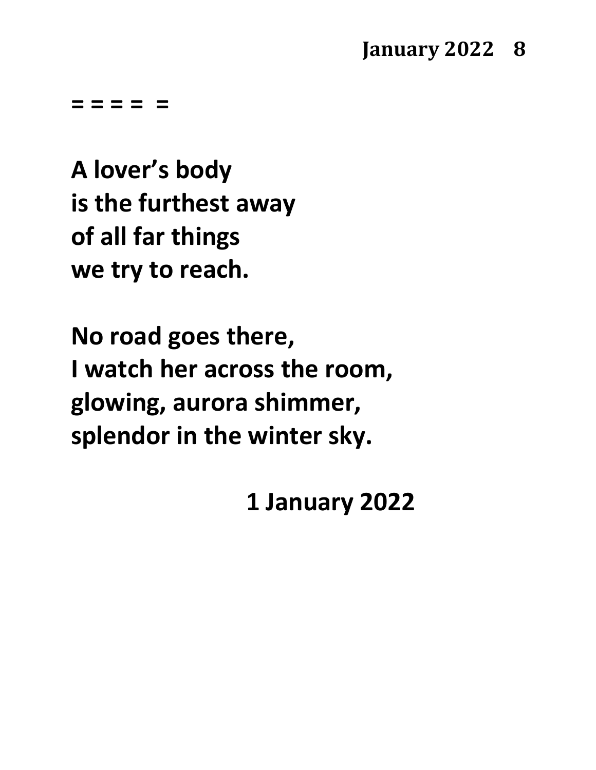**A lover's body is the furthest away of all far things we try to reach.**

**No road goes there, I watch her across the room, glowing, aurora shimmer, splendor in the winter sky.**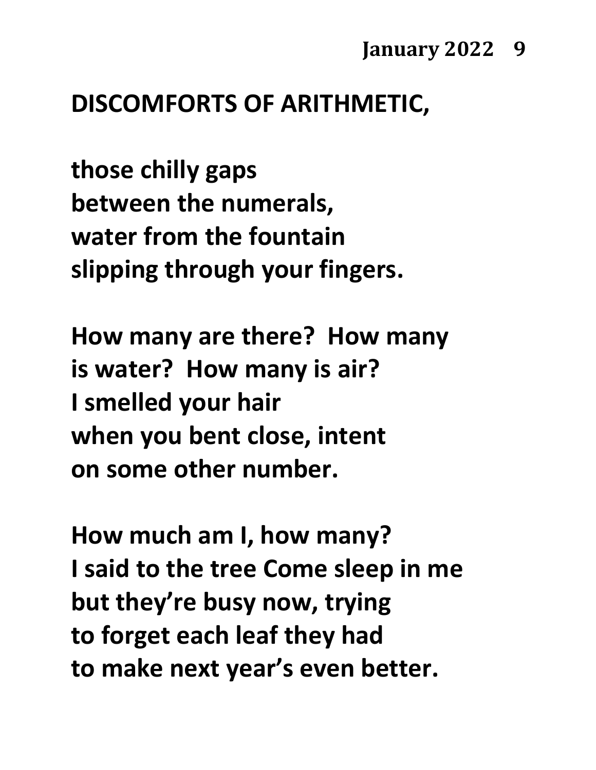## **DISCOMFORTS OF ARITHMETIC,**

**those chilly gaps between the numerals, water from the fountain slipping through your fingers.**

**How many are there? How many is water? How many is air? I smelled your hair when you bent close, intent on some other number.**

**How much am I, how many? I said to the tree Come sleep in me but they're busy now, trying to forget each leaf they had to make next year's even better.**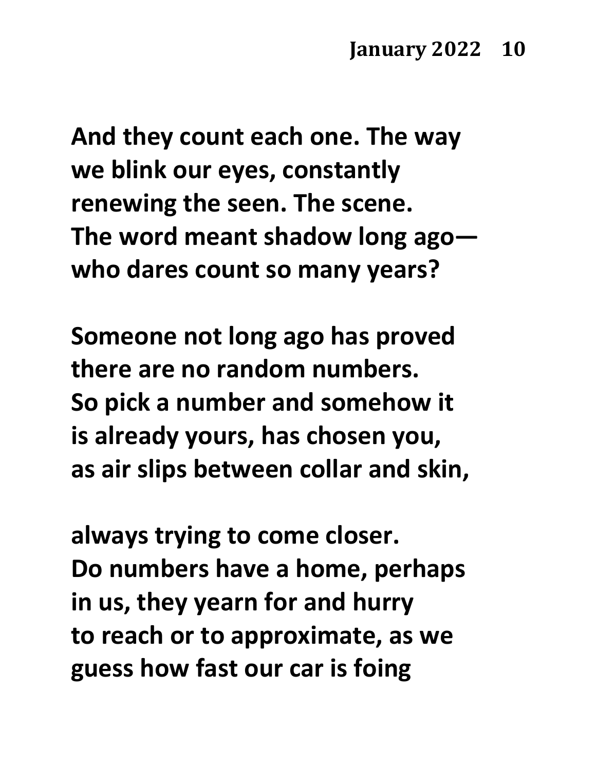**And they count each one. The way we blink our eyes, constantly renewing the seen. The scene. The word meant shadow long ago who dares count so many years?**

**Someone not long ago has proved there are no random numbers. So pick a number and somehow it is already yours, has chosen you, as air slips between collar and skin,**

**always trying to come closer. Do numbers have a home, perhaps in us, they yearn for and hurry to reach or to approximate, as we guess how fast our car is foing**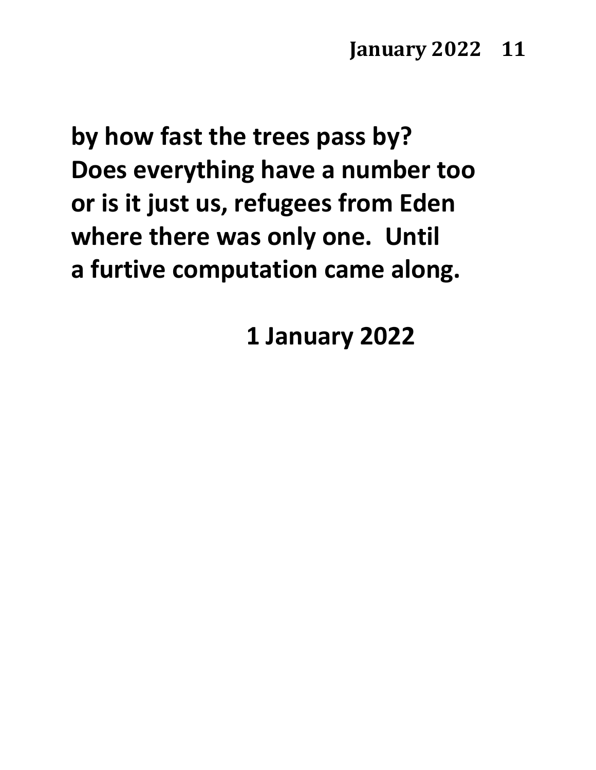**by how fast the trees pass by? Does everything have a number too or is it just us, refugees from Eden where there was only one. Until a furtive computation came along.**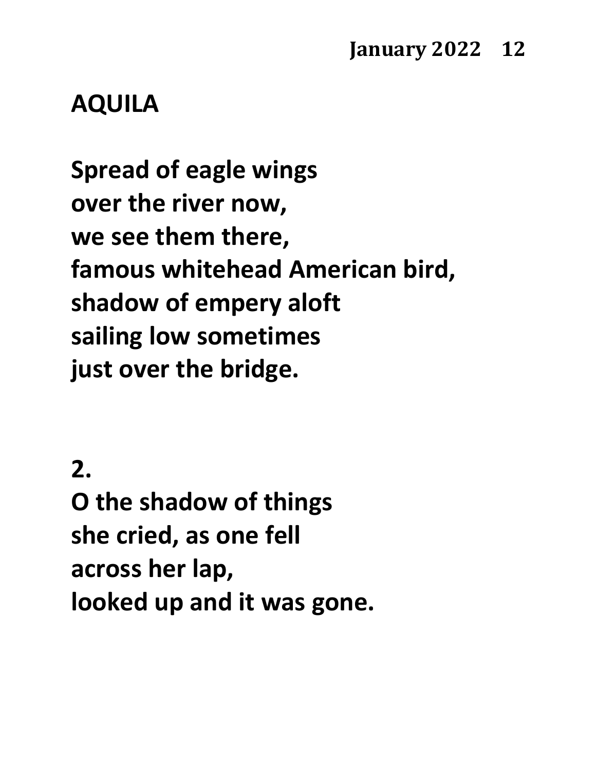#### **AQUILA**

**Spread of eagle wings over the river now, we see them there, famous whitehead American bird, shadow of empery aloft sailing low sometimes just over the bridge.**

#### **2.**

**O the shadow of things she cried, as one fell across her lap, looked up and it was gone.**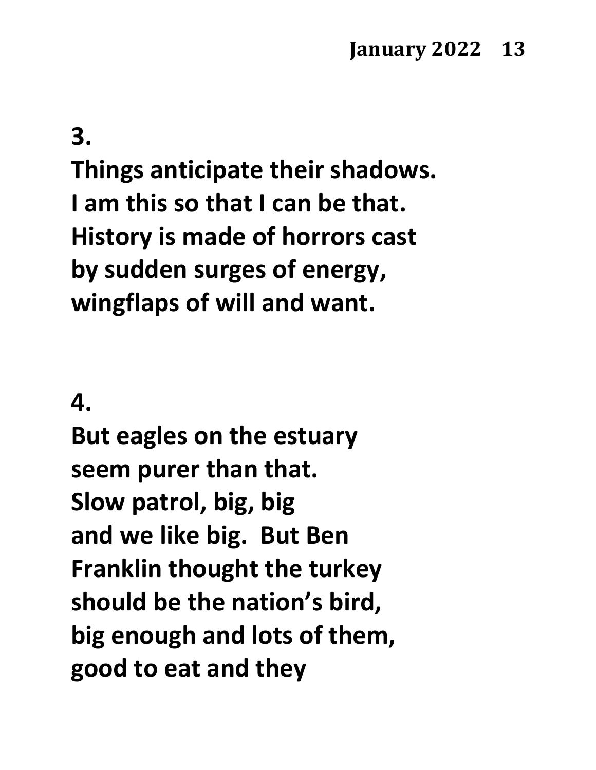#### **3.**

**Things anticipate their shadows. I am this so that I can be that. History is made of horrors cast by sudden surges of energy, wingflaps of will and want.**

#### **4.**

**But eagles on the estuary seem purer than that. Slow patrol, big, big and we like big. But Ben Franklin thought the turkey should be the nation's bird, big enough and lots of them, good to eat and they**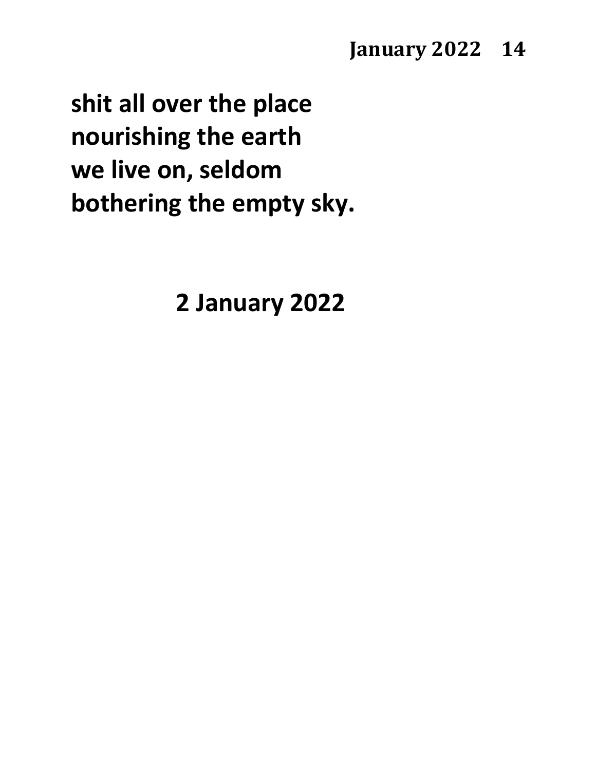#### **January 2022 14**

**shit all over the place nourishing the earth we live on, seldom bothering the empty sky.**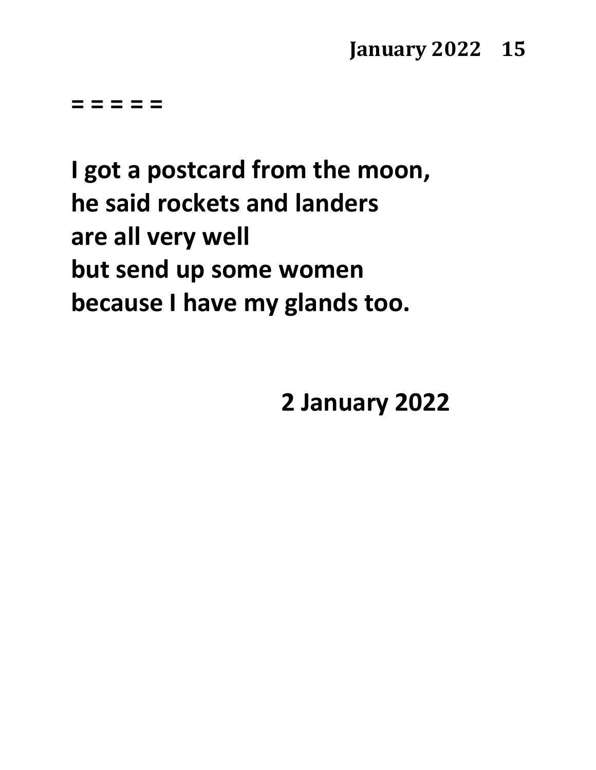#### **January 2022 15**

**= = = = =**

**I got a postcard from the moon, he said rockets and landers are all very well but send up some women because I have my glands too.**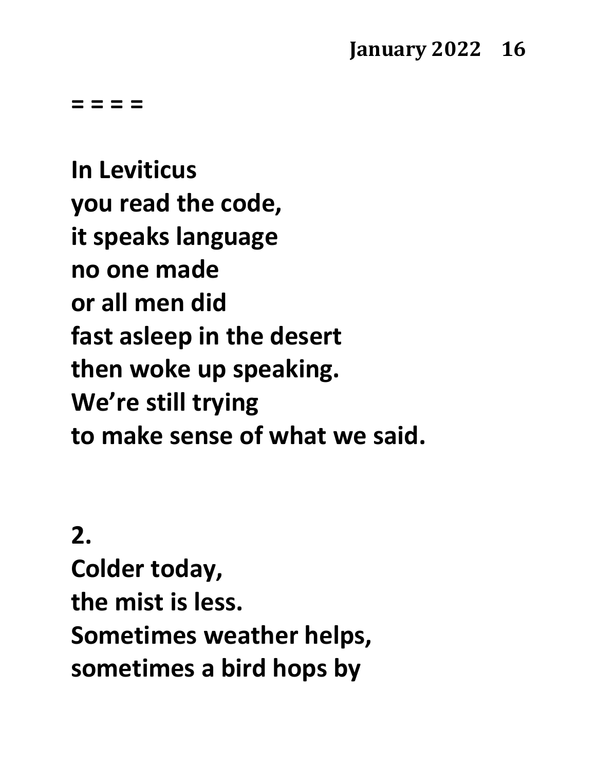**= = = =**

**In Leviticus you read the code, it speaks language no one made or all men did fast asleep in the desert then woke up speaking. We're still trying to make sense of what we said.** 

#### **2.**

**Colder today, the mist is less. Sometimes weather helps, sometimes a bird hops by**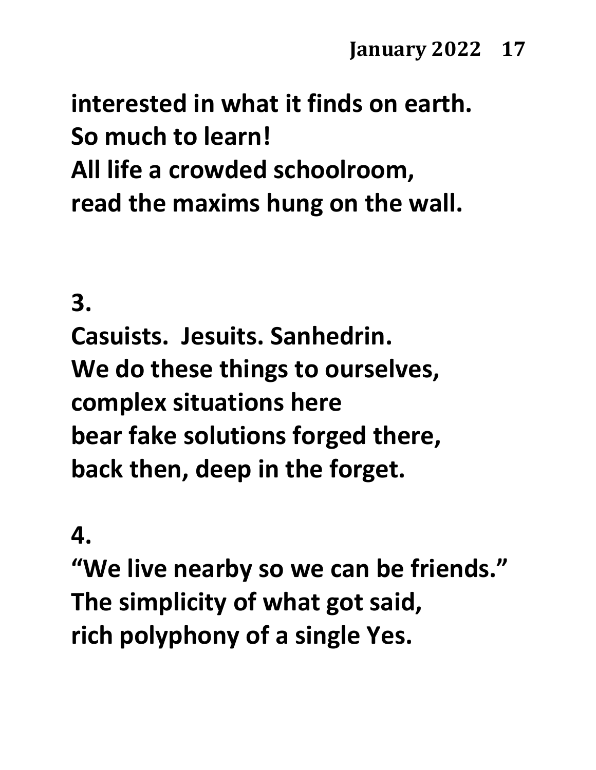# **interested in what it finds on earth. So much to learn! All life a crowded schoolroom, read the maxims hung on the wall.**

#### **3.**

**Casuists. Jesuits. Sanhedrin. We do these things to ourselves, complex situations here bear fake solutions forged there, back then, deep in the forget.**

#### **4.**

**"We live nearby so we can be friends." The simplicity of what got said, rich polyphony of a single Yes.**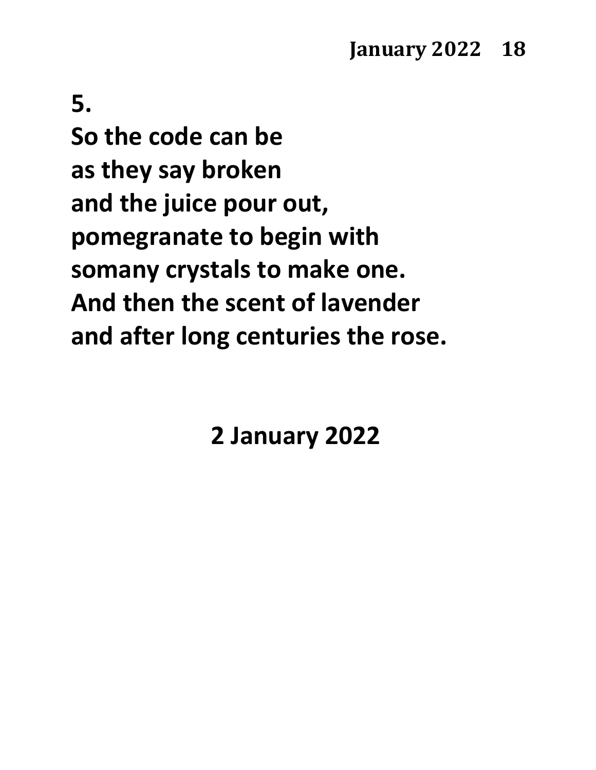**5. So the code can be as they say broken and the juice pour out, pomegranate to begin with somany crystals to make one. And then the scent of lavender and after long centuries the rose.**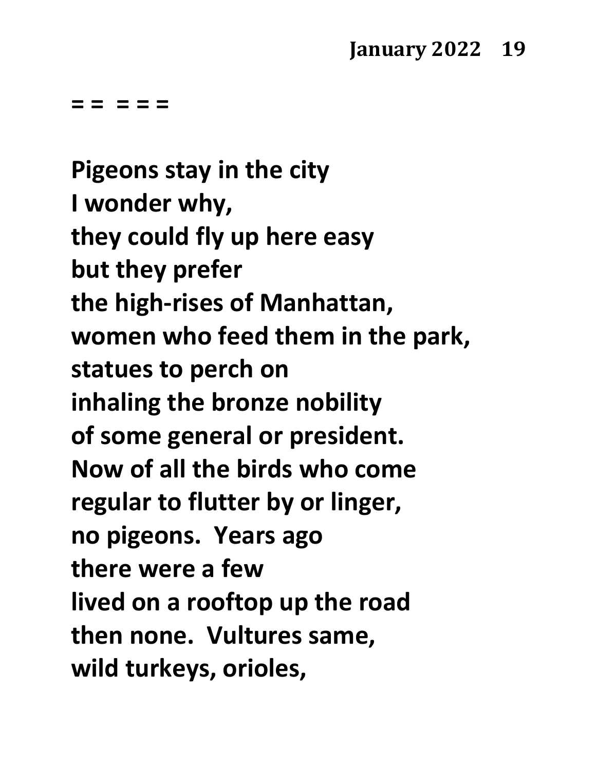**Pigeons stay in the city I wonder why, they could fly up here easy but they prefer the high-rises of Manhattan, women who feed them in the park, statues to perch on inhaling the bronze nobility of some general or president. Now of all the birds who come regular to flutter by or linger, no pigeons. Years ago there were a few lived on a rooftop up the road then none. Vultures same, wild turkeys, orioles,**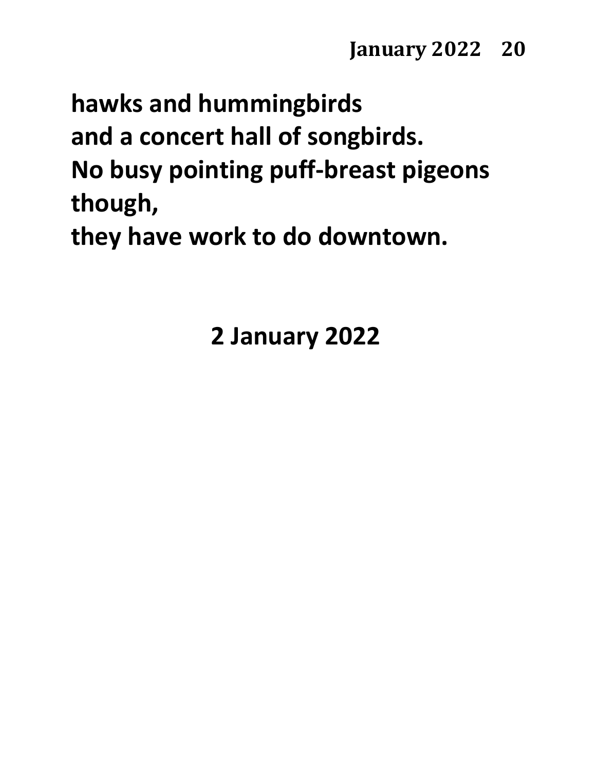# **hawks and hummingbirds and a concert hall of songbirds. No busy pointing puff-breast pigeons though,**

**they have work to do downtown.**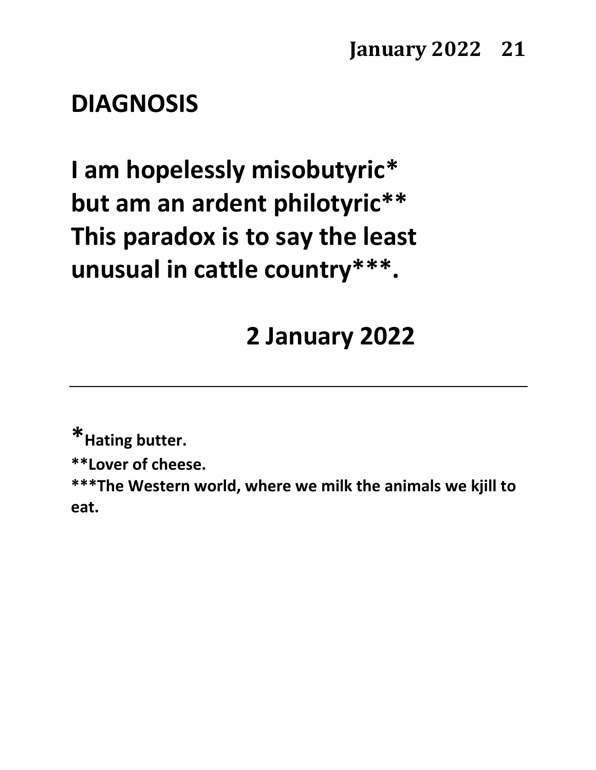#### **DIAGNOSIS**

**I am hopelessly misobutyric\* but am an ardent philotyric\*\* This paradox is to say the least unusual in cattle country\*\*\*.**

## **2 January 2022**

**\*Hating butter.**

**\*\*Lover of cheese.**

**\*\*\*The Western world, where we milk the animals we kjill to eat.**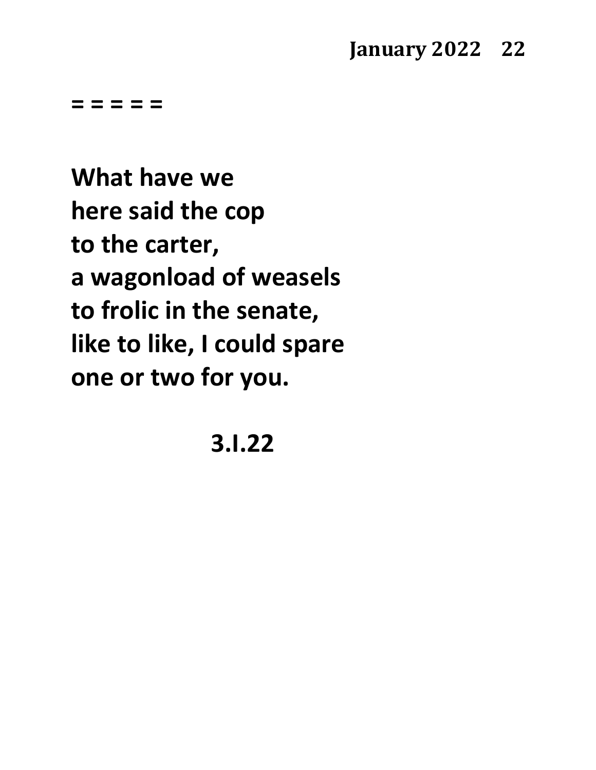#### **January 2022 22**

**= = = = =**

**What have we here said the cop to the carter, a wagonload of weasels to frolic in the senate, like to like, I could spare one or two for you.**

**3.I.22**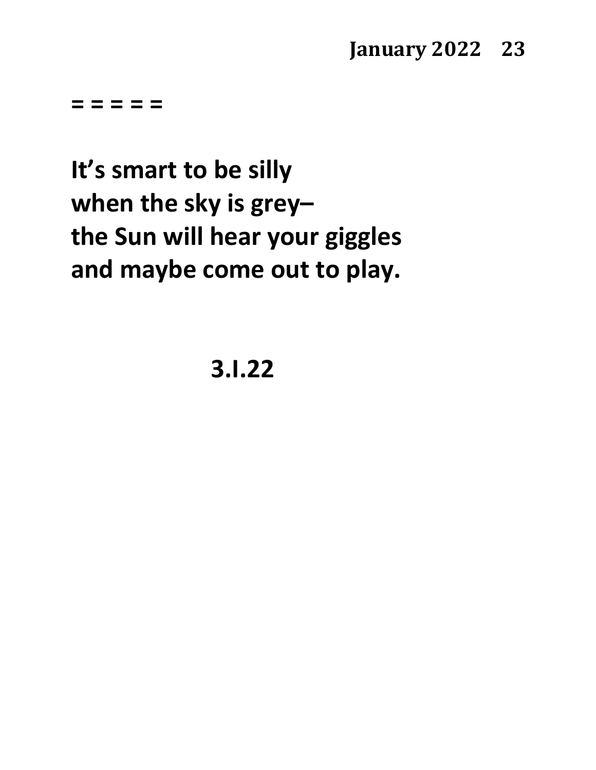**It's smart to be silly when the sky is grey– the Sun will hear your giggles and maybe come out to play.**

**3.I.22**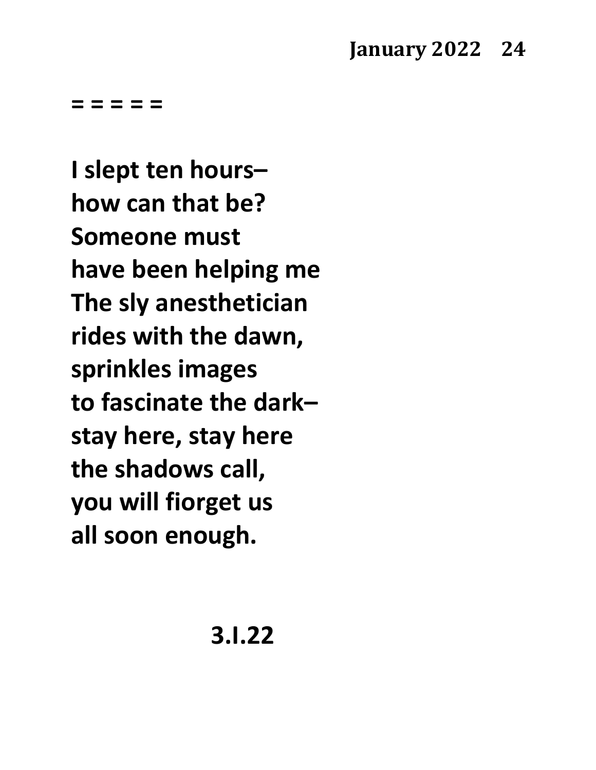#### **January 2022 24**

**= = = = =**

**I slept ten hours– how can that be? Someone must have been helping me The sly anesthetician rides with the dawn, sprinkles images to fascinate the dark– stay here, stay here the shadows call, you will fiorget us all soon enough.**

**3.I.22**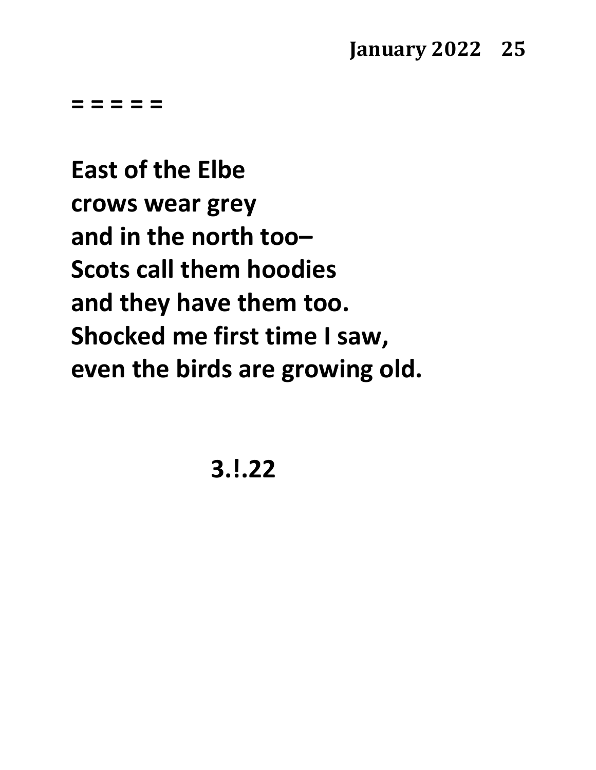**East of the Elbe crows wear grey and in the north too– Scots call them hoodies and they have them too. Shocked me first time I saw, even the birds are growing old.**

**3.!.22**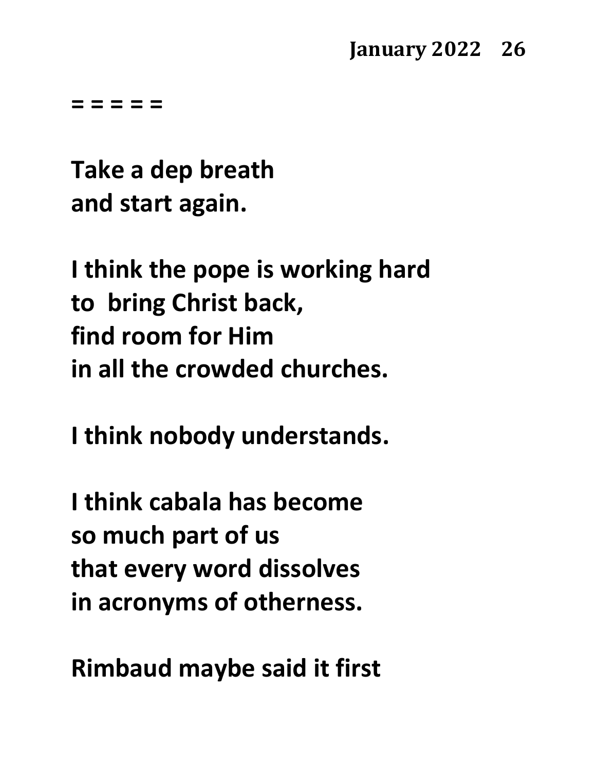**Take a dep breath and start again.**

**I think the pope is working hard to bring Christ back, find room for Him in all the crowded churches.**

**I think nobody understands.**

**I think cabala has become so much part of us that every word dissolves in acronyms of otherness.**

**Rimbaud maybe said it first**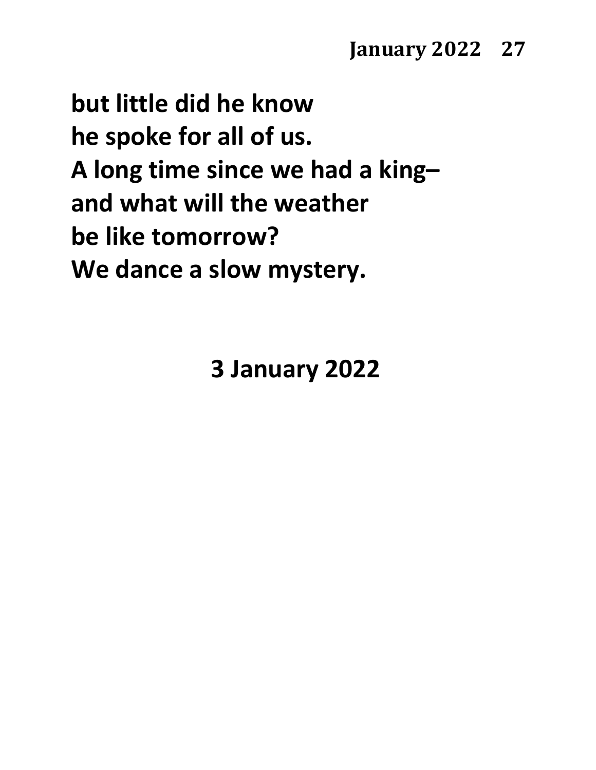**but little did he know he spoke for all of us. A long time since we had a king– and what will the weather be like tomorrow? We dance a slow mystery.**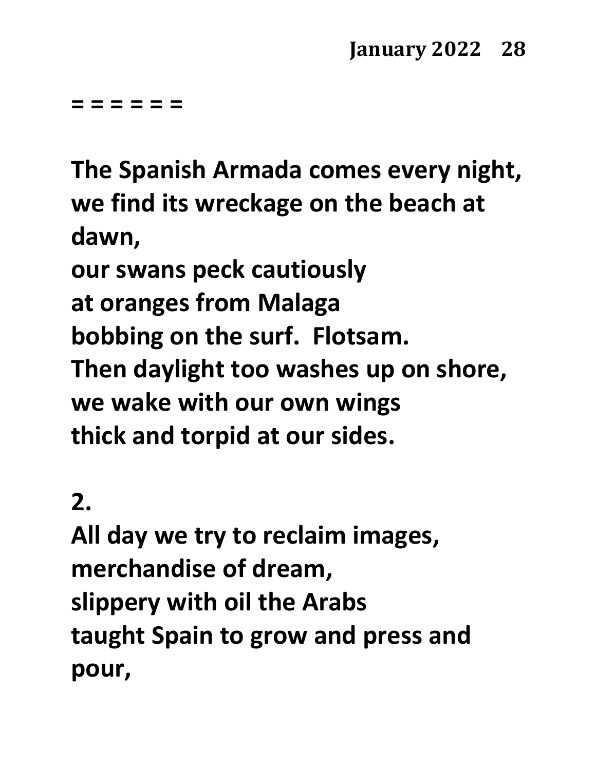**= = = = = =**

**The Spanish Armada comes every night, we find its wreckage on the beach at dawn, our swans peck cautiously at oranges from Malaga bobbing on the surf. Flotsam. Then daylight too washes up on shore,**

**we wake with our own wings thick and torpid at our sides.**

## **2.**

**All day we try to reclaim images, merchandise of dream, slippery with oil the Arabs taught Spain to grow and press and pour,**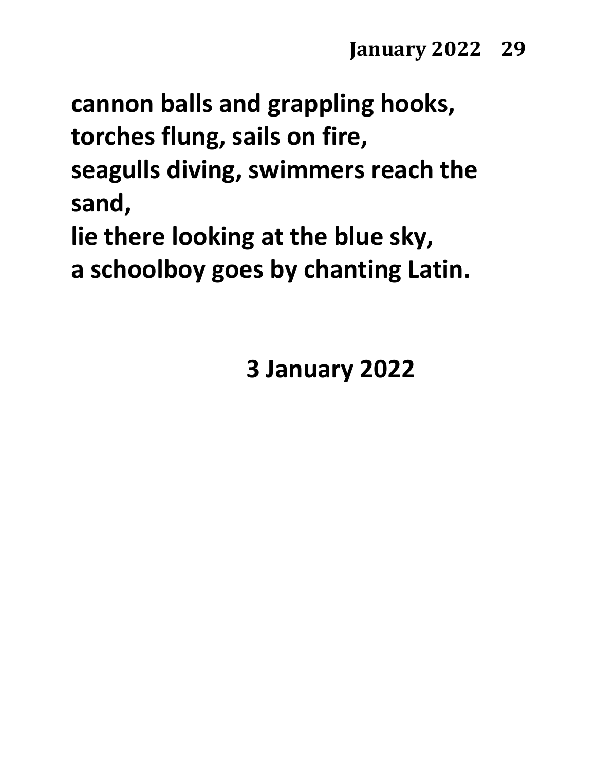**cannon balls and grappling hooks, torches flung, sails on fire, seagulls diving, swimmers reach the sand,**

**lie there looking at the blue sky, a schoolboy goes by chanting Latin.**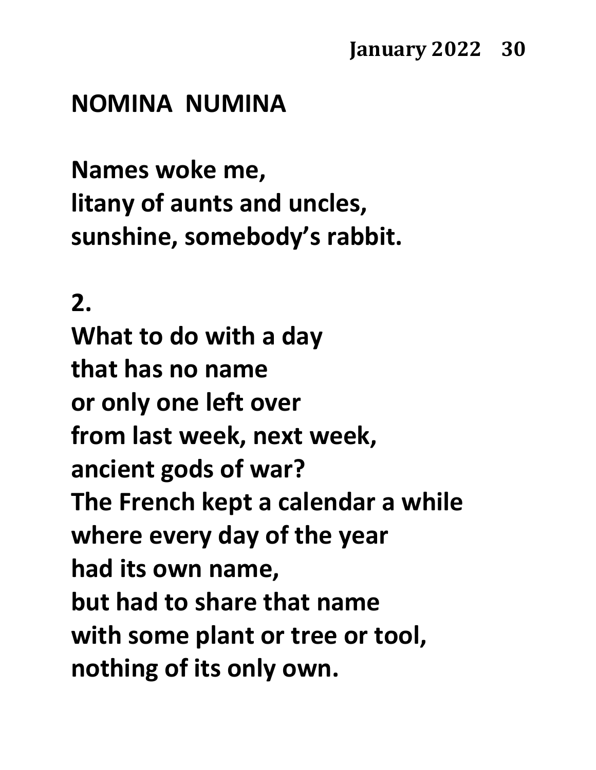#### **NOMINA NUMINA**

**Names woke me, litany of aunts and uncles, sunshine, somebody's rabbit.**

#### **2.**

**What to do with a day that has no name or only one left over from last week, next week, ancient gods of war? The French kept a calendar a while where every day of the year had its own name, but had to share that name with some plant or tree or tool, nothing of its only own.**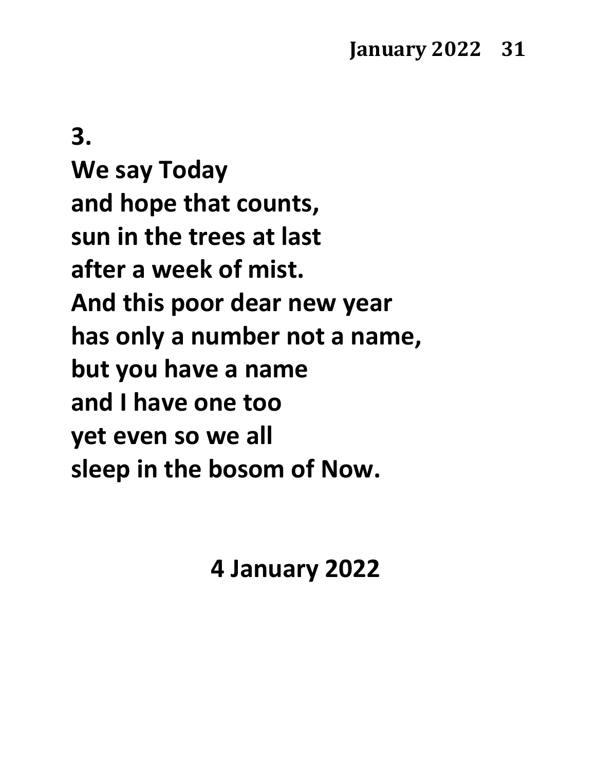**3. We say Today and hope that counts, sun in the trees at last**

**after a week of mist.**

**And this poor dear new year**

**has only a number not a name,**

**but you have a name**

**and I have one too**

**yet even so we all**

**sleep in the bosom of Now.**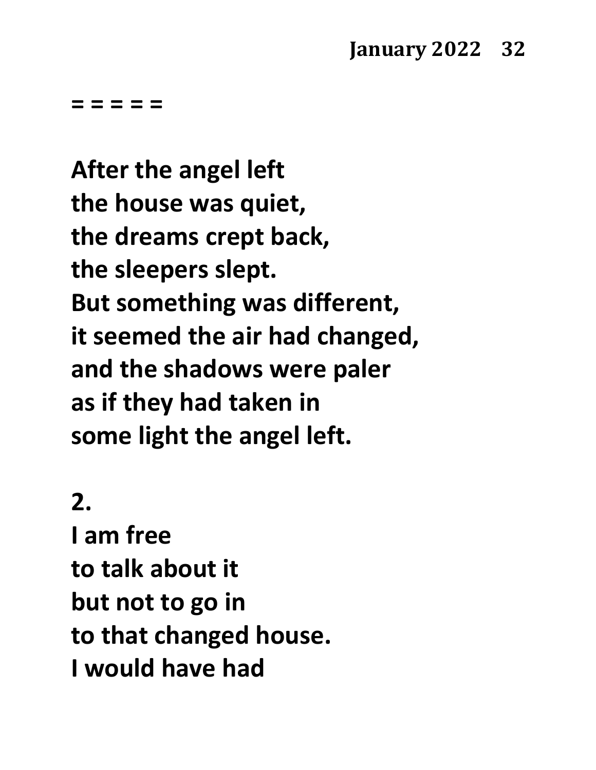**After the angel left the house was quiet, the dreams crept back, the sleepers slept. But something was different, it seemed the air had changed, and the shadows were paler as if they had taken in some light the angel left.**

## **2.**

**I am free to talk about it but not to go in to that changed house. I would have had**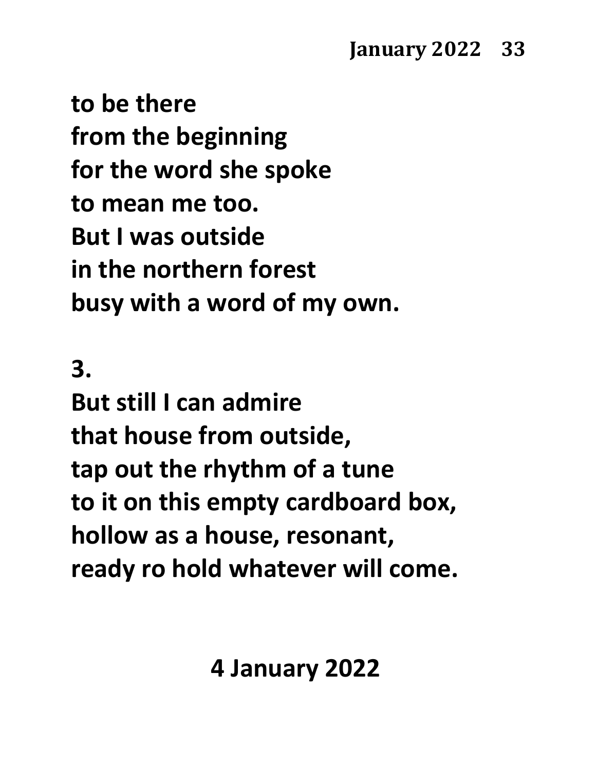**to be there from the beginning for the word she spoke to mean me too. But I was outside in the northern forest busy with a word of my own.**

**3.**

**But still I can admire that house from outside, tap out the rhythm of a tune to it on this empty cardboard box, hollow as a house, resonant, ready ro hold whatever will come.**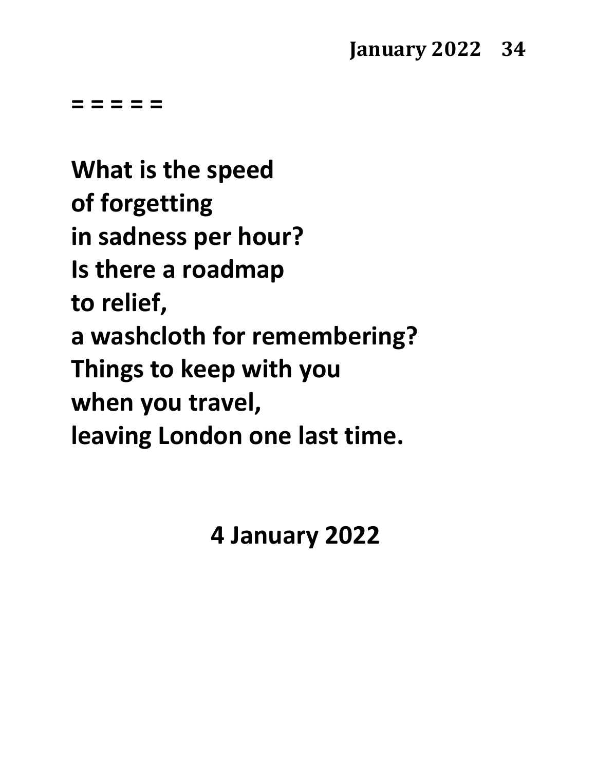**What is the speed of forgetting in sadness per hour? Is there a roadmap to relief, a washcloth for remembering? Things to keep with you when you travel, leaving London one last time.**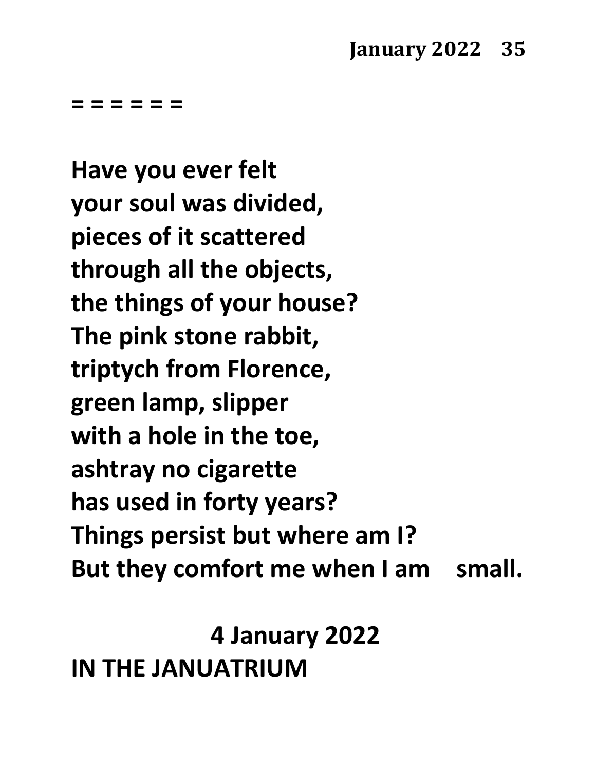**= = = = = =**

**Have you ever felt your soul was divided, pieces of it scattered through all the objects, the things of your house? The pink stone rabbit, triptych from Florence, green lamp, slipper with a hole in the toe, ashtray no cigarette has used in forty years? Things persist but where am I? But they comfort me when I am small.**

**4 January 2022 IN THE JANUATRIUM**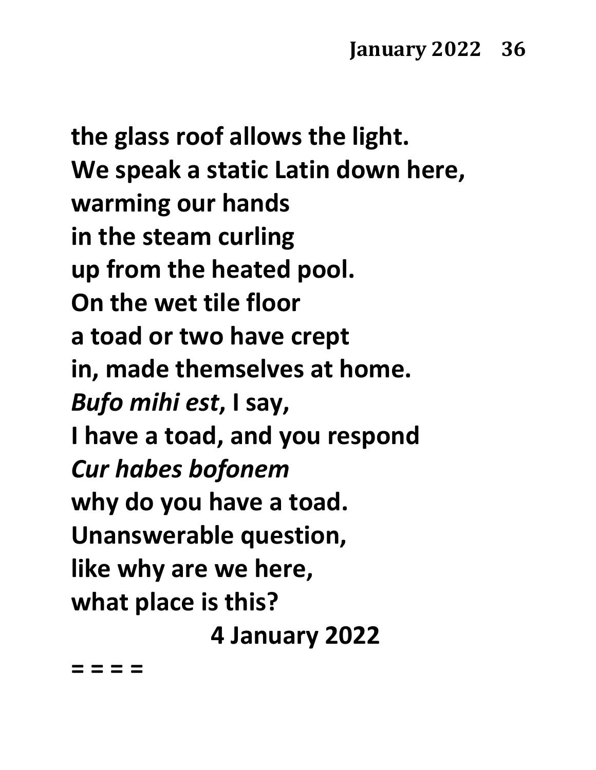**the glass roof allows the light. We speak a static Latin down here, warming our hands in the steam curling up from the heated pool. On the wet tile floor a toad or two have crept in, made themselves at home.** *Bufo mihi est***, I say, I have a toad, and you respond** *Cur habes bofonem*  **why do you have a toad. Unanswerable question, like why are we here, what place is this? 4 January 2022**

**= = = =**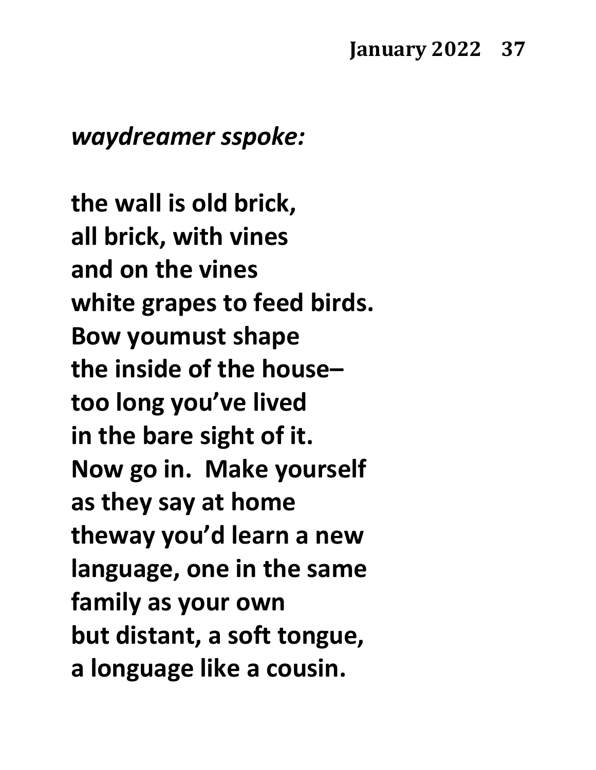#### *waydreamer sspoke:*

**the wall is old brick, all brick, with vines and on the vines white grapes to feed birds. Bow youmust shape the inside of the house– too long you've lived in the bare sight of it. Now go in. Make yourself as they say at home theway you'd learn a new language, one in the same family as your own but distant, a soft tongue, a longuage like a cousin.**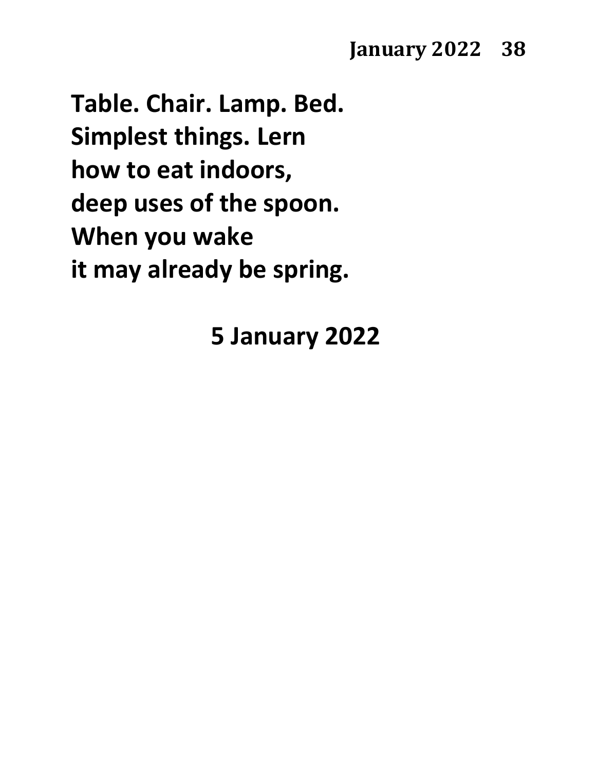## **January 2022 38**

**Table. Chair. Lamp. Bed. Simplest things. Lern how to eat indoors, deep uses of the spoon. When you wake it may already be spring.**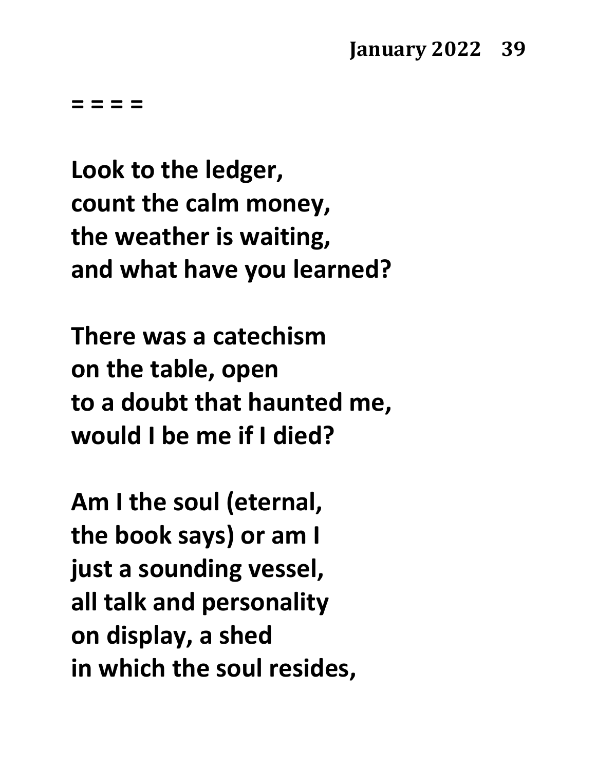**= = = =**

**Look to the ledger, count the calm money, the weather is waiting, and what have you learned?**

**There was a catechism on the table, open to a doubt that haunted me, would I be me if I died?**

**Am I the soul (eternal, the book says) or am I just a sounding vessel, all talk and personality on display, a shed in which the soul resides,**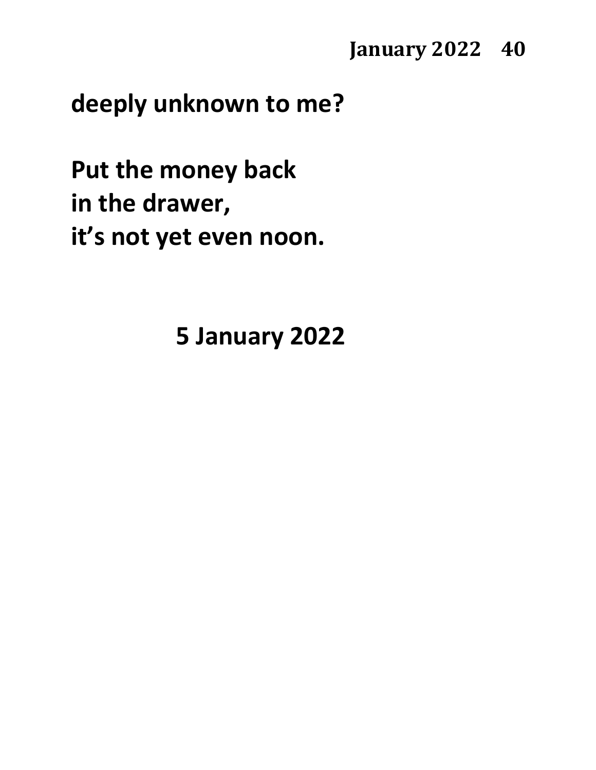**January 2022 40** 

## **deeply unknown to me?**

**Put the money back in the drawer, it's not yet even noon.**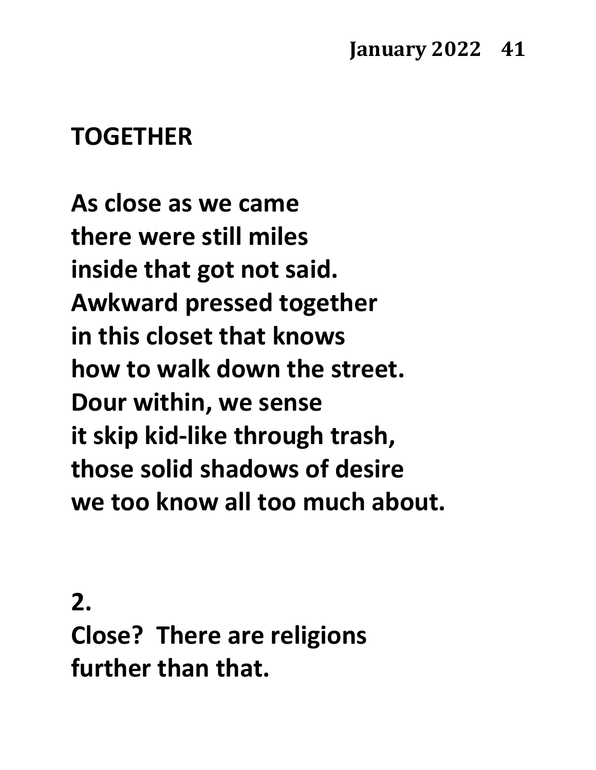# **TOGETHER**

**As close as we came there were still miles inside that got not said. Awkward pressed together in this closet that knows how to walk down the street. Dour within, we sense it skip kid-like through trash, those solid shadows of desire we too know all too much about.**

**2. Close? There are religions further than that.**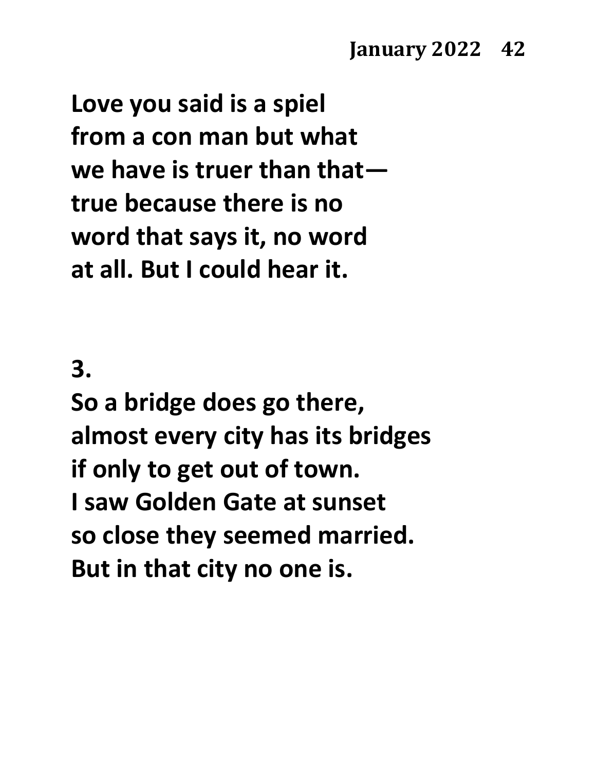**Love you said is a spiel from a con man but what we have is truer than that true because there is no word that says it, no word at all. But I could hear it.**

## **3.**

**So a bridge does go there, almost every city has its bridges if only to get out of town. I saw Golden Gate at sunset so close they seemed married. But in that city no one is.**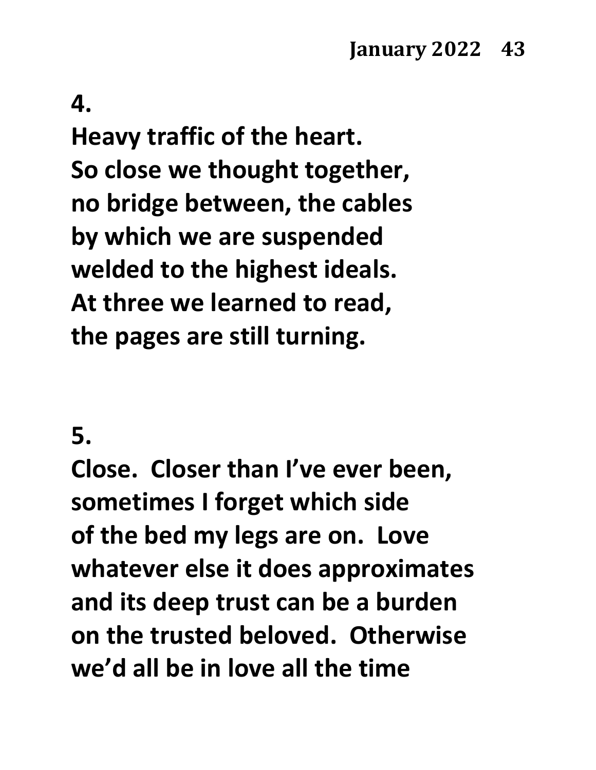## **4.**

**Heavy traffic of the heart. So close we thought together, no bridge between, the cables by which we are suspended welded to the highest ideals. At three we learned to read, the pages are still turning.**

#### **5.**

**Close. Closer than I've ever been, sometimes I forget which side of the bed my legs are on. Love whatever else it does approximates and its deep trust can be a burden on the trusted beloved. Otherwise we'd all be in love all the time**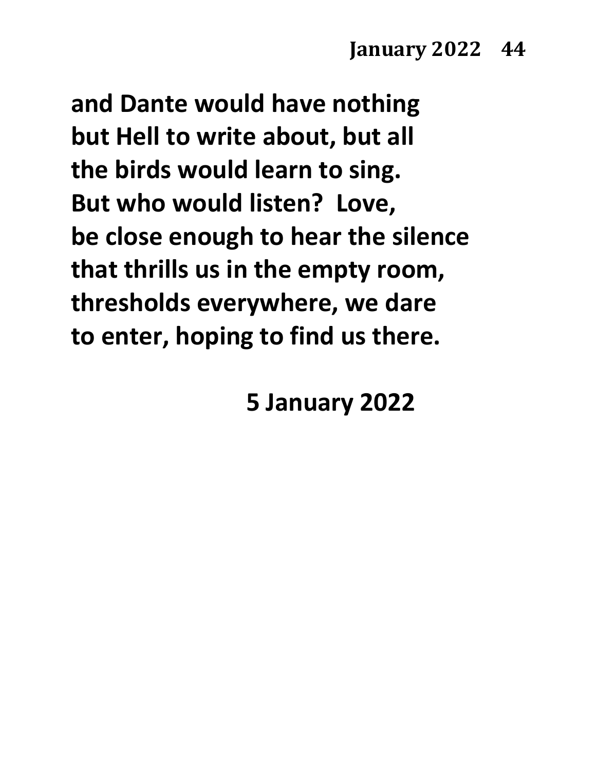**and Dante would have nothing but Hell to write about, but all the birds would learn to sing. But who would listen? Love, be close enough to hear the silence that thrills us in the empty room, thresholds everywhere, we dare to enter, hoping to find us there.**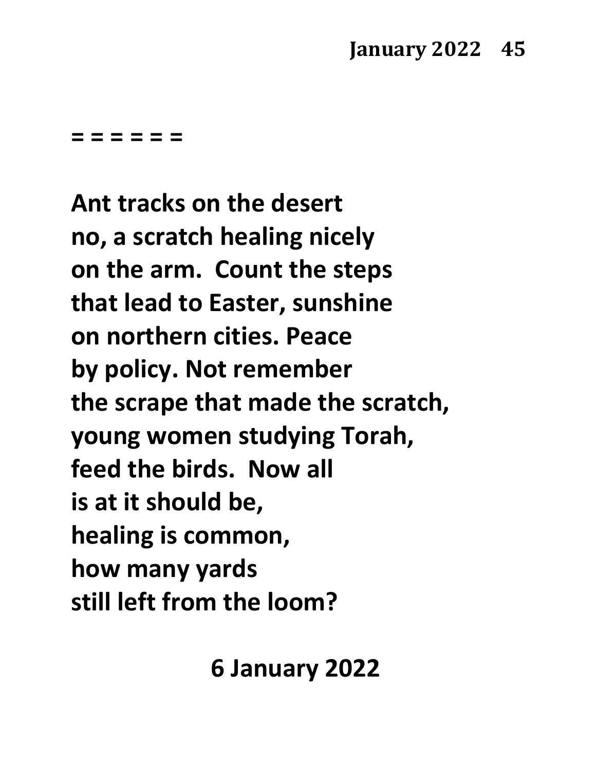**= = = = = =**

**Ant tracks on the desert no, a scratch healing nicely on the arm. Count the steps that lead to Easter, sunshine on northern cities. Peace by policy. Not remember the scrape that made the scratch, young women studying Torah, feed the birds. Now all is at it should be, healing is common, how many yards still left from the loom?**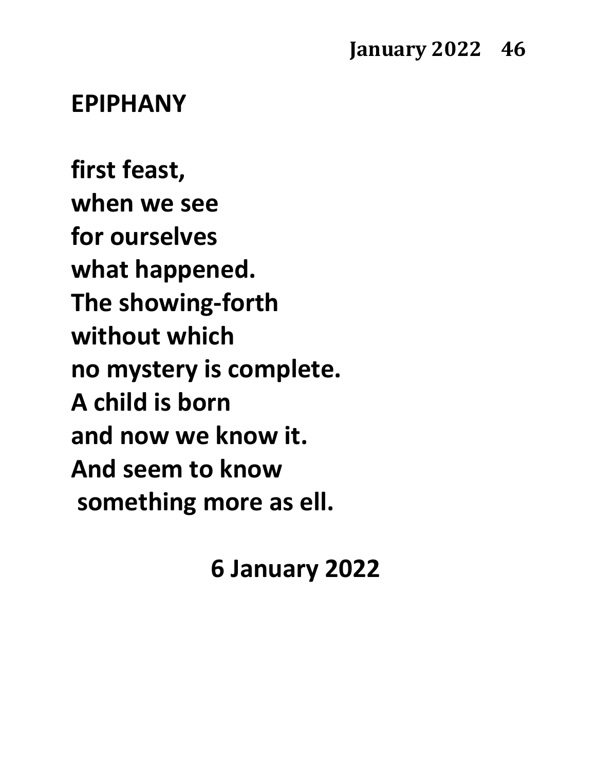#### **EPIPHANY**

**first feast, when we see for ourselves what happened. The showing-forth without which no mystery is complete. A child is born and now we know it. And seem to know something more as ell.**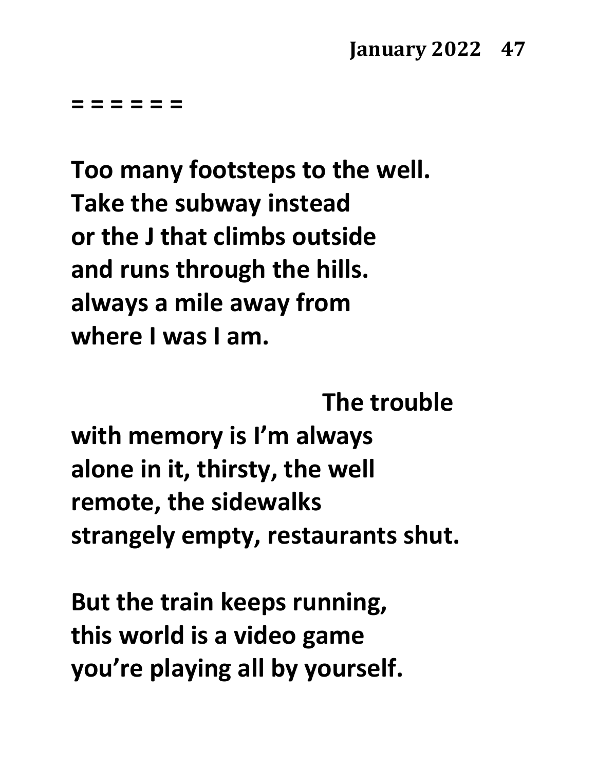**= = = = = =**

**Too many footsteps to the well. Take the subway instead or the J that climbs outside and runs through the hills. always a mile away from where I was I am.** 

**The trouble**

**with memory is I'm always alone in it, thirsty, the well remote, the sidewalks strangely empty, restaurants shut.**

**But the train keeps running, this world is a video game you're playing all by yourself.**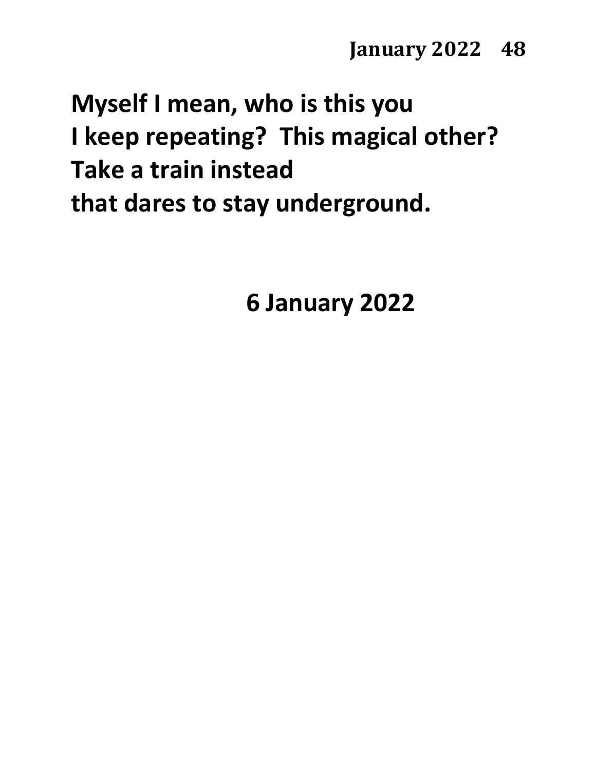# **Myself I mean, who is this you I keep repeating? This magical other? Take a train instead that dares to stay underground.**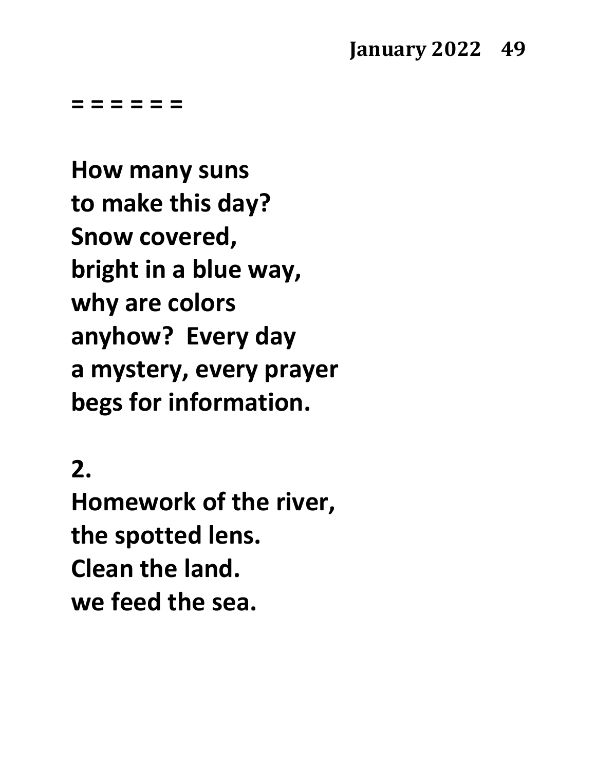## **January 2022 49**

**= = = = = =**

**How many suns to make this day? Snow covered, bright in a blue way, why are colors anyhow? Every day a mystery, every prayer begs for information.**

# **2.**

**Homework of the river, the spotted lens. Clean the land. we feed the sea.**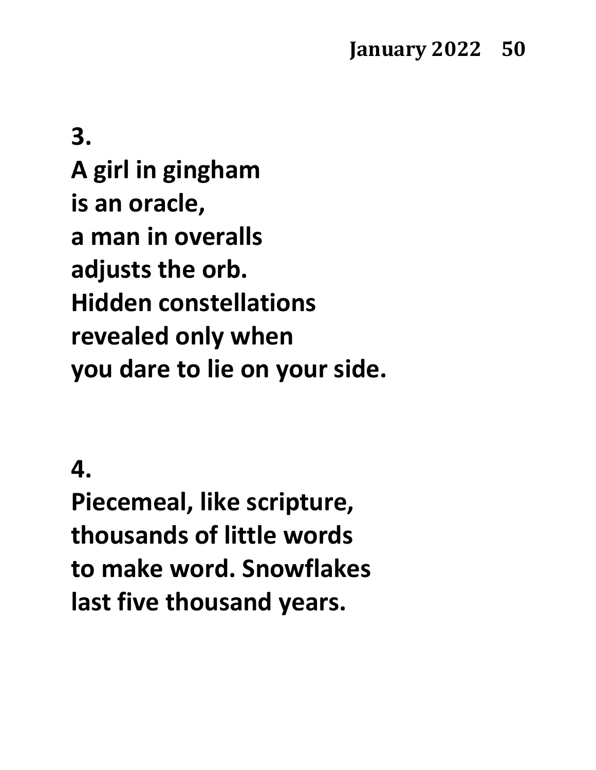**3. A girl in gingham is an oracle, a man in overalls adjusts the orb. Hidden constellations revealed only when you dare to lie on your side.**

## **4.**

**Piecemeal, like scripture, thousands of little words to make word. Snowflakes last five thousand years.**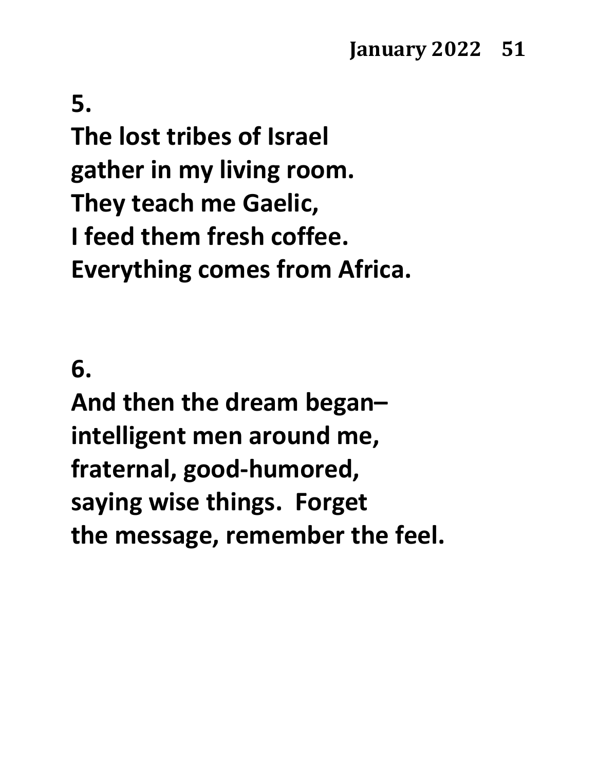# **5. The lost tribes of Israel gather in my living room. They teach me Gaelic, I feed them fresh coffee. Everything comes from Africa.**

# **6.**

**And then the dream began– intelligent men around me, fraternal, good-humored, saying wise things. Forget the message, remember the feel.**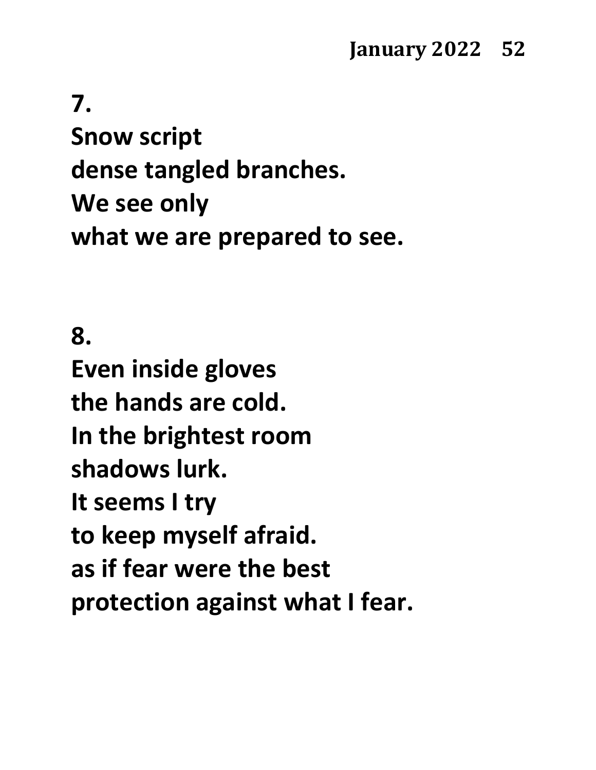# **7. Snow script dense tangled branches. We see only what we are prepared to see.**

# **8. Even inside gloves the hands are cold. In the brightest room shadows lurk. It seems I try to keep myself afraid. as if fear were the best protection against what I fear.**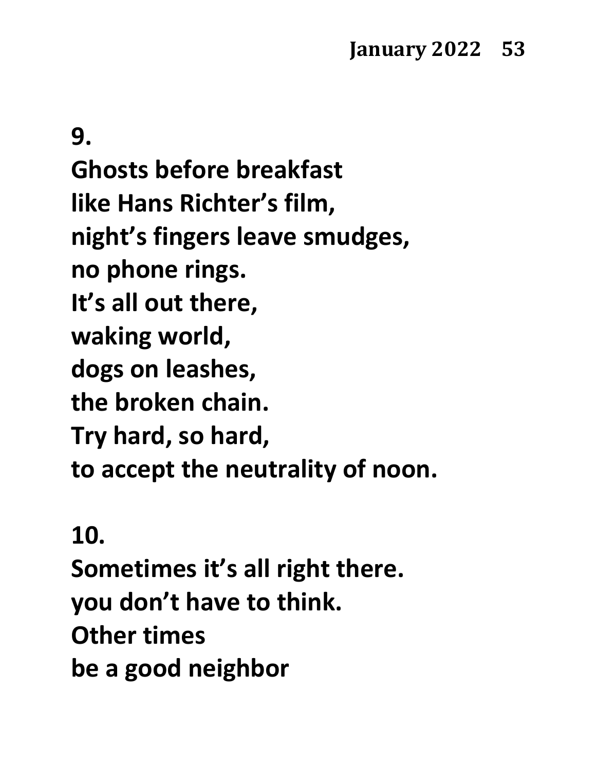**9. Ghosts before breakfast like Hans Richter's film, night's fingers leave smudges, no phone rings. It's all out there, waking world, dogs on leashes, the broken chain. Try hard, so hard, to accept the neutrality of noon.**

# **10.**

**Sometimes it's all right there. you don't have to think. Other times be a good neighbor**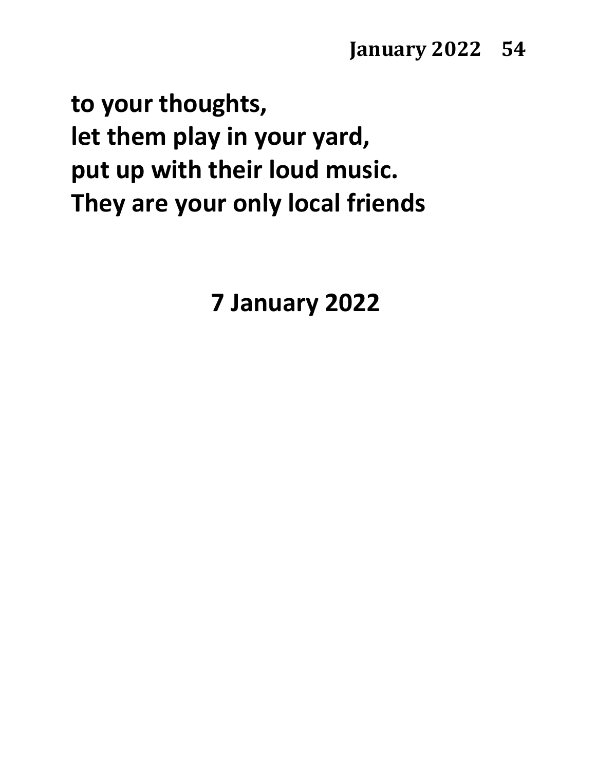**to your thoughts, let them play in your yard, put up with their loud music. They are your only local friends**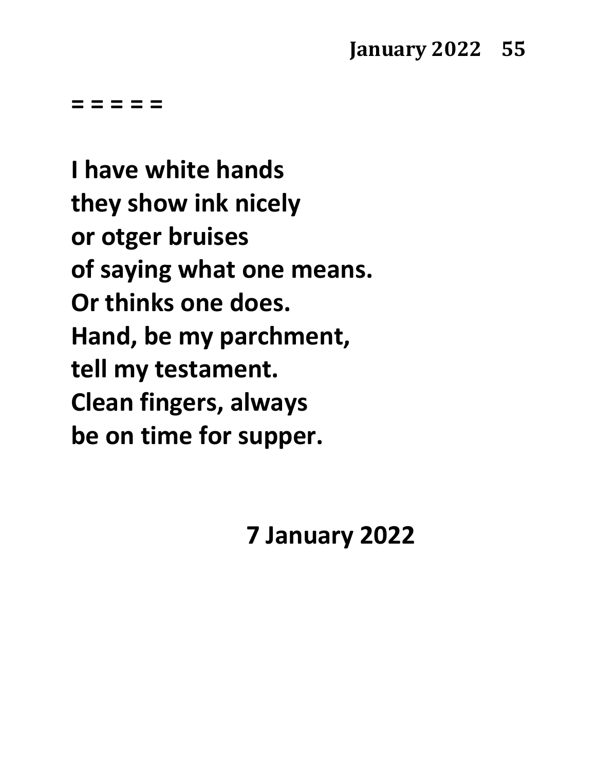**I have white hands they show ink nicely or otger bruises of saying what one means. Or thinks one does. Hand, be my parchment, tell my testament. Clean fingers, always be on time for supper.**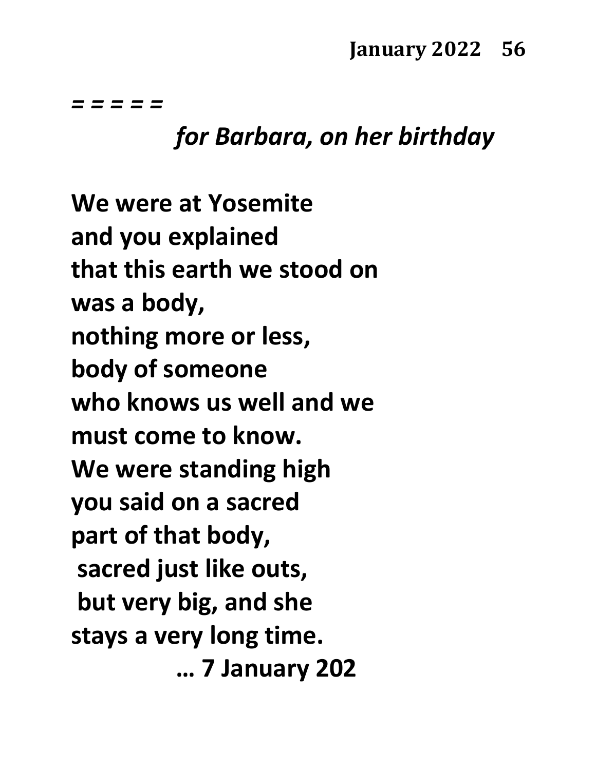# *for Barbara, on her birthday*

**We were at Yosemite and you explained that this earth we stood on was a body, nothing more or less, body of someone who knows us well and we must come to know. We were standing high you said on a sacred part of that body, sacred just like outs, but very big, and she stays a very long time. … 7 January 202**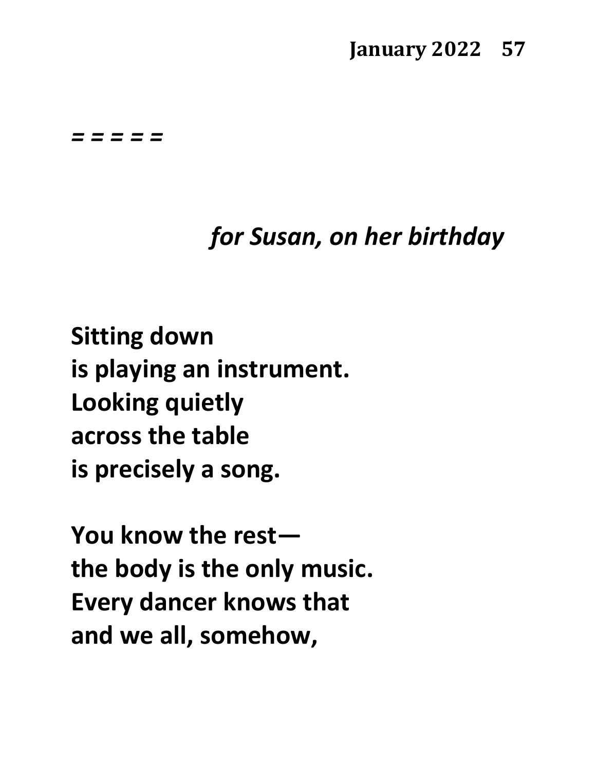## **January 2022 57**

#### *= = = = =*

# *for Susan, on her birthday*

**Sitting down is playing an instrument. Looking quietly across the table is precisely a song.**

**You know the rest the body is the only music. Every dancer knows that and we all, somehow,**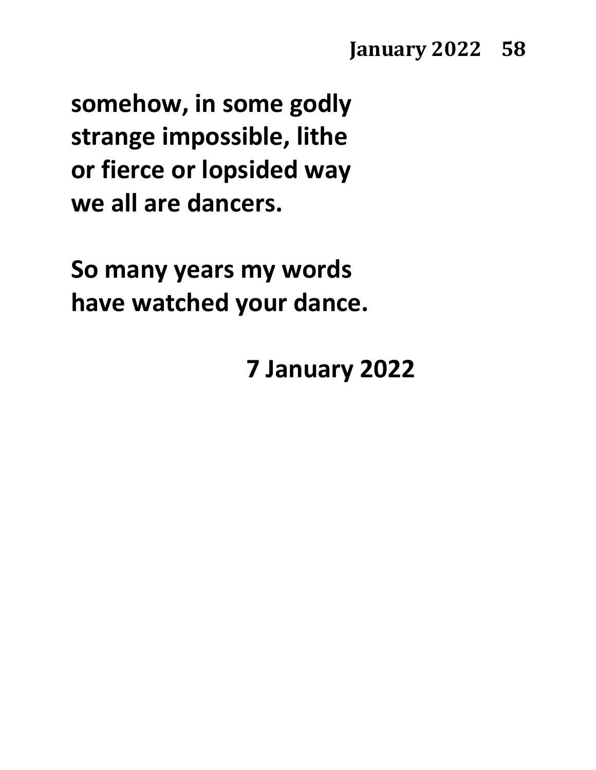**somehow, in some godly strange impossible, lithe or fierce or lopsided way we all are dancers.**

**So many years my words have watched your dance.**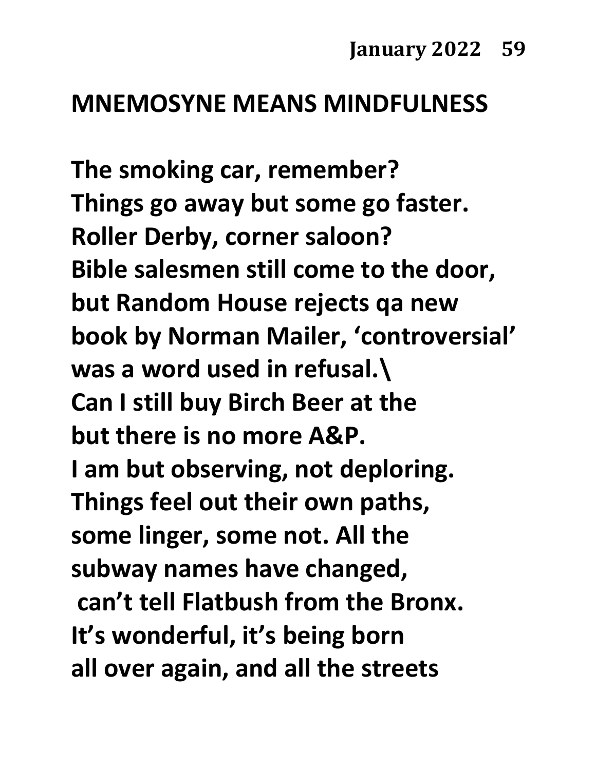## **MNEMOSYNE MEANS MINDFULNESS**

**The smoking car, remember? Things go away but some go faster. Roller Derby, corner saloon? Bible salesmen still come to the door, but Random House rejects qa new book by Norman Mailer, 'controversial' was a word used in refusal.\ Can I still buy Birch Beer at the but there is no more A&P. I am but observing, not deploring. Things feel out their own paths, some linger, some not. All the subway names have changed, can't tell Flatbush from the Bronx. It's wonderful, it's being born all over again, and all the streets**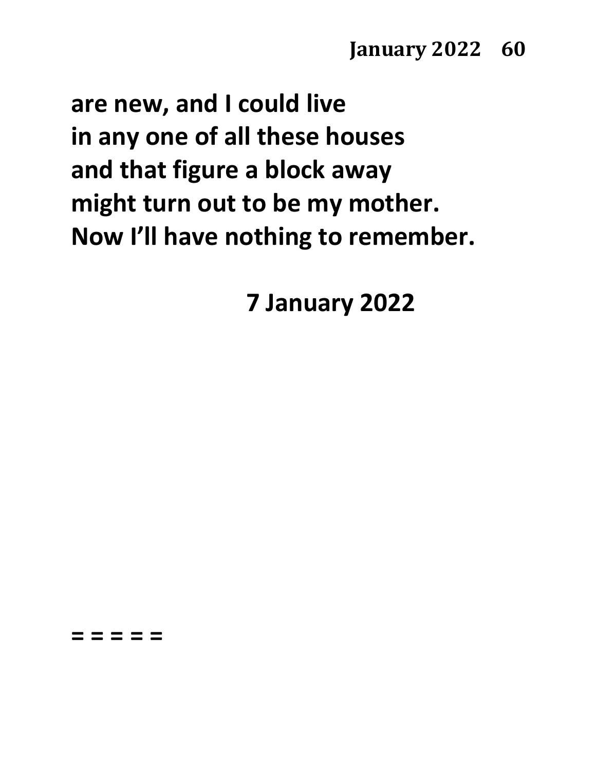**are new, and I could live in any one of all these houses and that figure a block away might turn out to be my mother. Now I'll have nothing to remember.**

**7 January 2022**

**= = = = =**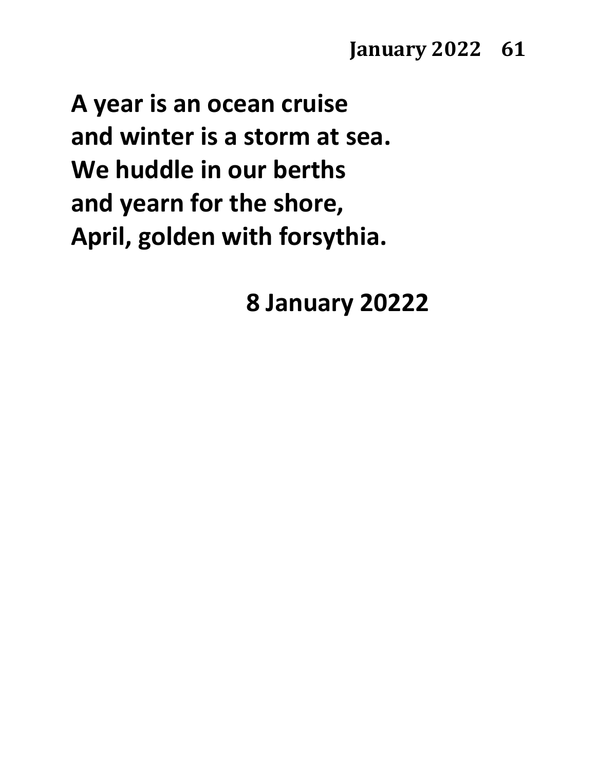**January 2022 61** 

**A year is an ocean cruise and winter is a storm at sea. We huddle in our berths and yearn for the shore, April, golden with forsythia.**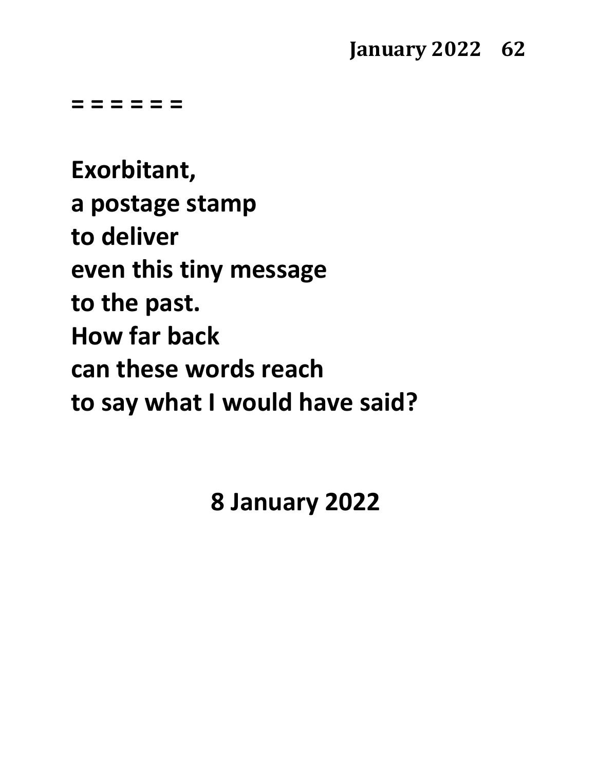**= = = = = =**

**Exorbitant, a postage stamp to deliver even this tiny message to the past. How far back can these words reach to say what I would have said?**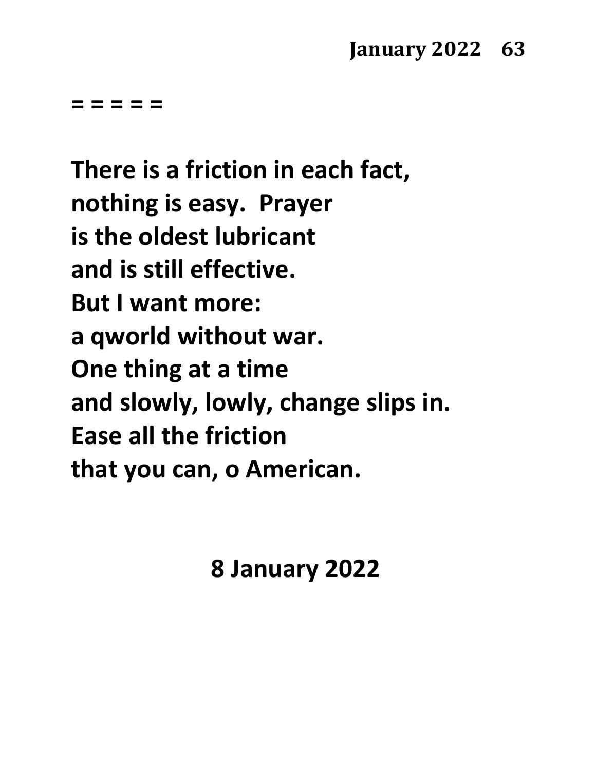**There is a friction in each fact, nothing is easy. Prayer is the oldest lubricant and is still effective. But I want more: a qworld without war. One thing at a time and slowly, lowly, change slips in. Ease all the friction that you can, o American.**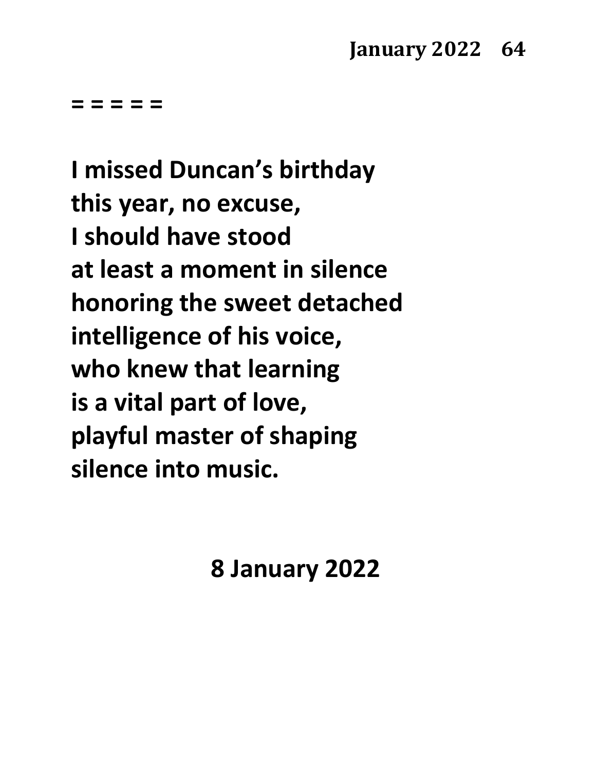**I missed Duncan's birthday this year, no excuse, I should have stood at least a moment in silence honoring the sweet detached intelligence of his voice, who knew that learning is a vital part of love, playful master of shaping silence into music.**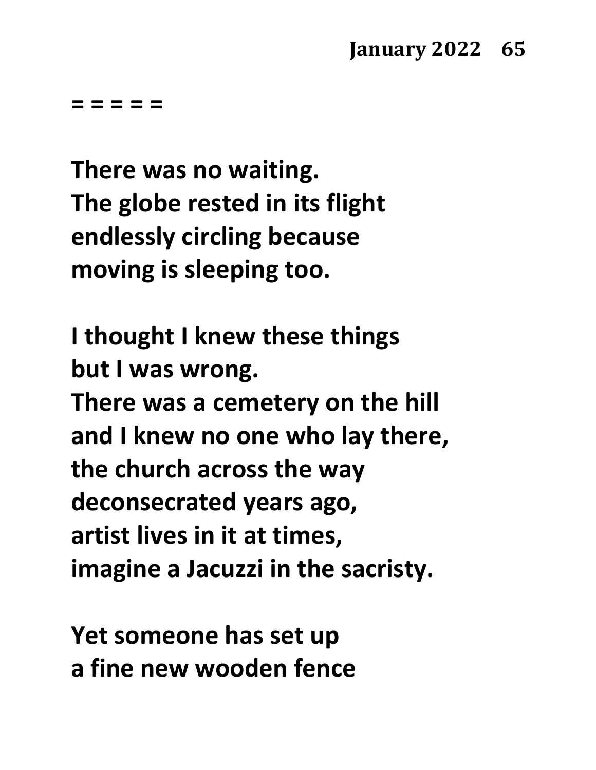**There was no waiting. The globe rested in its flight endlessly circling because moving is sleeping too.**

**I thought I knew these things but I was wrong.**

**There was a cemetery on the hill and I knew no one who lay there, the church across the way deconsecrated years ago, artist lives in it at times, imagine a Jacuzzi in the sacristy.**

**Yet someone has set up a fine new wooden fence**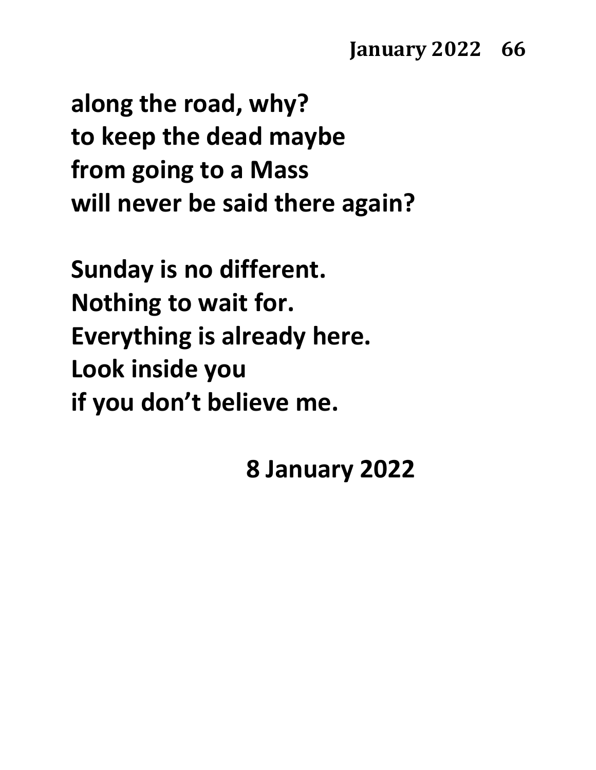## **January 2022 66**

**along the road, why? to keep the dead maybe from going to a Mass will never be said there again?**

**Sunday is no different. Nothing to wait for. Everything is already here. Look inside you if you don't believe me.**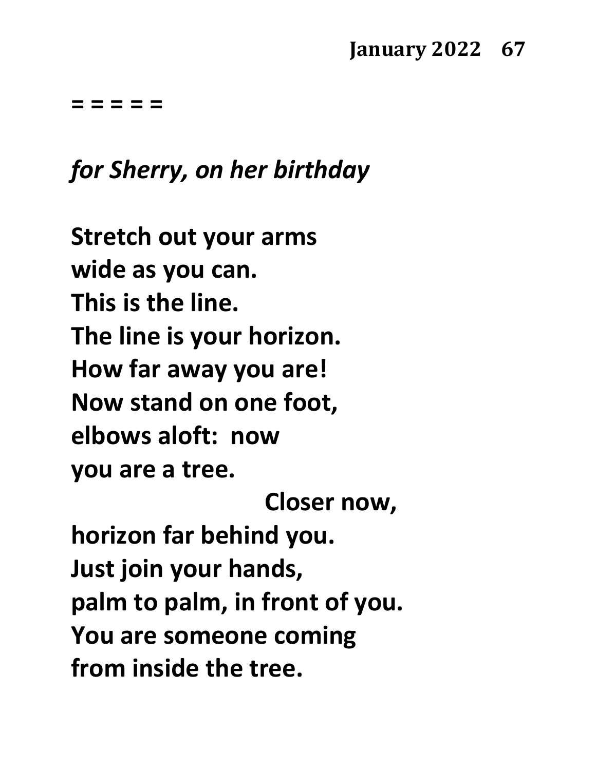## **January 2022 67**

**= = = = =**

## *for Sherry, on her birthday*

**Stretch out your arms wide as you can. This is the line. The line is your horizon. How far away you are! Now stand on one foot, elbows aloft: now you are a tree. Closer now, horizon far behind you. Just join your hands, palm to palm, in front of you. You are someone coming from inside the tree.**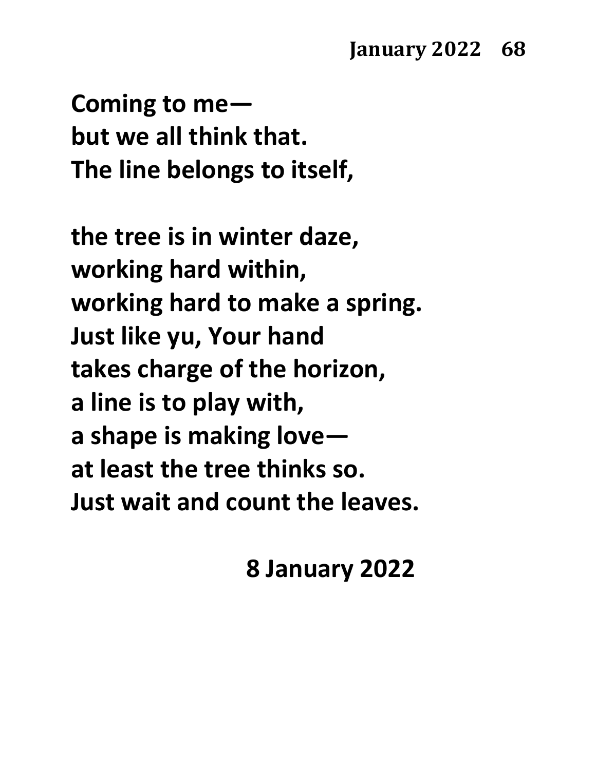**Coming to me but we all think that. The line belongs to itself,**

**the tree is in winter daze, working hard within, working hard to make a spring. Just like yu, Your hand takes charge of the horizon, a line is to play with, a shape is making love at least the tree thinks so. Just wait and count the leaves.**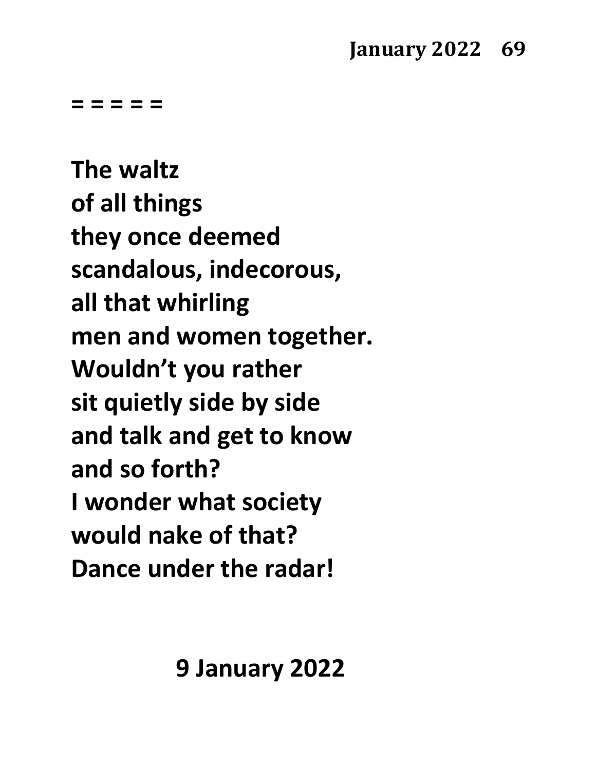**The waltz of all things they once deemed scandalous, indecorous, all that whirling men and women together. Wouldn't you rather sit quietly side by side and talk and get to know and so forth? I wonder what society would nake of that? Dance under the radar!**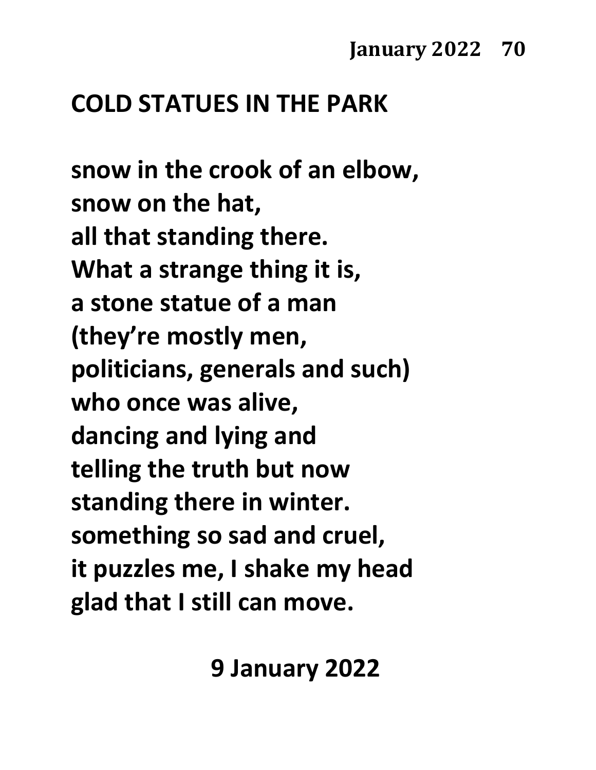# **COLD STATUES IN THE PARK**

**snow in the crook of an elbow, snow on the hat, all that standing there. What a strange thing it is, a stone statue of a man (they're mostly men, politicians, generals and such) who once was alive, dancing and lying and telling the truth but now standing there in winter. something so sad and cruel, it puzzles me, I shake my head glad that I still can move.**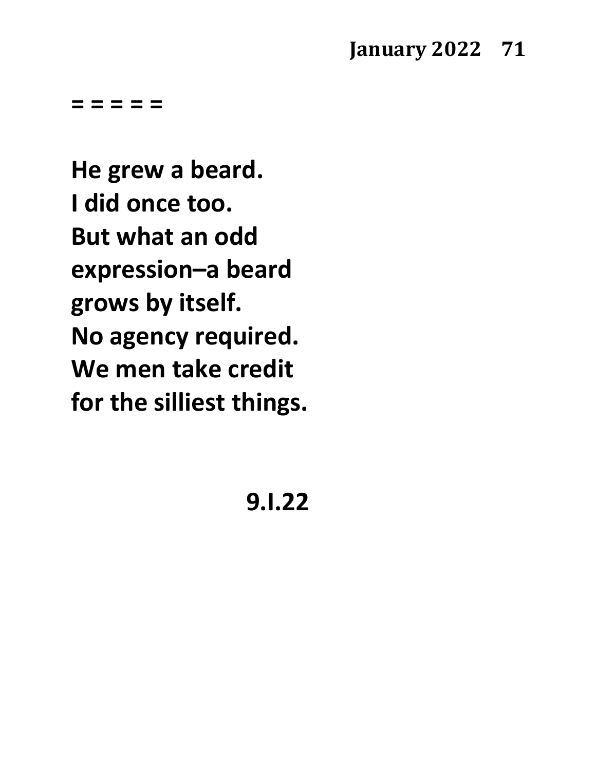## **January 2022 71**

**= = = = =**

**He grew a beard. I did once too. But what an odd expression–a beard grows by itself. No agency required. We men take credit for the silliest things.**

**9.I.22**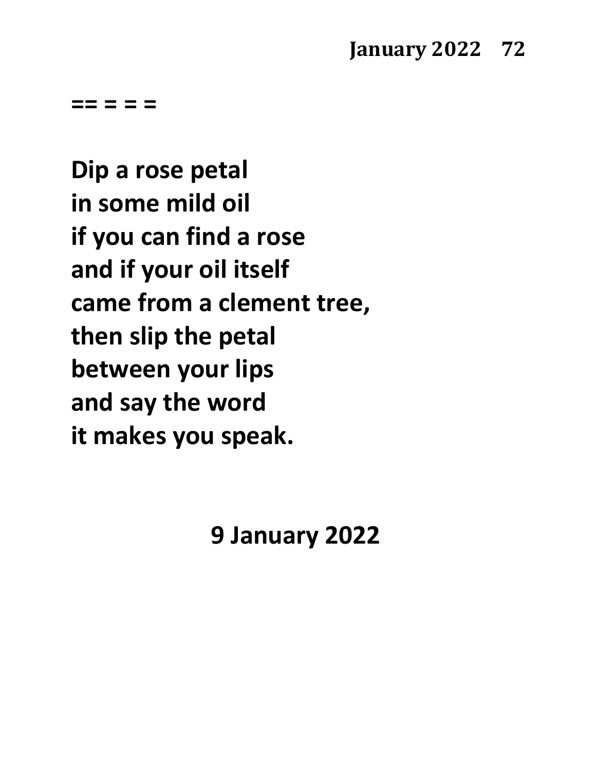**== = = =**

**Dip a rose petal in some mild oil if you can find a rose and if your oil itself came from a clement tree, then slip the petal between your lips and say the word it makes you speak.**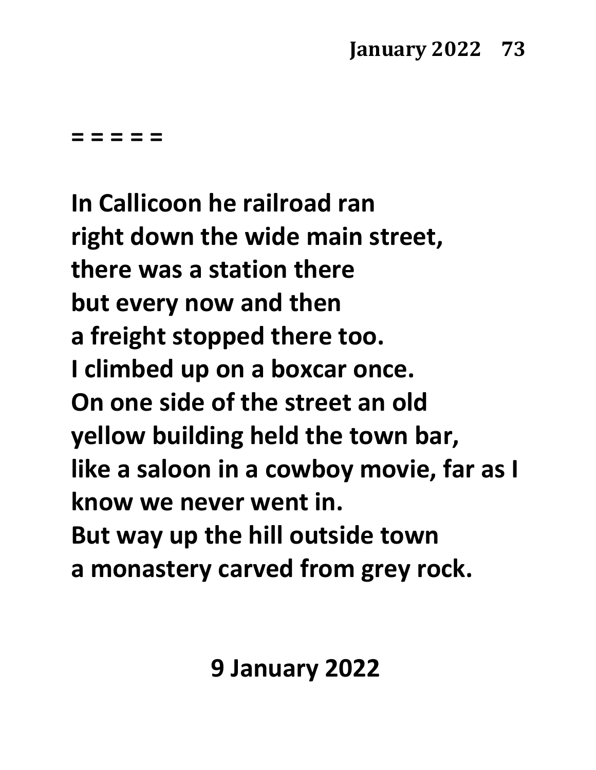**= = = = =**

**In Callicoon he railroad ran right down the wide main street, there was a station there but every now and then a freight stopped there too. I climbed up on a boxcar once. On one side of the street an old yellow building held the town bar, like a saloon in a cowboy movie, far as I know we never went in. But way up the hill outside town a monastery carved from grey rock.**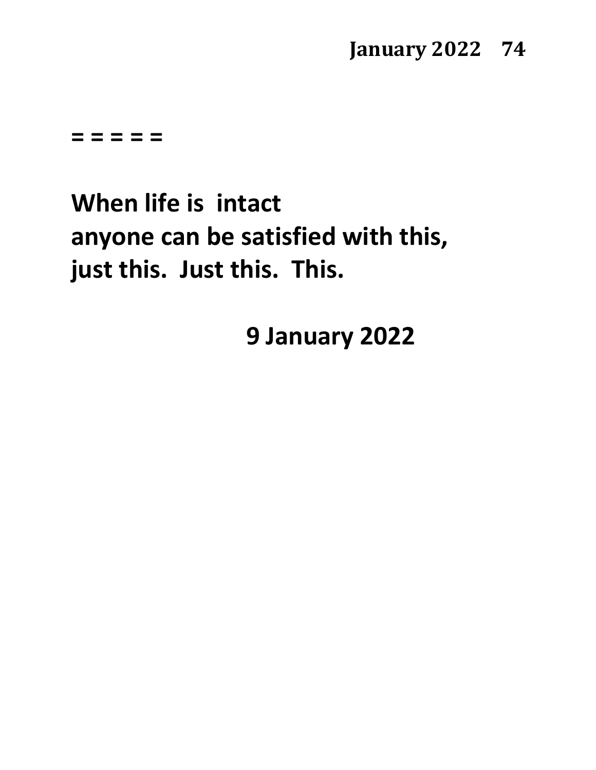### **January 2022 74**

**= = = = =**

# **When life is intact anyone can be satisfied with this, just this. Just this. This.**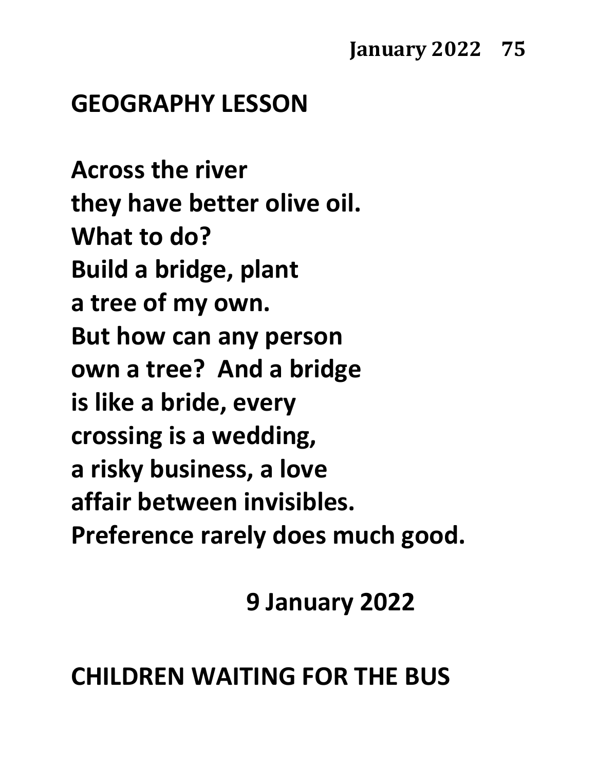# **GEOGRAPHY LESSON**

**Across the river they have better olive oil. What to do? Build a bridge, plant a tree of my own. But how can any person own a tree? And a bridge is like a bride, every crossing is a wedding, a risky business, a love affair between invisibles. Preference rarely does much good.**

**9 January 2022**

# **CHILDREN WAITING FOR THE BUS**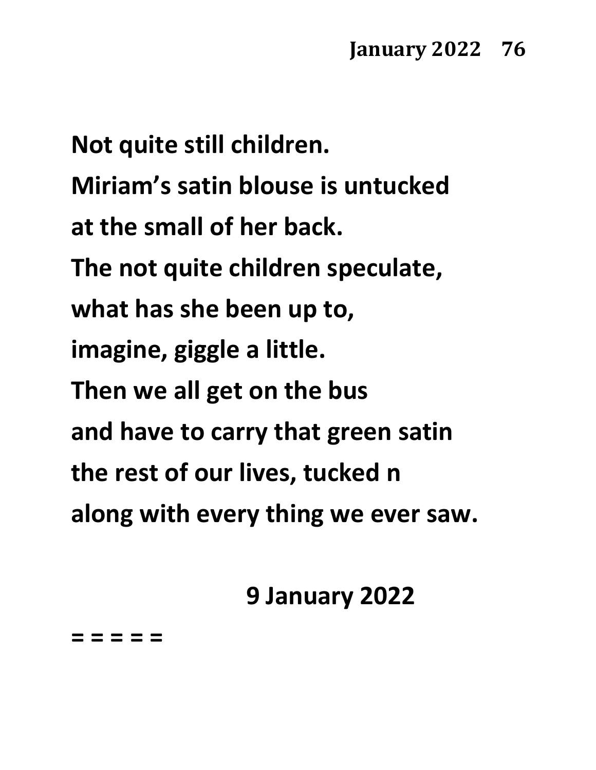**Not quite still children. Miriam's satin blouse is untucked at the small of her back. The not quite children speculate, what has she been up to, imagine, giggle a little. Then we all get on the bus and have to carry that green satin the rest of our lives, tucked n along with every thing we ever saw.**

**9 January 2022**

**= = = = =**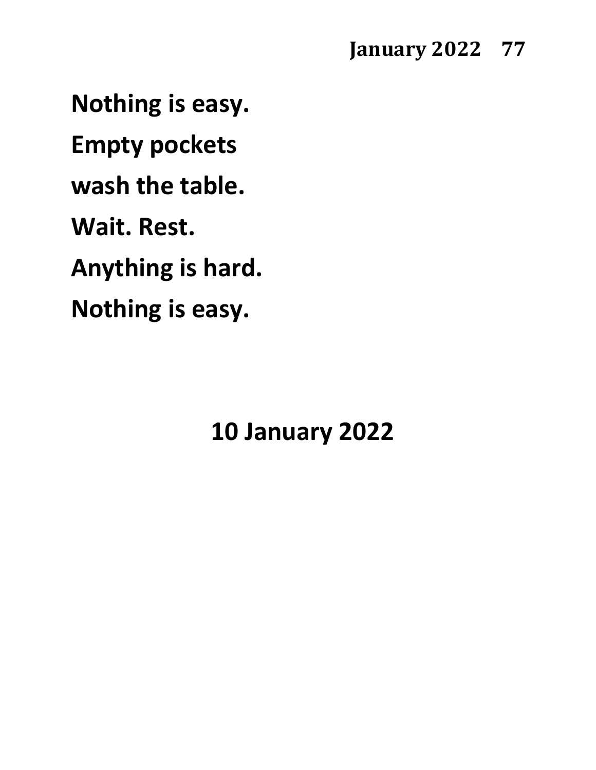**Nothing is easy. Empty pockets wash the table. Wait. Rest. Anything is hard. Nothing is easy.**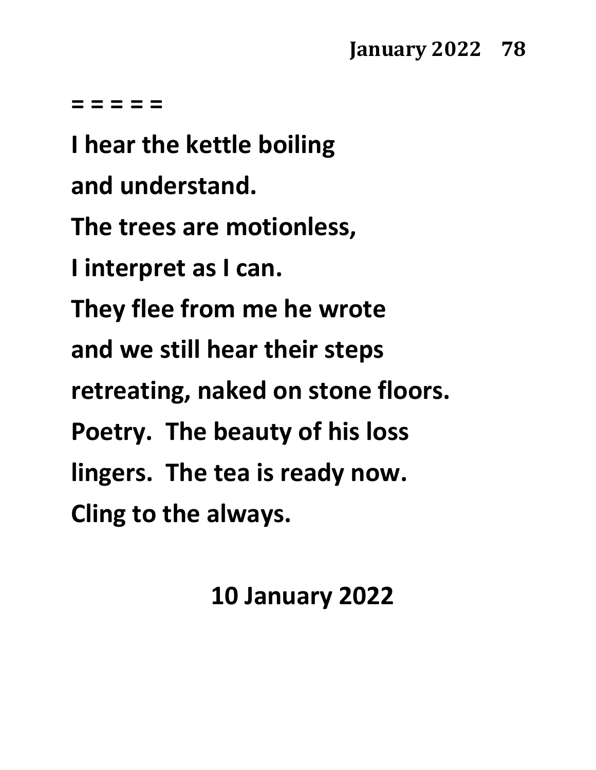#### **= = = = =**

**I hear the kettle boiling and understand. The trees are motionless, I interpret as I can. They flee from me he wrote and we still hear their steps retreating, naked on stone floors. Poetry. The beauty of his loss lingers. The tea is ready now. Cling to the always.**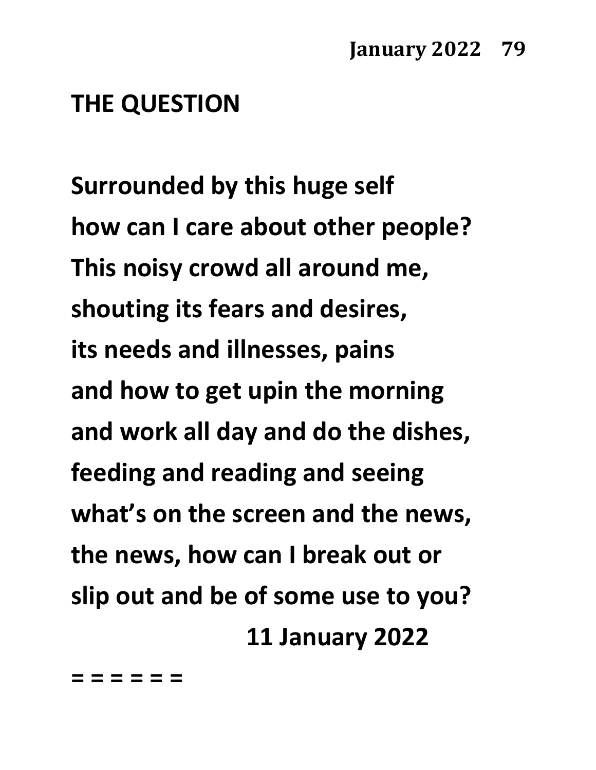## **THE QUESTION**

**Surrounded by this huge self how can I care about other people? This noisy crowd all around me, shouting its fears and desires, its needs and illnesses, pains and how to get upin the morning and work all day and do the dishes, feeding and reading and seeing what's on the screen and the news, the news, how can I break out or slip out and be of some use to you? 11 January 2022**

**= = = = = =**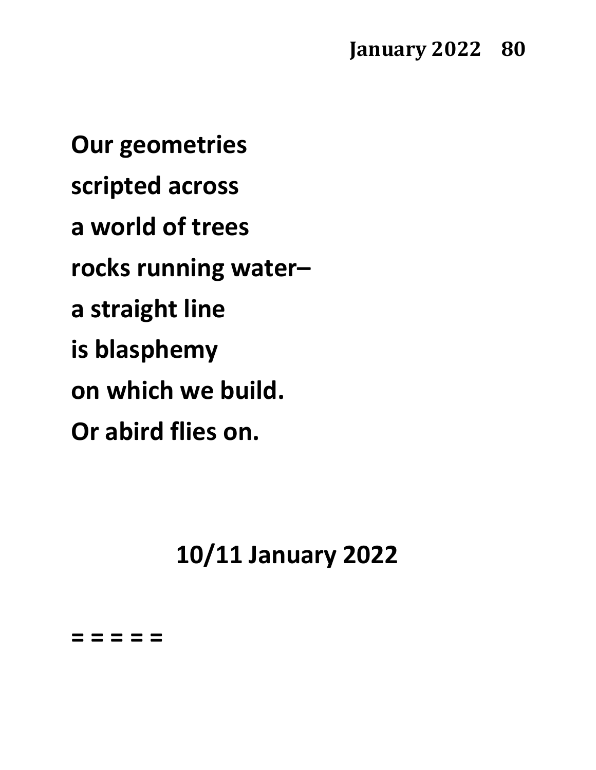**Our geometries scripted across a world of trees rocks running water– a straight line is blasphemy on which we build. Or abird flies on.**

**10/11 January 2022**

**= = = = =**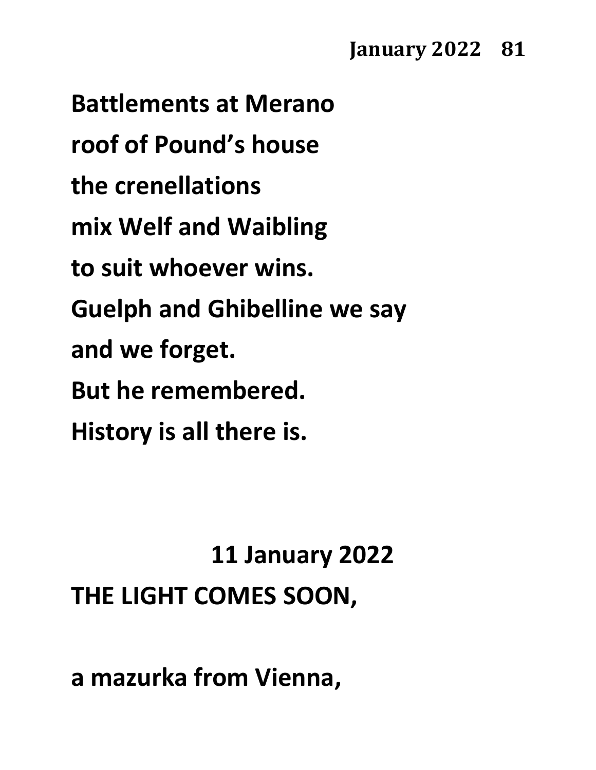## **January 2022 81**

**Battlements at Merano roof of Pound's house the crenellations mix Welf and Waibling to suit whoever wins. Guelph and Ghibelline we say and we forget. But he remembered. History is all there is.**

# **11 January 2022 THE LIGHT COMES SOON,**

**a mazurka from Vienna,**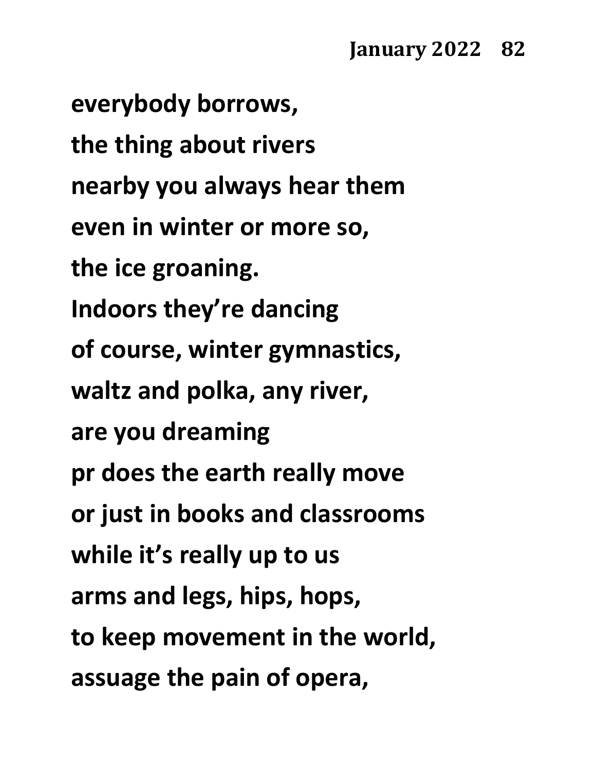**everybody borrows, the thing about rivers nearby you always hear them even in winter or more so, the ice groaning. Indoors they're dancing of course, winter gymnastics, waltz and polka, any river, are you dreaming pr does the earth really move or just in books and classrooms while it's really up to us arms and legs, hips, hops, to keep movement in the world, assuage the pain of opera,**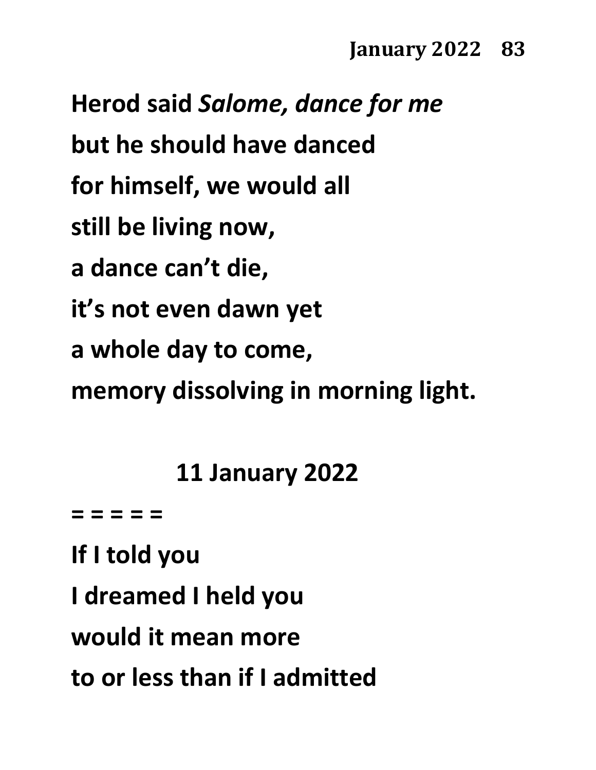**Herod said** *Salome, dance for me* **but he should have danced for himself, we would all still be living now, a dance can't die, it's not even dawn yet a whole day to come, memory dissolving in morning light.**

**11 January 2022**

**= = = = =**

**If I told you I dreamed I held you would it mean more to or less than if I admitted**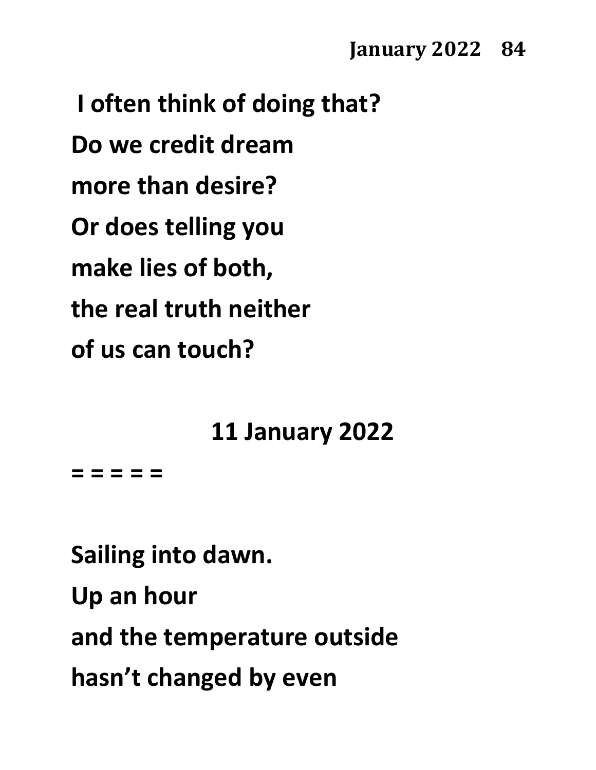**I often think of doing that? Do we credit dream more than desire? Or does telling you make lies of both, the real truth neither of us can touch?**

**11 January 2022**

**= = = = =**

**Sailing into dawn. Up an hour and the temperature outside hasn't changed by even**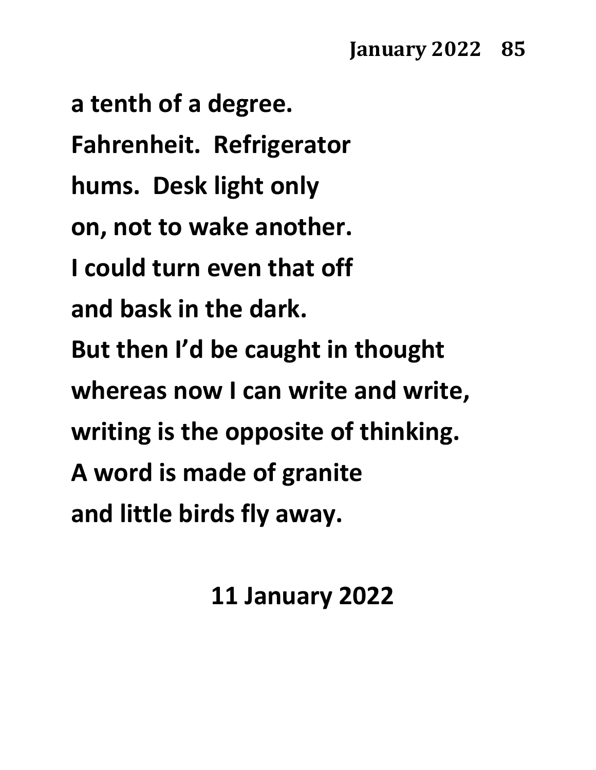**a tenth of a degree. Fahrenheit. Refrigerator hums. Desk light only on, not to wake another. I could turn even that off and bask in the dark. But then I'd be caught in thought whereas now I can write and write, writing is the opposite of thinking. A word is made of granite and little birds fly away.**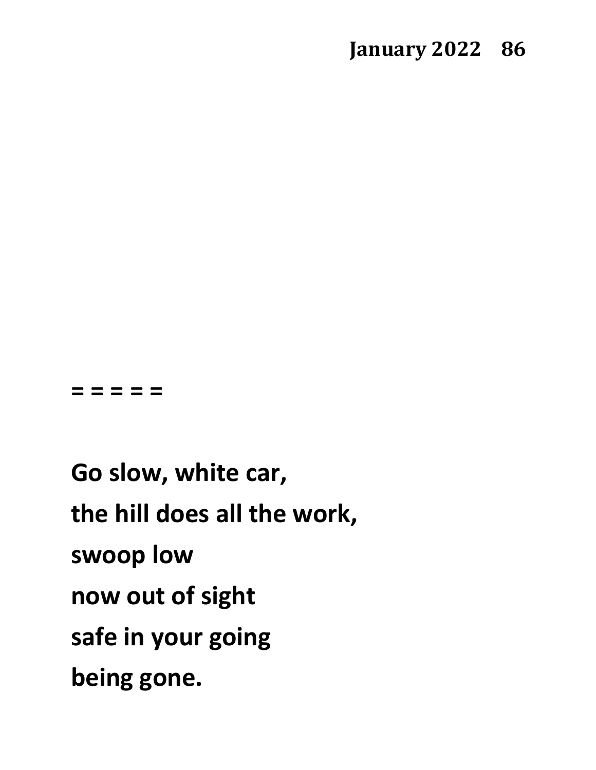#### **= = = = =**

**Go slow, white car, the hill does all the work, swoop low now out of sight safe in your going being gone.**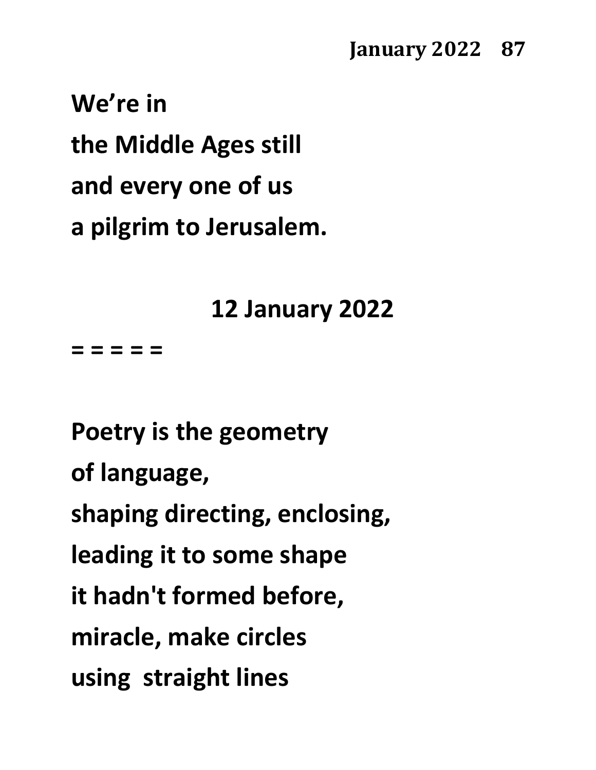### **January 2022 87**

**We're in the Middle Ages still and every one of us a pilgrim to Jerusalem.**

**12 January 2022**

**= = = = =**

**Poetry is the geometry of language, shaping directing, enclosing, leading it to some shape it hadn't formed before, miracle, make circles using straight lines**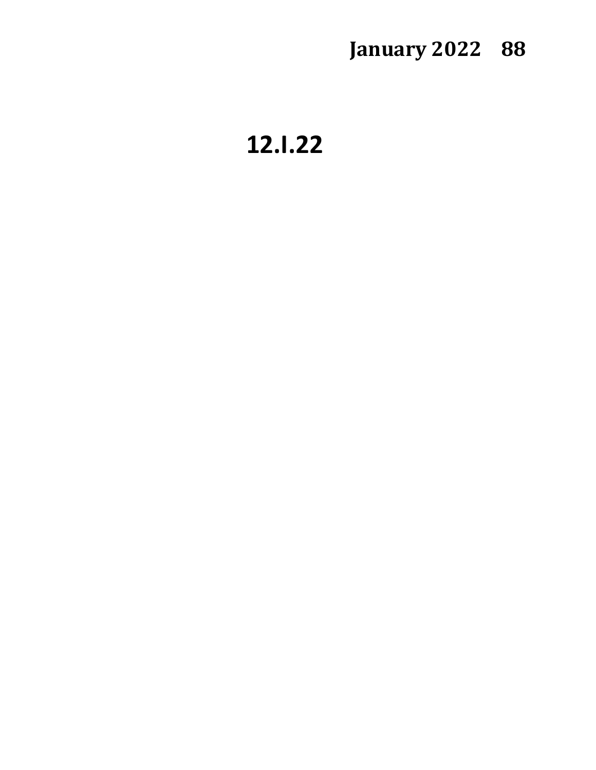# **January 2022 88**

**12.I.22**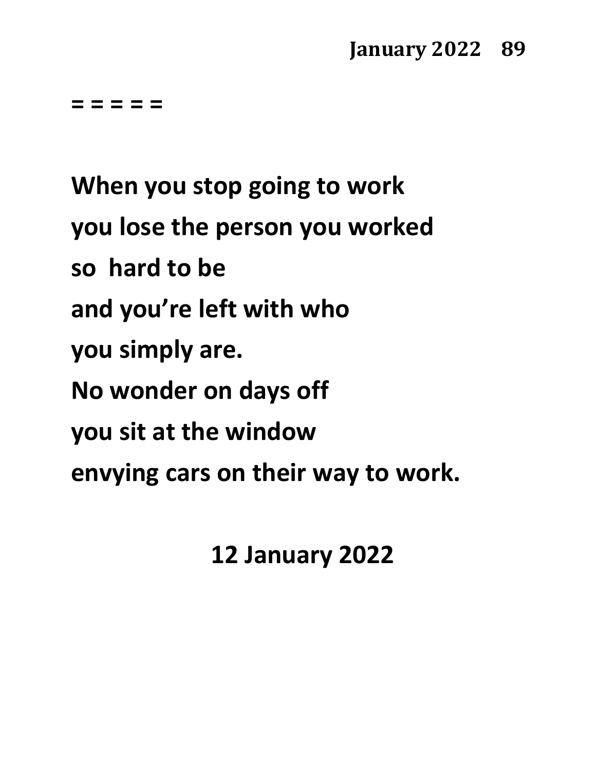**= = = = =**

**When you stop going to work you lose the person you worked so hard to be and you're left with who you simply are. No wonder on days off you sit at the window envying cars on their way to work.**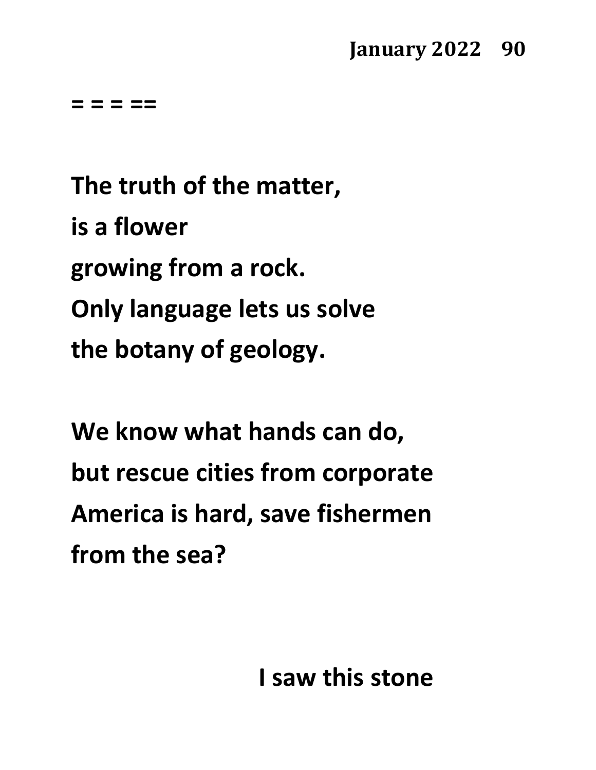**= = = ==** 

**The truth of the matter, is a flower growing from a rock. Only language lets us solve the botany of geology.**

**We know what hands can do, but rescue cities from corporate America is hard, save fishermen from the sea?** 

 **I saw this stone**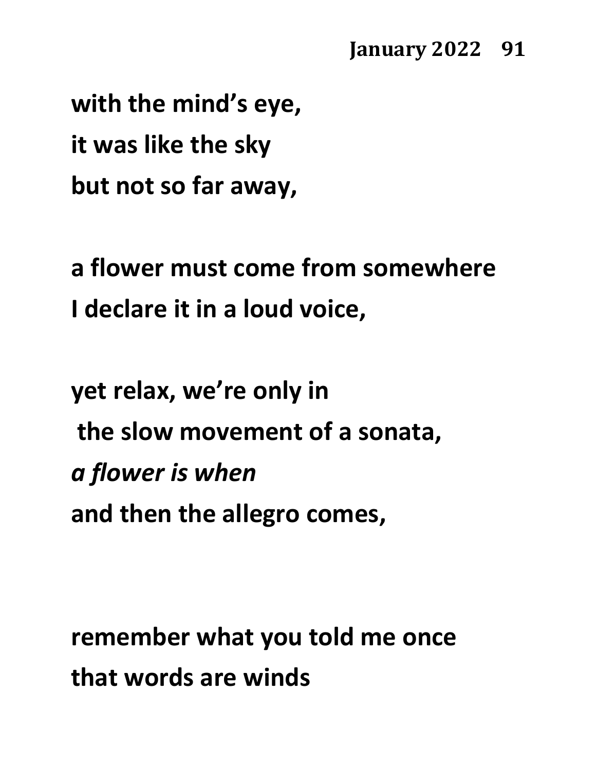**with the mind's eye, it was like the sky but not so far away,**

**a flower must come from somewhere I declare it in a loud voice,**

**yet relax, we're only in the slow movement of a sonata,** *a flower is when* **and then the allegro comes,**

**remember what you told me once that words are winds**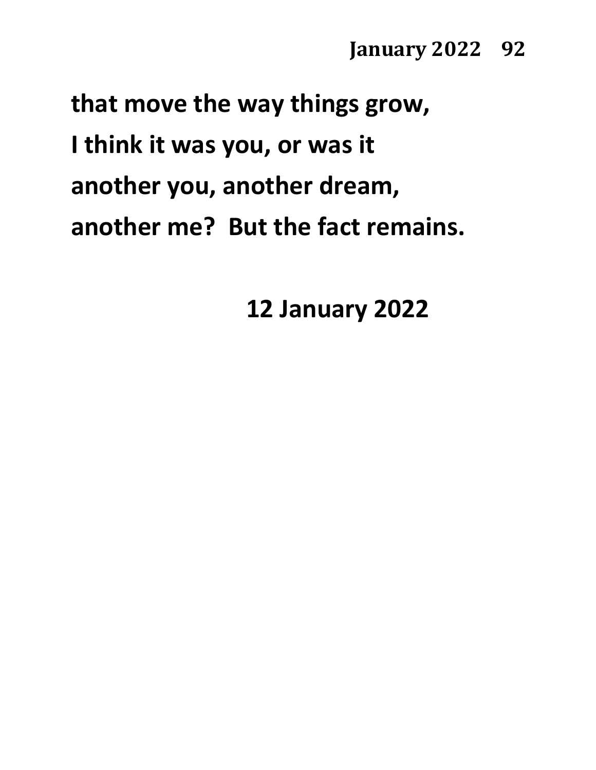**that move the way things grow, I think it was you, or was it another you, another dream, another me? But the fact remains.**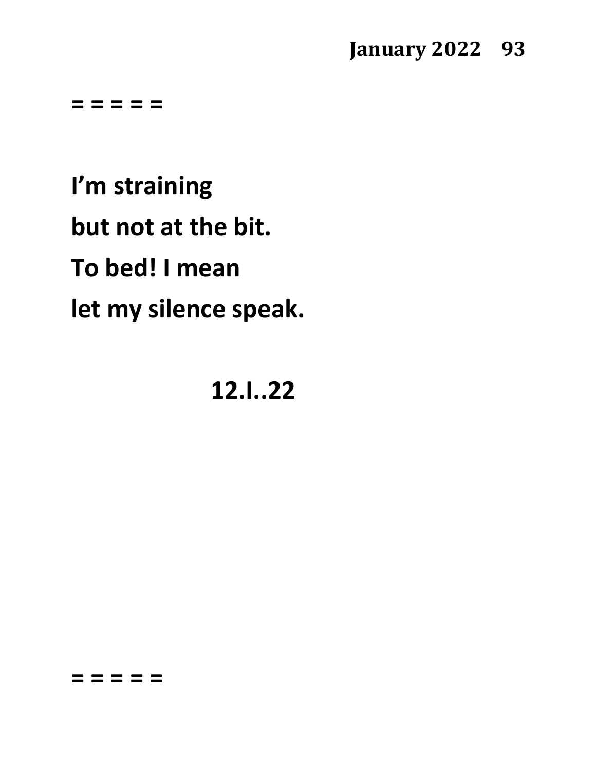### **January 2022 93**

**= = = = =**

**I'm straining but not at the bit. To bed! I mean let my silence speak.**

**12.I..22**

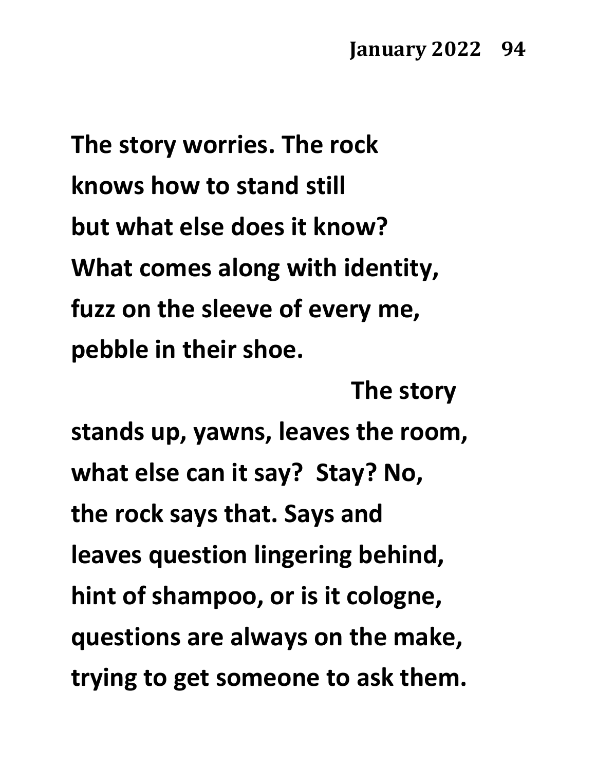**The story worries. The rock knows how to stand still but what else does it know? What comes along with identity, fuzz on the sleeve of every me, pebble in their shoe.** 

**The story stands up, yawns, leaves the room, what else can it say? Stay? No, the rock says that. Says and leaves question lingering behind, hint of shampoo, or is it cologne, questions are always on the make, trying to get someone to ask them.**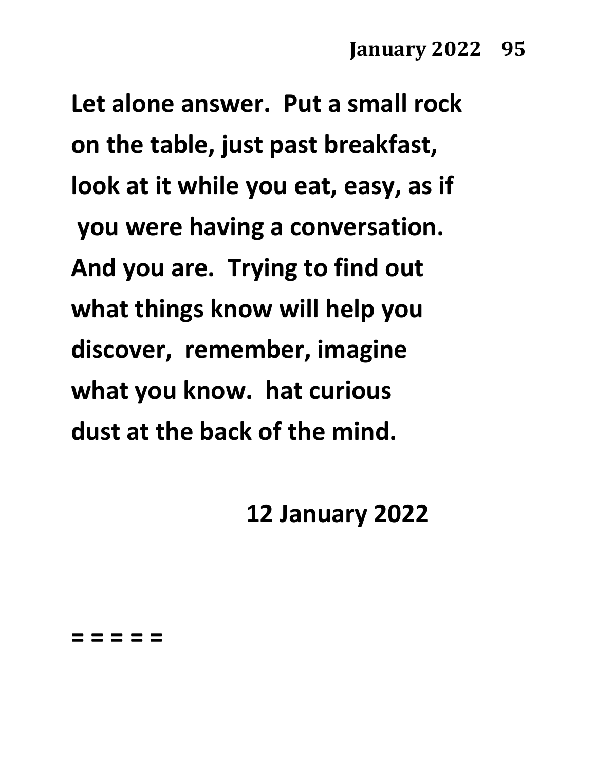**Let alone answer. Put a small rock on the table, just past breakfast, look at it while you eat, easy, as if you were having a conversation. And you are. Trying to find out what things know will help you discover, remember, imagine what you know. hat curious dust at the back of the mind.**

**12 January 2022**

**= = = = =**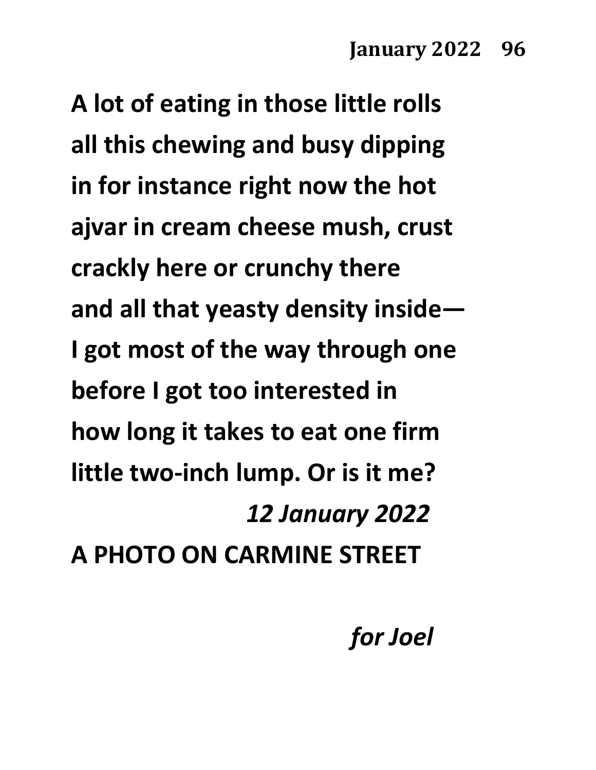**A lot of eating in those little rolls all this chewing and busy dipping in for instance right now the hot ajvar in cream cheese mush, crust crackly here or crunchy there and all that yeasty density inside— I got most of the way through one before I got too interested in how long it takes to eat one firm little two-inch lump. Or is it me?** *12 January 2022* **A PHOTO ON CARMINE STREET**

*for Joel*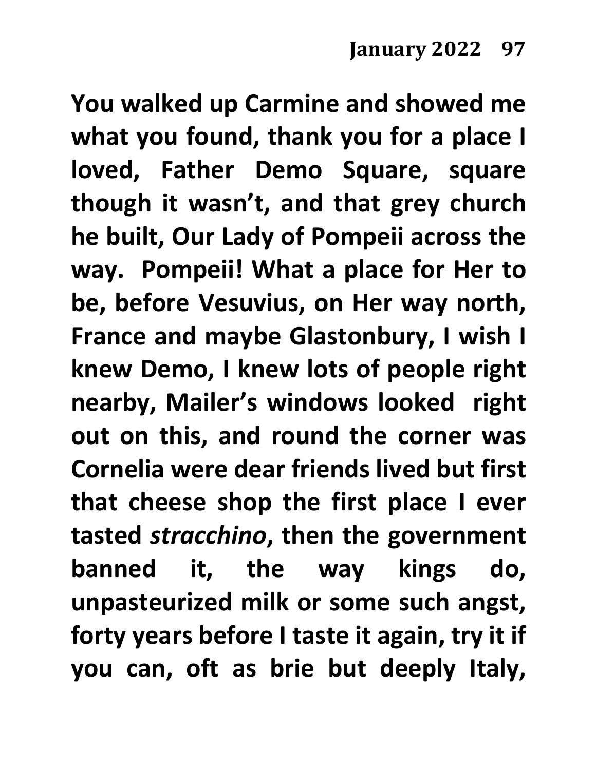**You walked up Carmine and showed me what you found, thank you for a place I loved, Father Demo Square, square though it wasn't, and that grey church he built, Our Lady of Pompeii across the way. Pompeii! What a place for Her to be, before Vesuvius, on Her way north, France and maybe Glastonbury, I wish I knew Demo, I knew lots of people right nearby, Mailer's windows looked right out on this, and round the corner was Cornelia were dear friends lived but first that cheese shop the first place I ever tasted** *stracchino***, then the government banned it, the way kings do, unpasteurized milk or some such angst, forty years before I taste it again, try it if you can, oft as brie but deeply Italy,**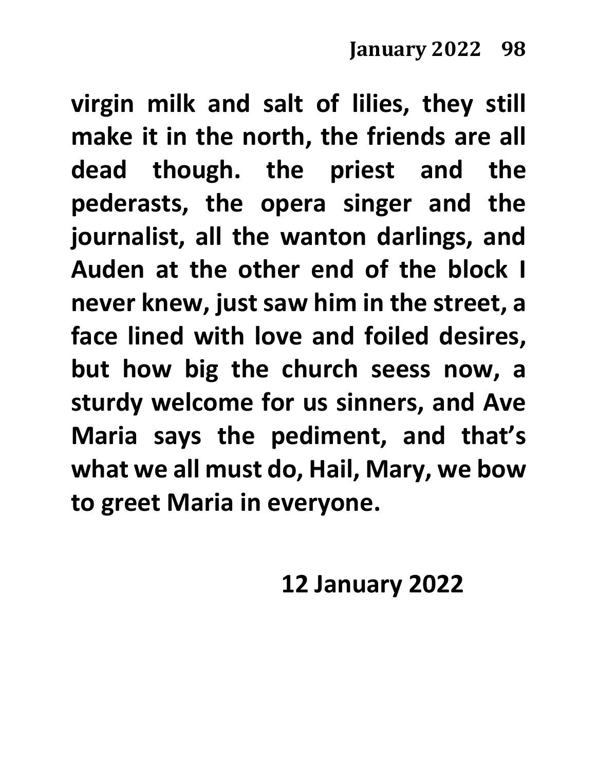**virgin milk and salt of lilies, they still make it in the north, the friends are all dead though. the priest and the pederasts, the opera singer and the journalist, all the wanton darlings, and Auden at the other end of the block I never knew, just saw him in the street, a face lined with love and foiled desires, but how big the church seess now, a sturdy welcome for us sinners, and Ave Maria says the pediment, and that's what we all must do, Hail, Mary, we bow to greet Maria in everyone.**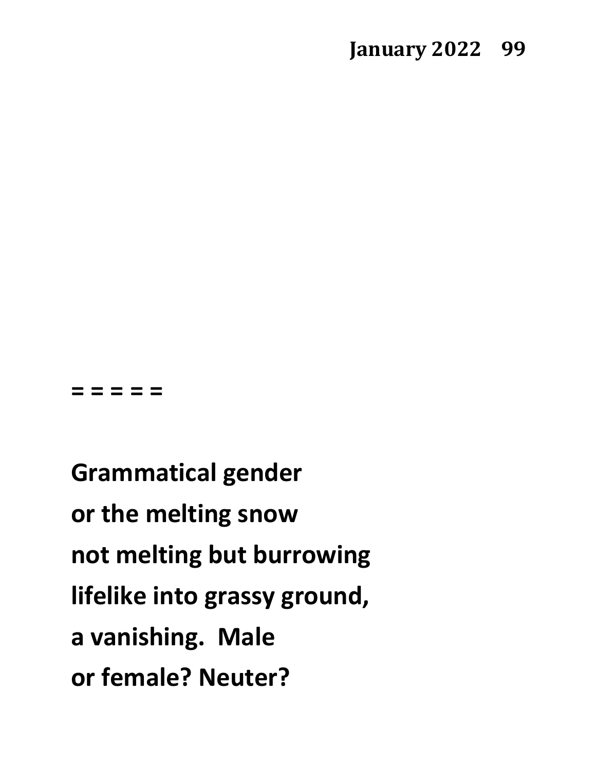#### **= = = = =**

**Grammatical gender or the melting snow not melting but burrowing lifelike into grassy ground, a vanishing. Male or female? Neuter?**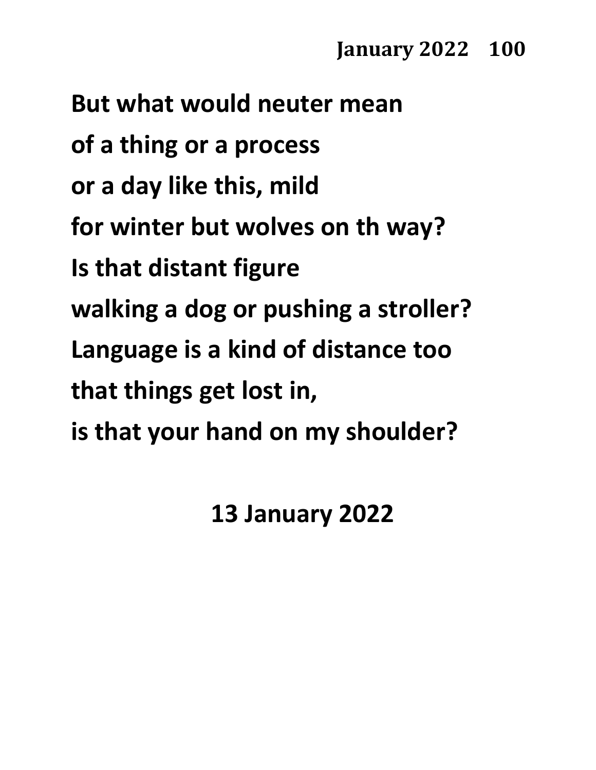**But what would neuter mean of a thing or a process or a day like this, mild for winter but wolves on th way? Is that distant figure walking a dog or pushing a stroller? Language is a kind of distance too that things get lost in, is that your hand on my shoulder?**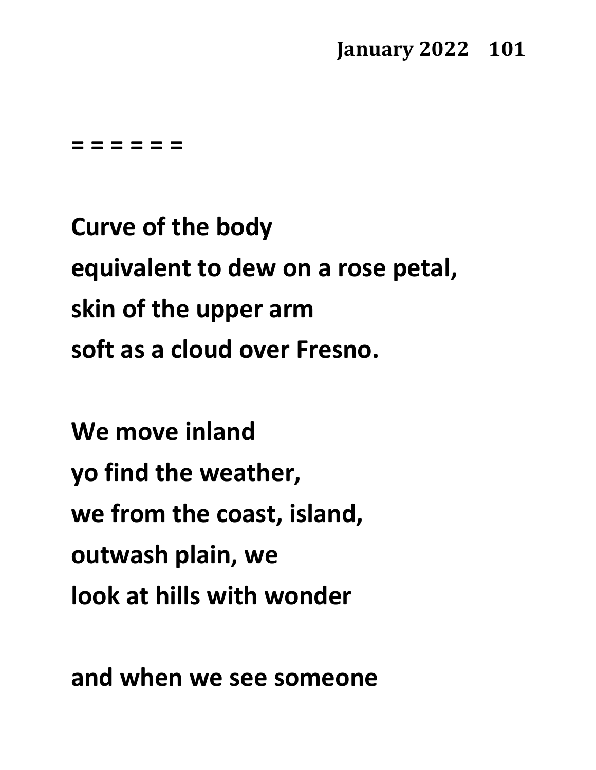### **January 2022 101**

#### **= = = = = =**

**Curve of the body equivalent to dew on a rose petal, skin of the upper arm soft as a cloud over Fresno.**

**We move inland yo find the weather, we from the coast, island, outwash plain, we look at hills with wonder**

**and when we see someone**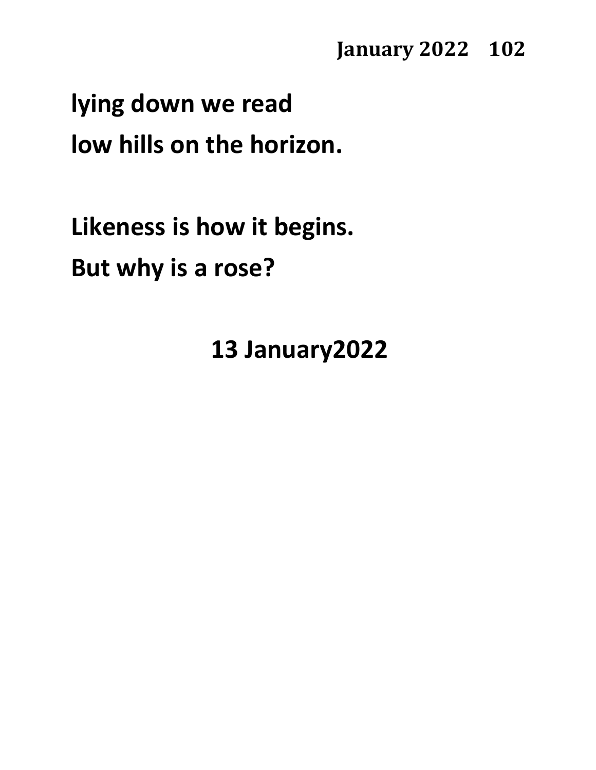#### **January 2022 102**

# **lying down we read low hills on the horizon.**

**Likeness is how it begins. But why is a rose?**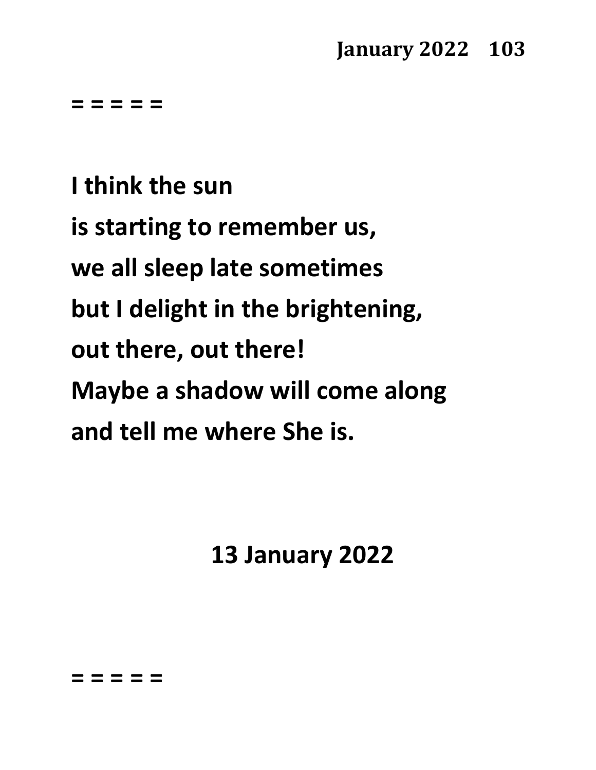## **January 2022 103**

**= = = = =**

**I think the sun is starting to remember us, we all sleep late sometimes but I delight in the brightening, out there, out there! Maybe a shadow will come along and tell me where She is.**

**13 January 2022**

**= = = = =**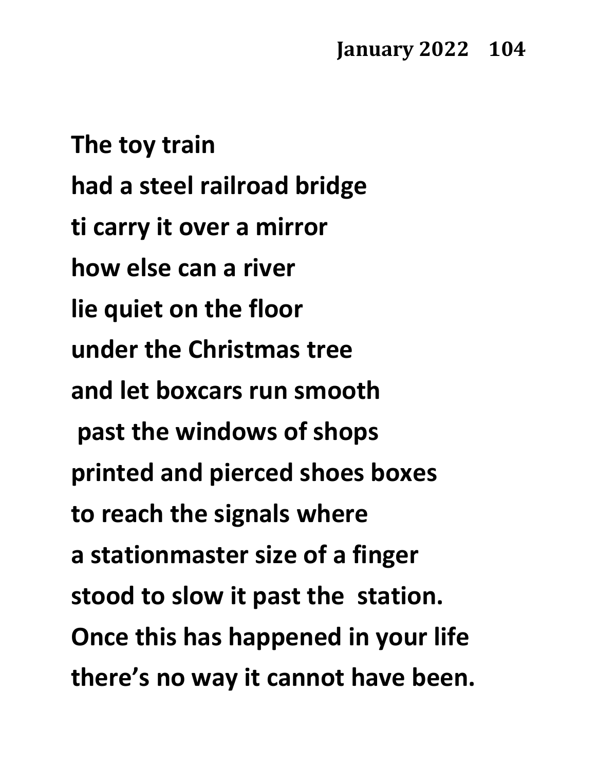**The toy train had a steel railroad bridge ti carry it over a mirror how else can a river lie quiet on the floor under the Christmas tree and let boxcars run smooth past the windows of shops printed and pierced shoes boxes to reach the signals where a stationmaster size of a finger stood to slow it past the station. Once this has happened in your life there's no way it cannot have been.**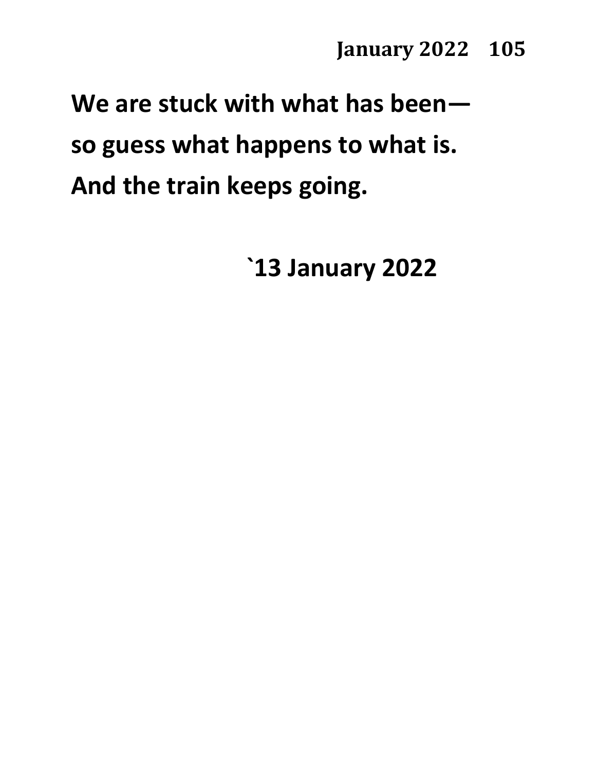# **We are stuck with what has been so guess what happens to what is. And the train keeps going.**

**`13 January 2022**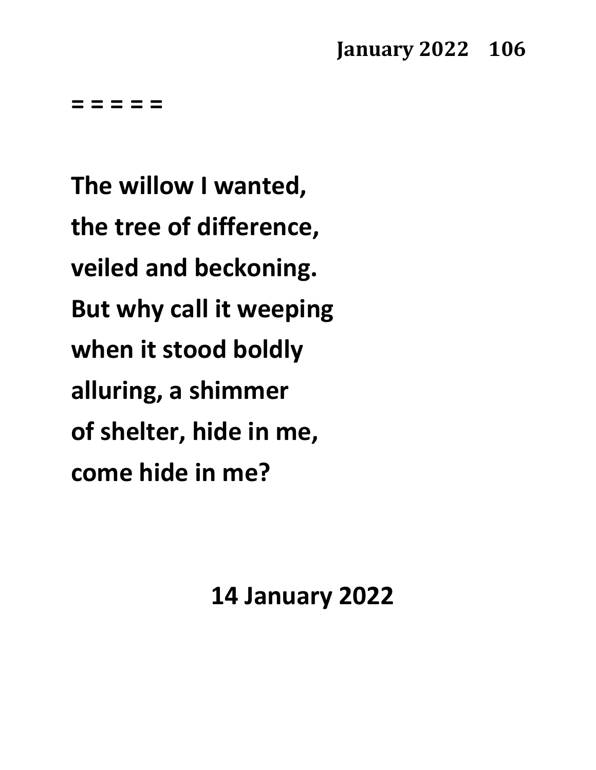## **January 2022 106**

**= = = = =**

**The willow I wanted, the tree of difference, veiled and beckoning. But why call it weeping when it stood boldly alluring, a shimmer of shelter, hide in me, come hide in me?**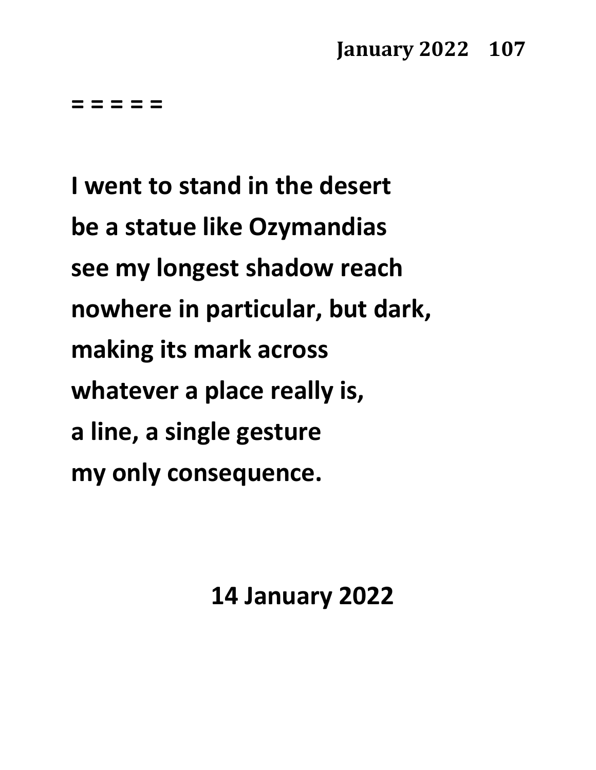## **January 2022 107**

**= = = = =**

**I went to stand in the desert be a statue like Ozymandias see my longest shadow reach nowhere in particular, but dark, making its mark across whatever a place really is, a line, a single gesture my only consequence.**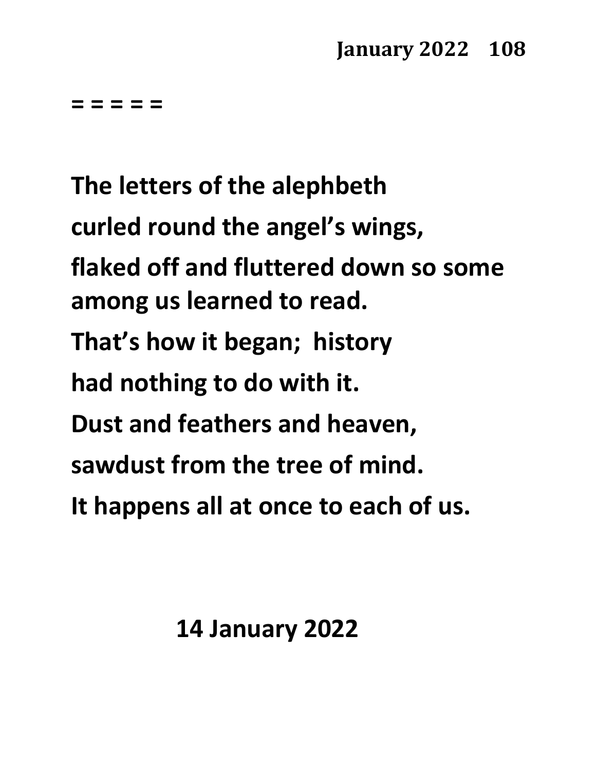**= = = = =**

**The letters of the alephbeth curled round the angel's wings, flaked off and fluttered down so some among us learned to read. That's how it began; history had nothing to do with it. Dust and feathers and heaven, sawdust from the tree of mind. It happens all at once to each of us.**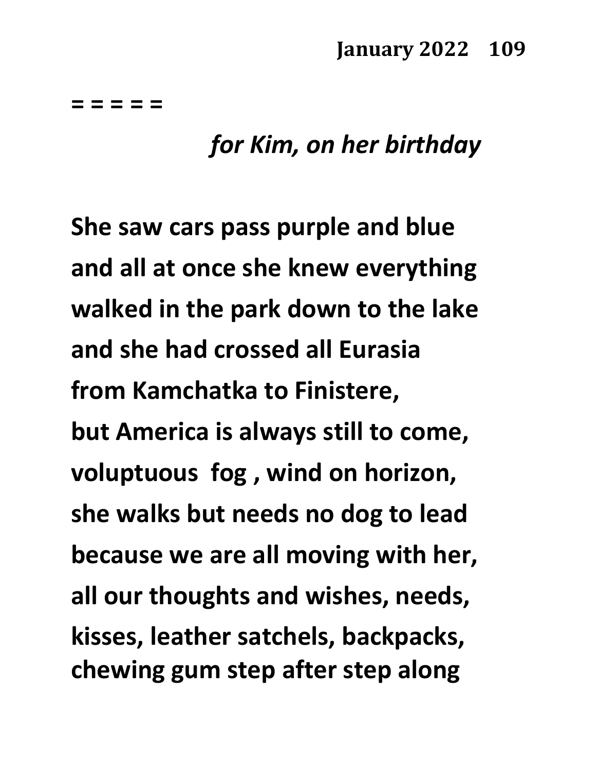**= = = = =**

## *for Kim, on her birthday*

**She saw cars pass purple and blue and all at once she knew everything walked in the park down to the lake and she had crossed all Eurasia from Kamchatka to Finistere, but America is always still to come, voluptuous fog , wind on horizon, she walks but needs no dog to lead because we are all moving with her, all our thoughts and wishes, needs, kisses, leather satchels, backpacks, chewing gum step after step along**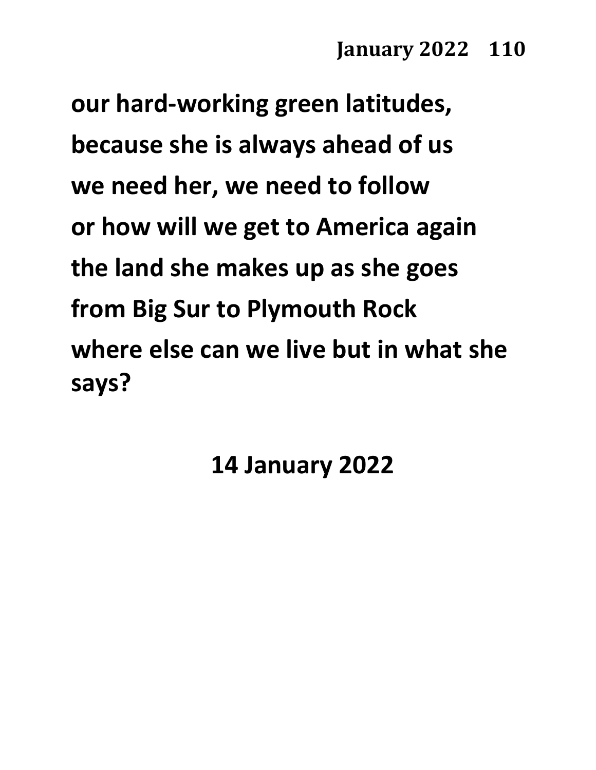**our hard-working green latitudes, because she is always ahead of us we need her, we need to follow or how will we get to America again the land she makes up as she goes from Big Sur to Plymouth Rock where else can we live but in what she says?**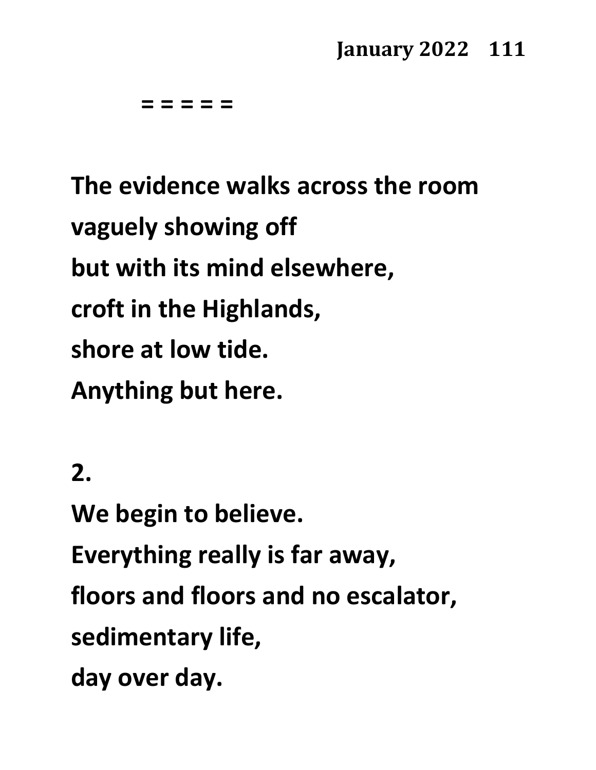**= = = = =**

**The evidence walks across the room vaguely showing off but with its mind elsewhere, croft in the Highlands, shore at low tide. Anything but here.**

**2.**

**We begin to believe. Everything really is far away, floors and floors and no escalator, sedimentary life, day over day.**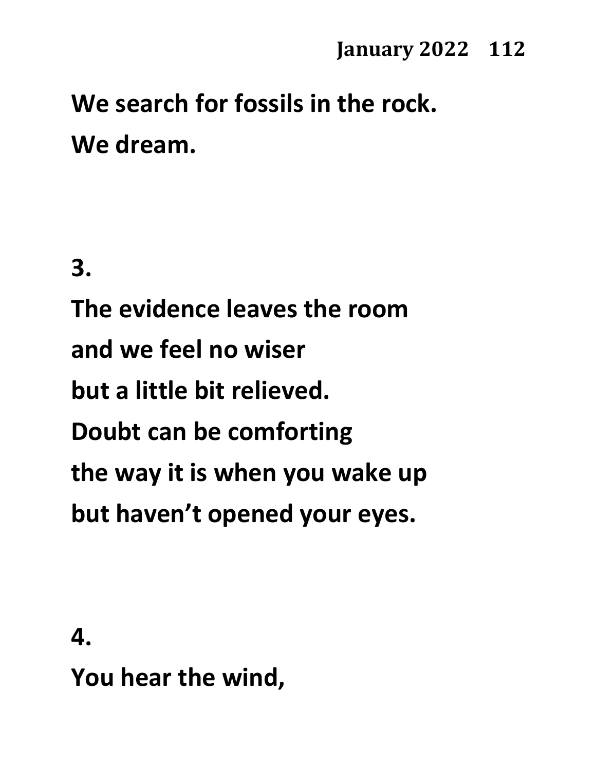# **We search for fossils in the rock. We dream.**

**3.**

**The evidence leaves the room and we feel no wiser but a little bit relieved. Doubt can be comforting the way it is when you wake up but haven't opened your eyes.**

**4.**

**You hear the wind,**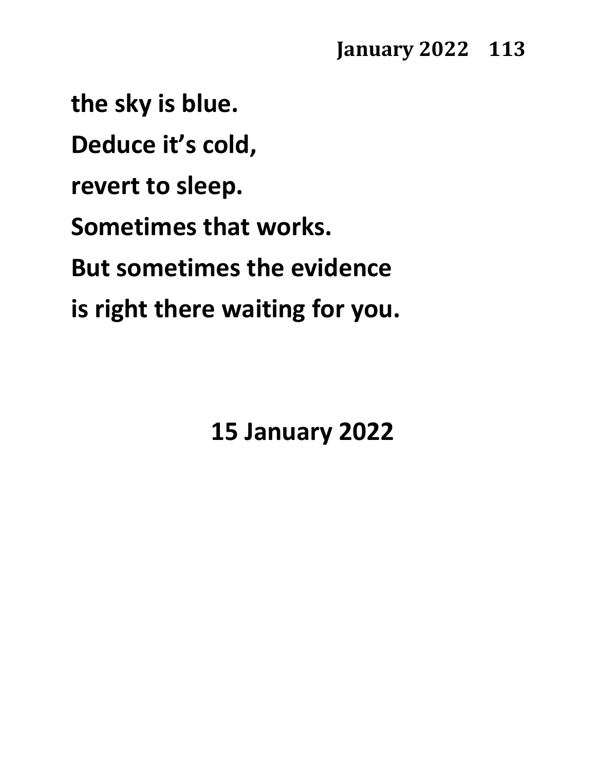**the sky is blue. Deduce it's cold, revert to sleep. Sometimes that works. But sometimes the evidence is right there waiting for you.**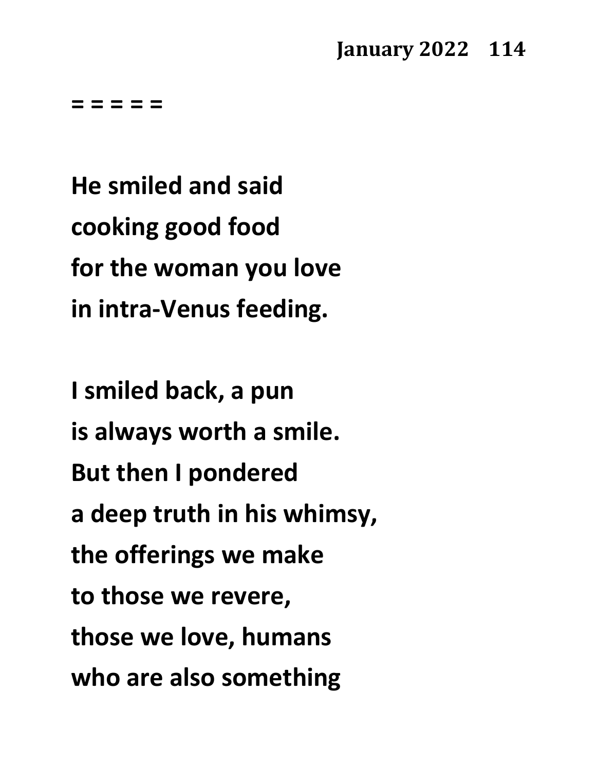**= = = = =**

**He smiled and said cooking good food for the woman you love in intra-Venus feeding.**

**I smiled back, a pun is always worth a smile. But then I pondered a deep truth in his whimsy, the offerings we make to those we revere, those we love, humans who are also something**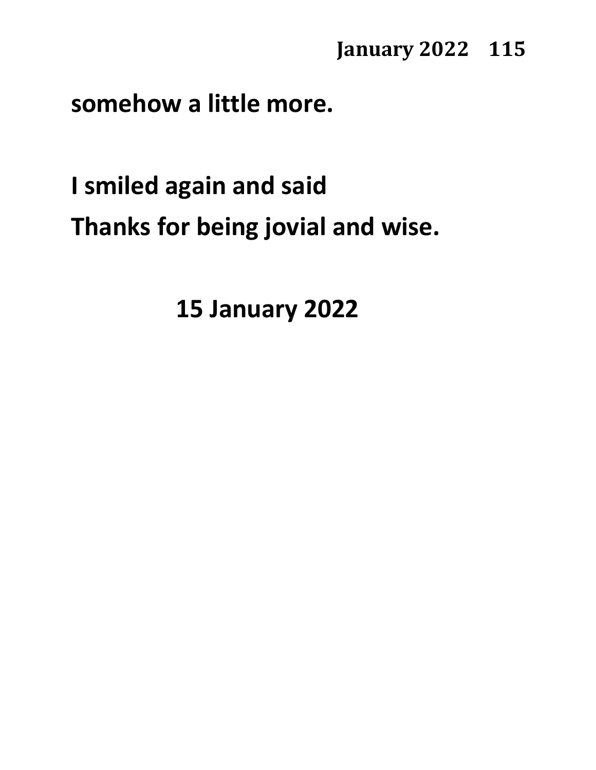**somehow a little more.**

**I smiled again and said Thanks for being jovial and wise.**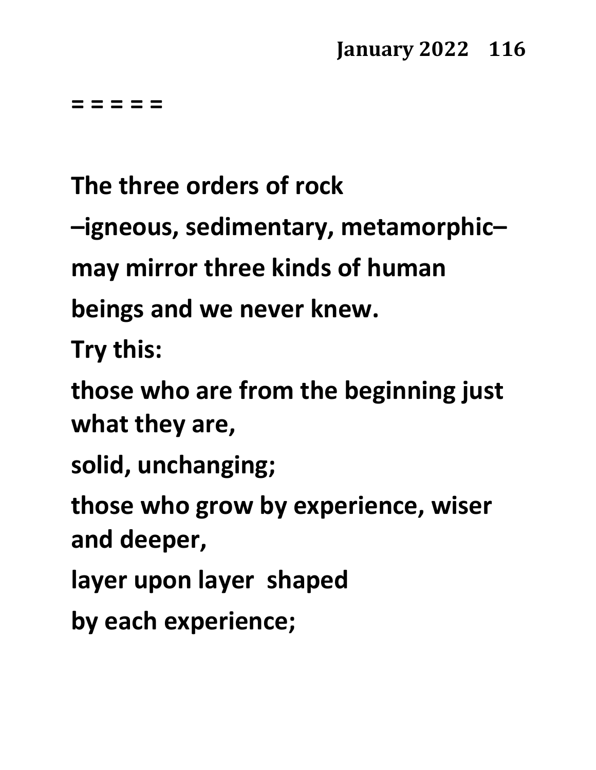**= = = = =**

**The three orders of rock**

**–igneous, sedimentary, metamorphic–**

**may mirror three kinds of human**

**beings and we never knew.**

**Try this:**

**those who are from the beginning just what they are,**

**solid, unchanging;**

**those who grow by experience, wiser and deeper,**

**layer upon layer shaped**

**by each experience;**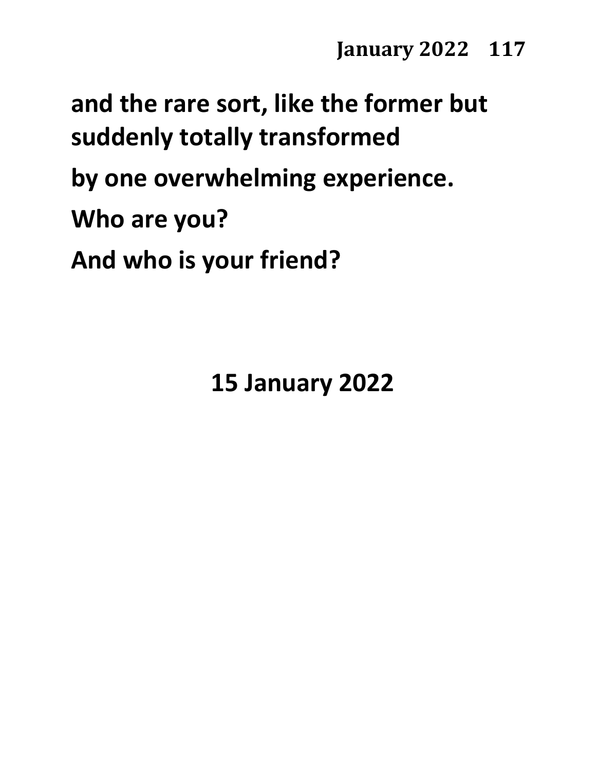**and the rare sort, like the former but suddenly totally transformed by one overwhelming experience. Who are you? And who is your friend?**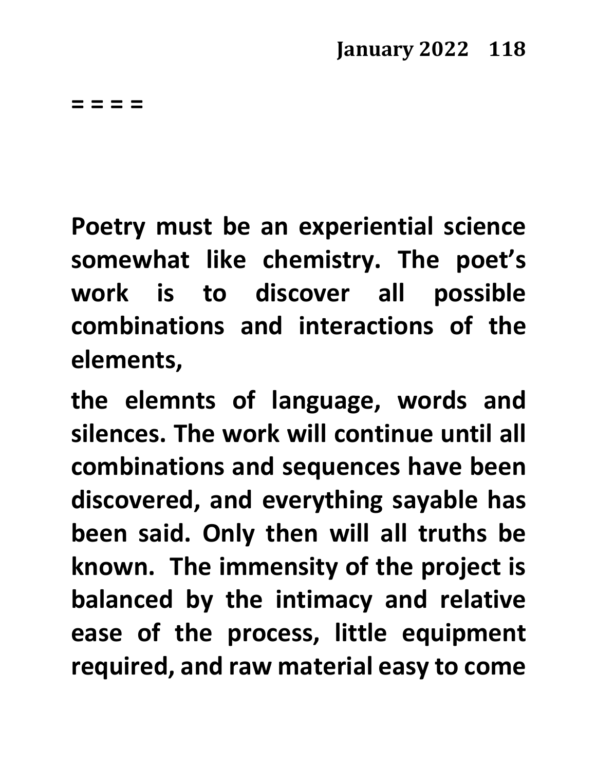**= = = =** 

**Poetry must be an experiential science somewhat like chemistry. The poet's work is to discover all possible combinations and interactions of the elements,**

**the elemnts of language, words and silences. The work will continue until all combinations and sequences have been discovered, and everything sayable has been said. Only then will all truths be known. The immensity of the project is balanced by the intimacy and relative ease of the process, little equipment required, and raw material easy to come**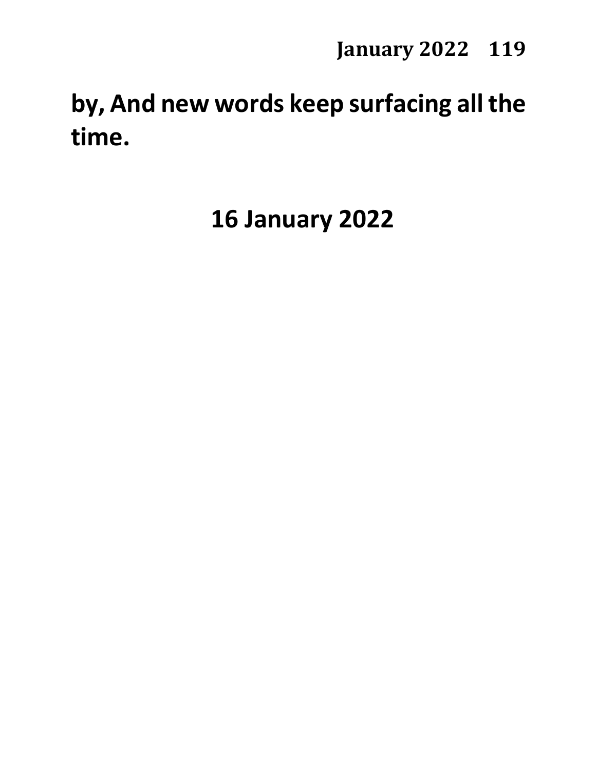## **by, And new words keep surfacing all the time.**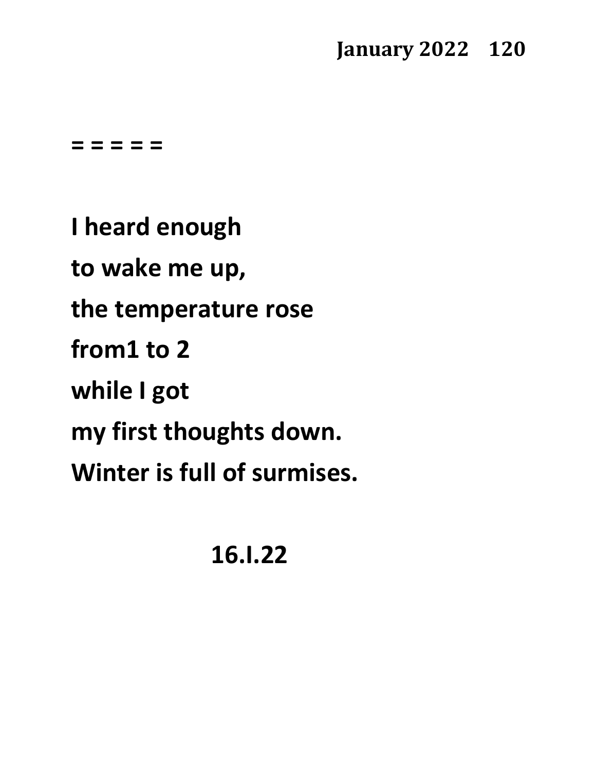**= = = = =**

**I heard enough to wake me up, the temperature rose from1 to 2 while I got my first thoughts down. Winter is full of surmises.**

**16.I.22**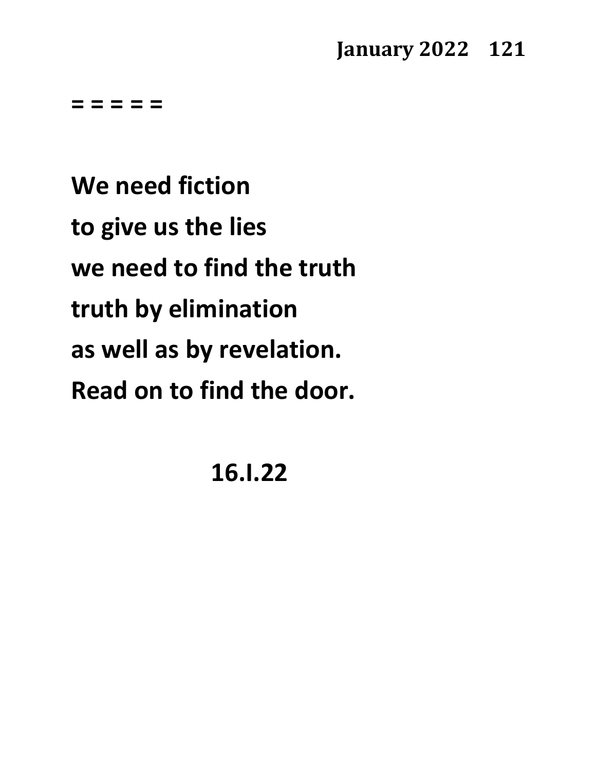**= = = = =**

**We need fiction to give us the lies we need to find the truth truth by elimination as well as by revelation. Read on to find the door.**

**16.I.22**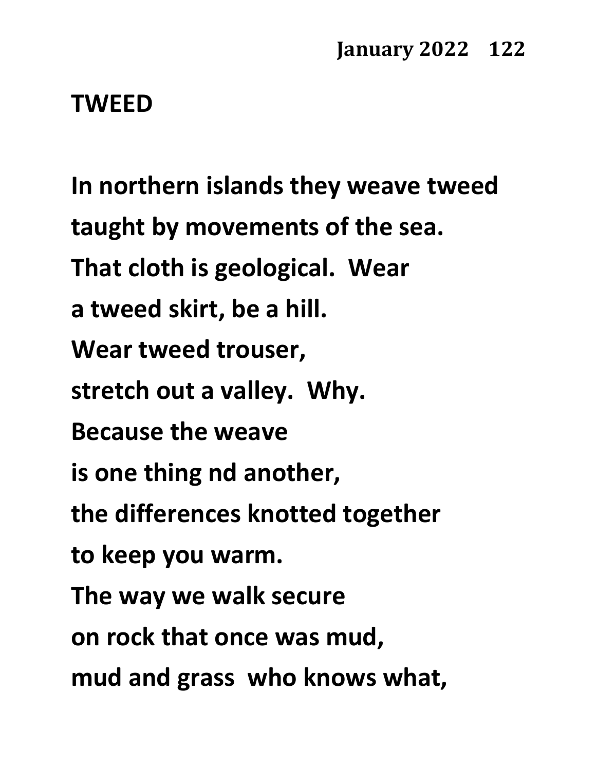#### **TWEED**

**In northern islands they weave tweed taught by movements of the sea. That cloth is geological. Wear a tweed skirt, be a hill. Wear tweed trouser, stretch out a valley. Why. Because the weave is one thing nd another, the differences knotted together to keep you warm. The way we walk secure on rock that once was mud, mud and grass who knows what,**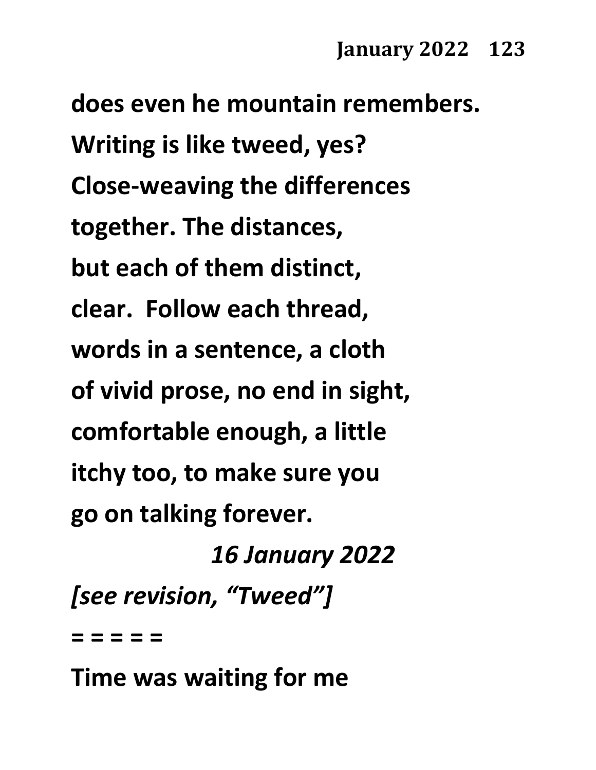**does even he mountain remembers. Writing is like tweed, yes? Close-weaving the differences together. The distances, but each of them distinct, clear. Follow each thread, words in a sentence, a cloth of vivid prose, no end in sight, comfortable enough, a little itchy too, to make sure you go on talking forever.** *16 January 2022*

*[see revision, "Tweed"]*

**= = = = =**

**Time was waiting for me**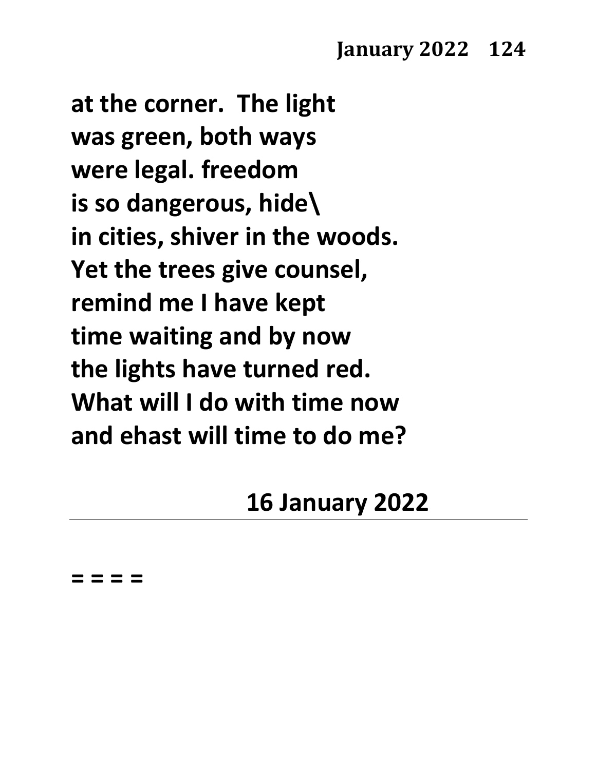**at the corner. The light was green, both ways were legal. freedom is so dangerous, hide\ in cities, shiver in the woods. Yet the trees give counsel, remind me I have kept time waiting and by now the lights have turned red. What will I do with time now and ehast will time to do me?**

## **16 January 2022**

**= = = =**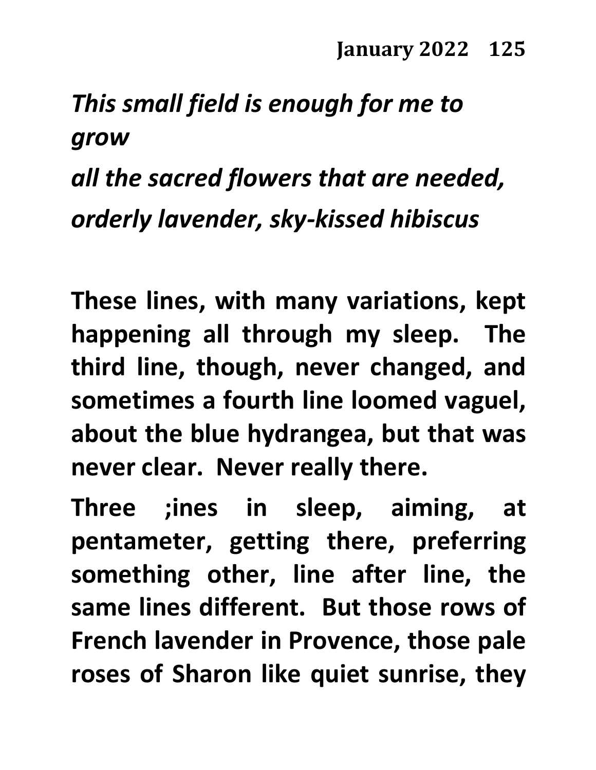## *This small field is enough for me to grow*

# *all the sacred flowers that are needed, orderly lavender, sky-kissed hibiscus*

**These lines, with many variations, kept happening all through my sleep. The third line, though, never changed, and sometimes a fourth line loomed vaguel, about the blue hydrangea, but that was never clear. Never really there.**

**Three ;ines in sleep, aiming, at pentameter, getting there, preferring something other, line after line, the same lines different. But those rows of French lavender in Provence, those pale roses of Sharon like quiet sunrise, they**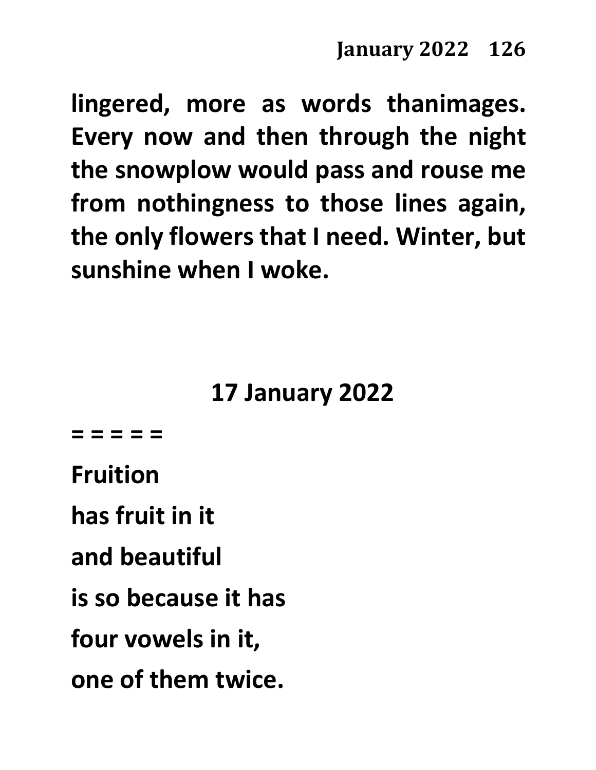**lingered, more as words thanimages. Every now and then through the night the snowplow would pass and rouse me from nothingness to those lines again, the only flowers that I need. Winter, but sunshine when I woke.**

## **17 January 2022**

**= = = = =**

**Fruition**

**has fruit in it**

**and beautiful**

**is so because it has**

**four vowels in it,**

**one of them twice.**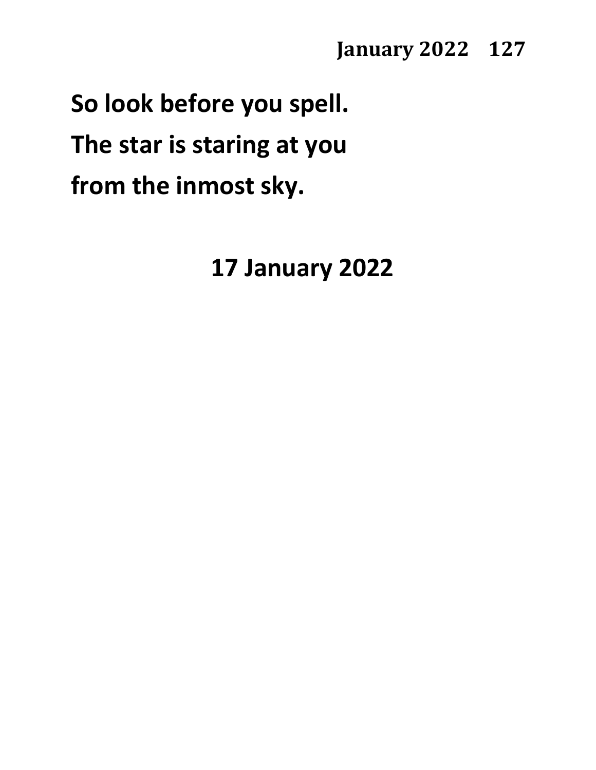**So look before you spell. The star is staring at you from the inmost sky.**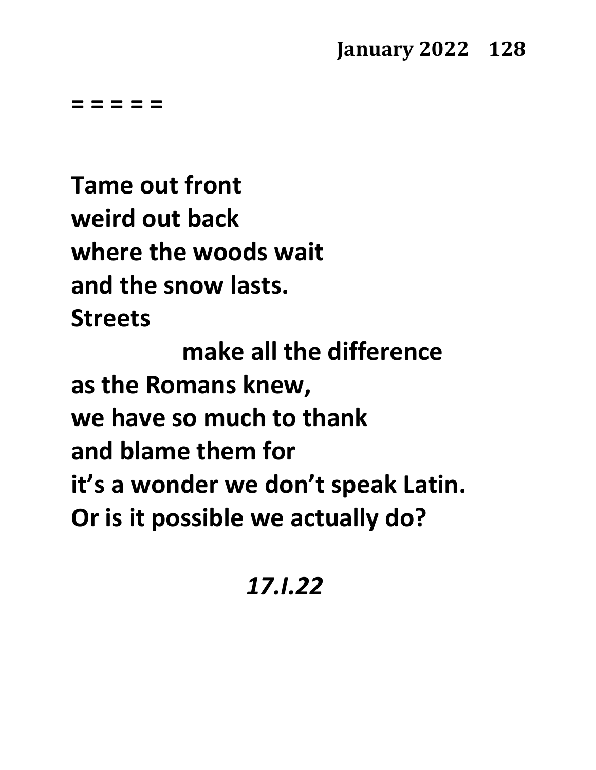**= = = = =**

**Tame out front weird out back where the woods wait and the snow lasts. Streets**

**make all the difference as the Romans knew, we have so much to thank and blame them for it's a wonder we don't speak Latin. Or is it possible we actually do?**

## *17.I.22*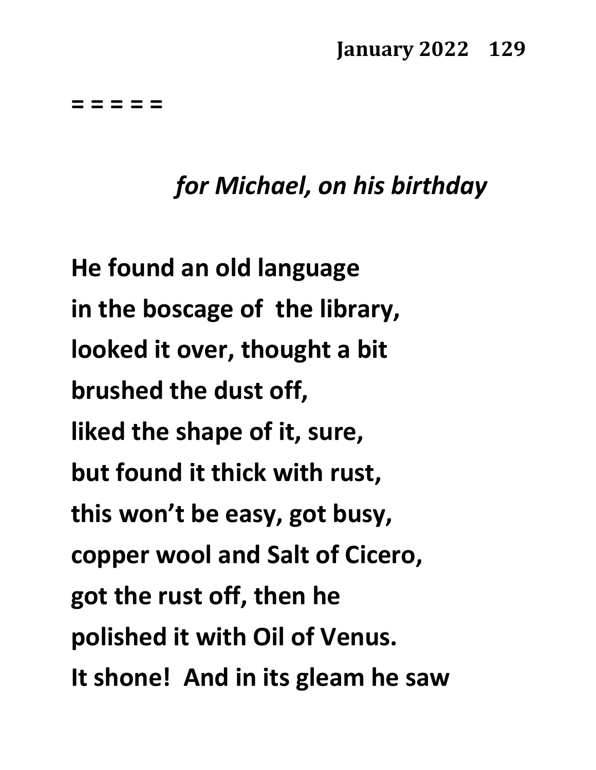**= = = = =**

## *for Michael, on his birthday*

**He found an old language in the boscage of the library, looked it over, thought a bit brushed the dust off, liked the shape of it, sure, but found it thick with rust, this won't be easy, got busy, copper wool and Salt of Cicero, got the rust off, then he polished it with Oil of Venus. It shone! And in its gleam he saw**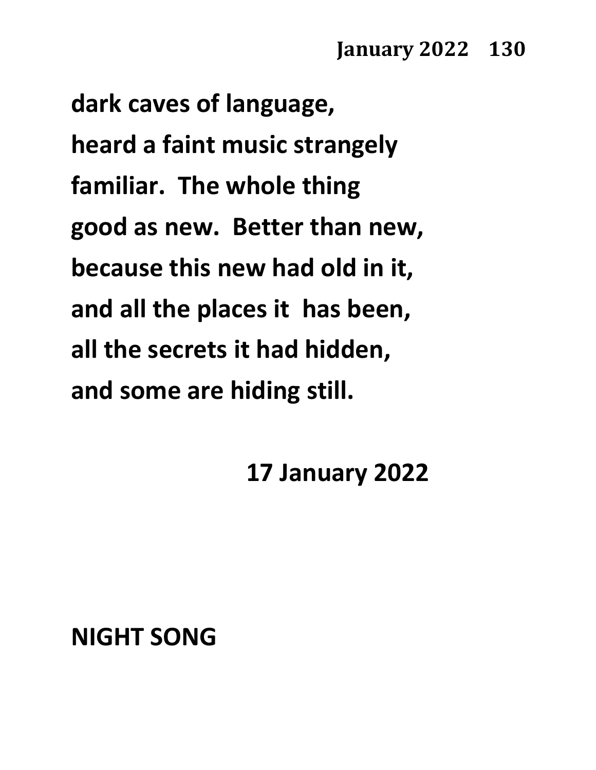**dark caves of language, heard a faint music strangely familiar. The whole thing good as new. Better than new, because this new had old in it, and all the places it has been, all the secrets it had hidden, and some are hiding still.**

**17 January 2022**

## **NIGHT SONG**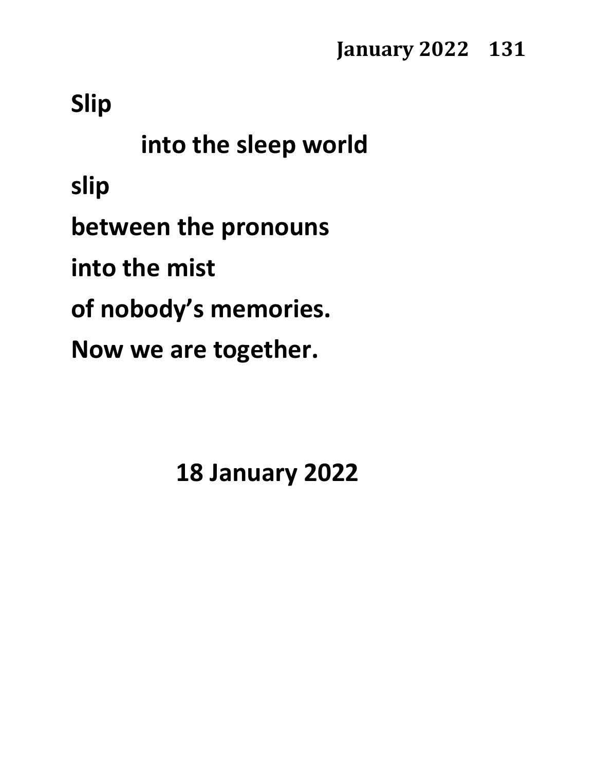**Slip**

**into the sleep world slip between the pronouns into the mist of nobody's memories. Now we are together.**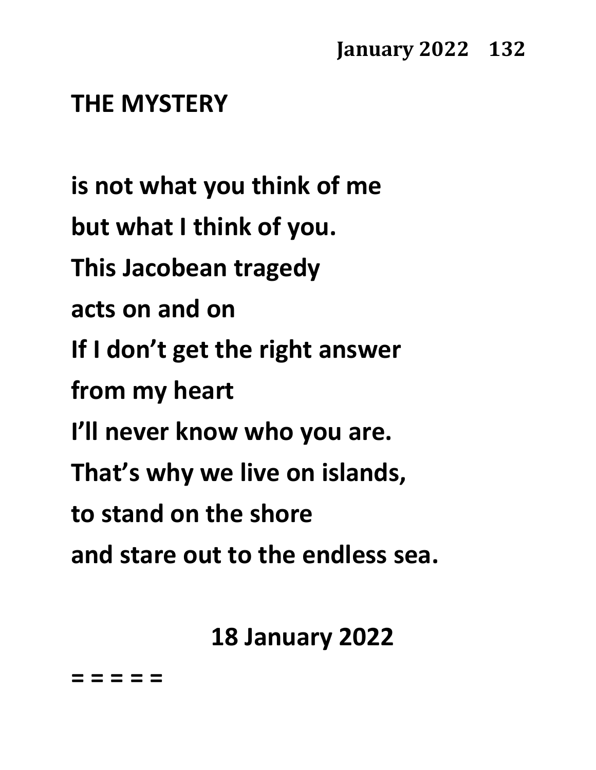## **THE MYSTERY**

**is not what you think of me but what I think of you. This Jacobean tragedy acts on and on If I don't get the right answer from my heart I'll never know who you are. That's why we live on islands, to stand on the shore and stare out to the endless sea.**

**18 January 2022**

**= = = = =**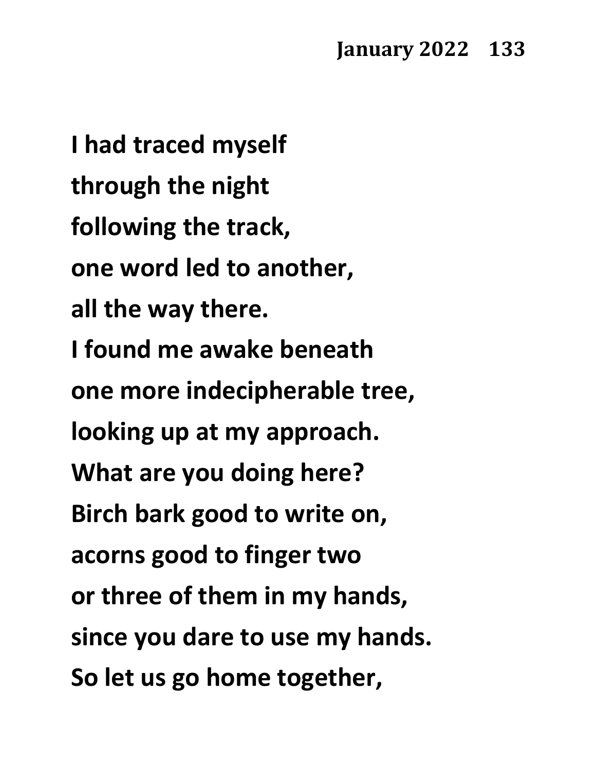**I had traced myself through the night following the track, one word led to another, all the way there. I found me awake beneath one more indecipherable tree, looking up at my approach. What are you doing here? Birch bark good to write on, acorns good to finger two or three of them in my hands, since you dare to use my hands. So let us go home together,**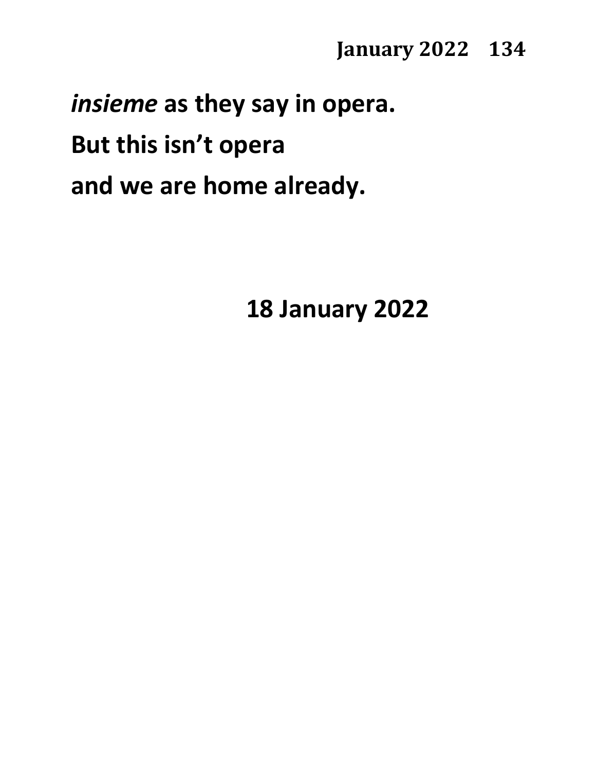*insieme* **as they say in opera.**

**But this isn't opera**

**and we are home already.**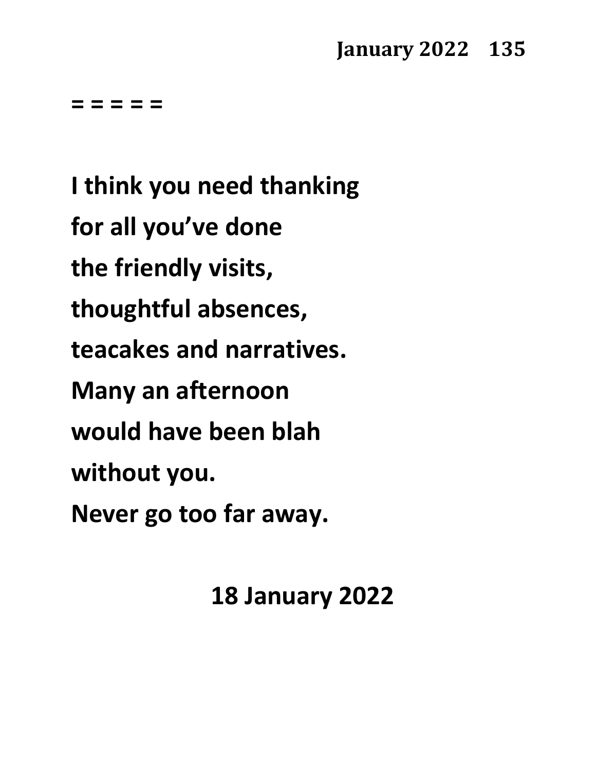**= = = = =**

**I think you need thanking for all you've done the friendly visits, thoughtful absences, teacakes and narratives. Many an afternoon would have been blah without you. Never go too far away.**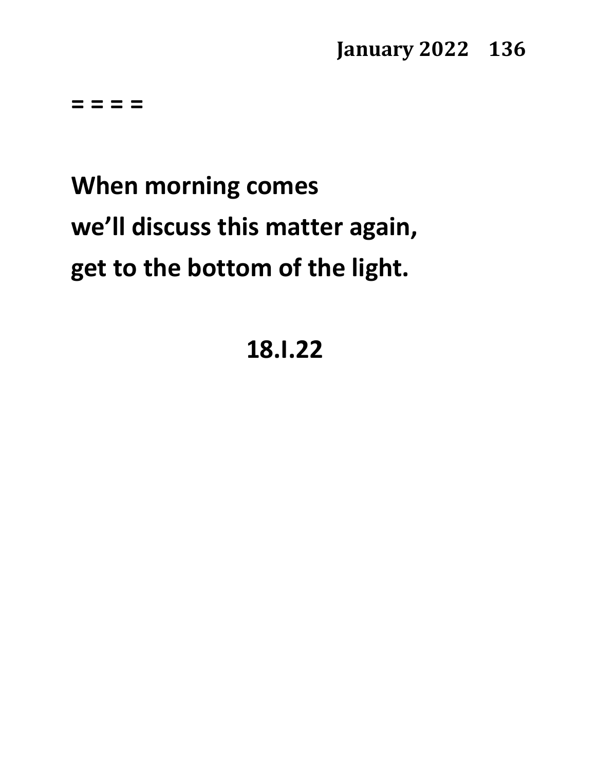**= = = =** 

# **When morning comes we'll discuss this matter again, get to the bottom of the light.**

## **18.I.22**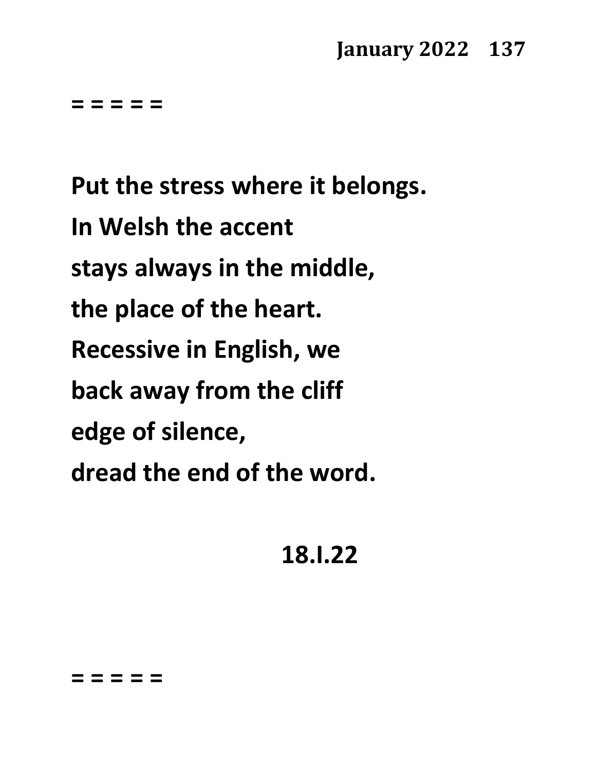**= = = = =**

**Put the stress where it belongs. In Welsh the accent stays always in the middle, the place of the heart. Recessive in English, we back away from the cliff edge of silence, dread the end of the word.**

**18.I.22**

#### **= = = = =**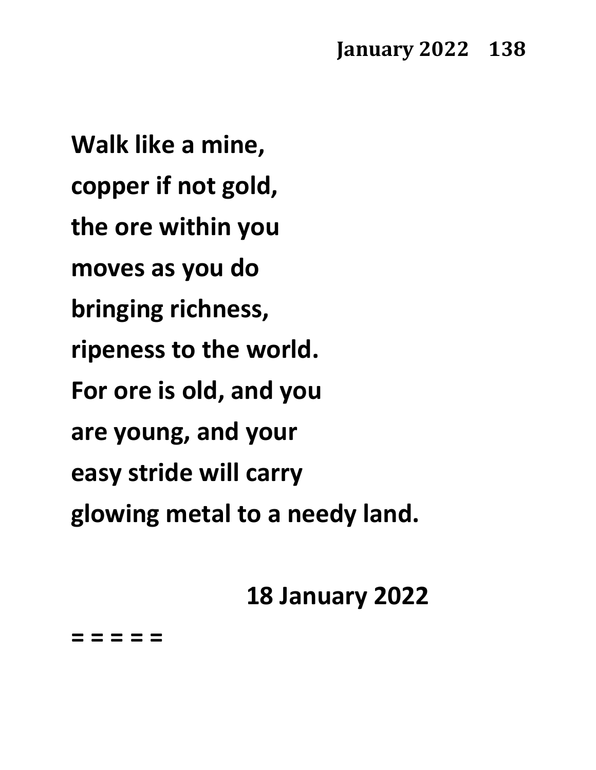**Walk like a mine, copper if not gold, the ore within you moves as you do bringing richness, ripeness to the world. For ore is old, and you are young, and your easy stride will carry glowing metal to a needy land.**

## **18 January 2022**

**= = = = =**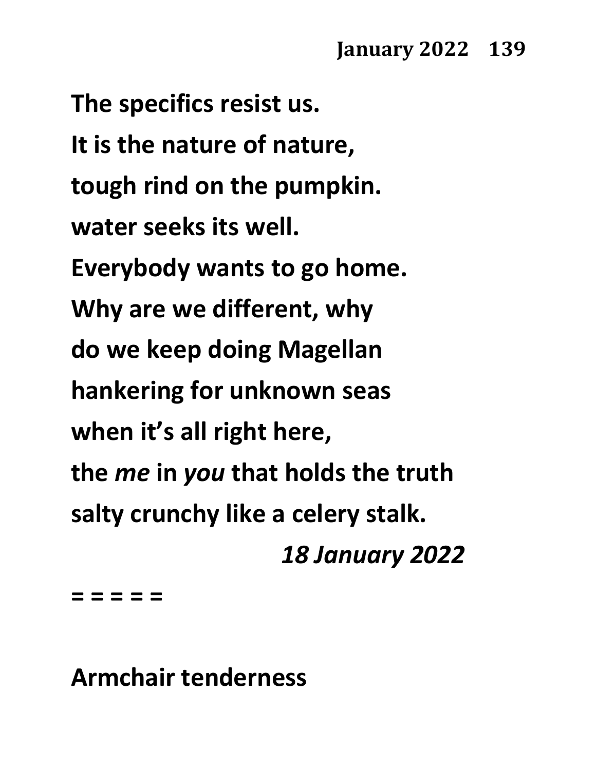**The specifics resist us. It is the nature of nature, tough rind on the pumpkin. water seeks its well. Everybody wants to go home. Why are we different, why do we keep doing Magellan hankering for unknown seas when it's all right here, the** *me* **in** *you* **that holds the truth salty crunchy like a celery stalk.** *18 January 2022*

**= = = = =**

**Armchair tenderness**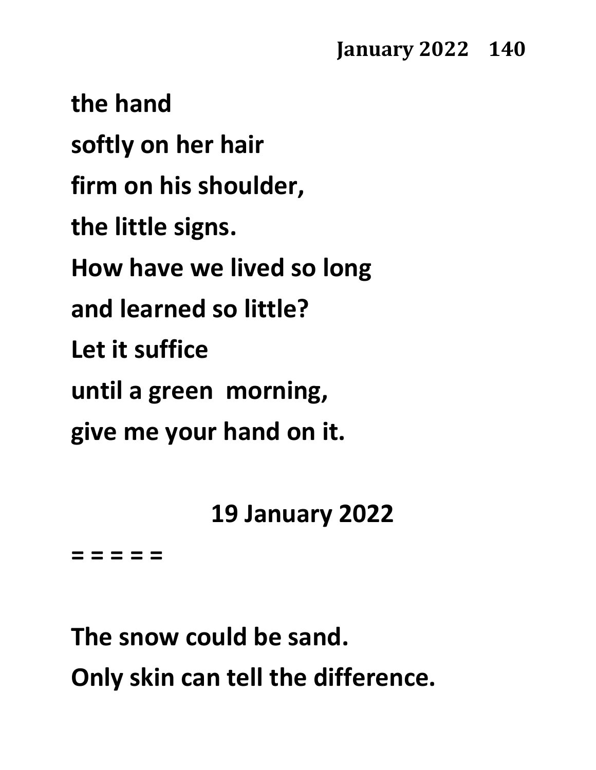**the hand softly on her hair firm on his shoulder, the little signs. How have we lived so long and learned so little? Let it suffice until a green morning, give me your hand on it.**

**19 January 2022**

**= = = = =** 

**The snow could be sand. Only skin can tell the difference.**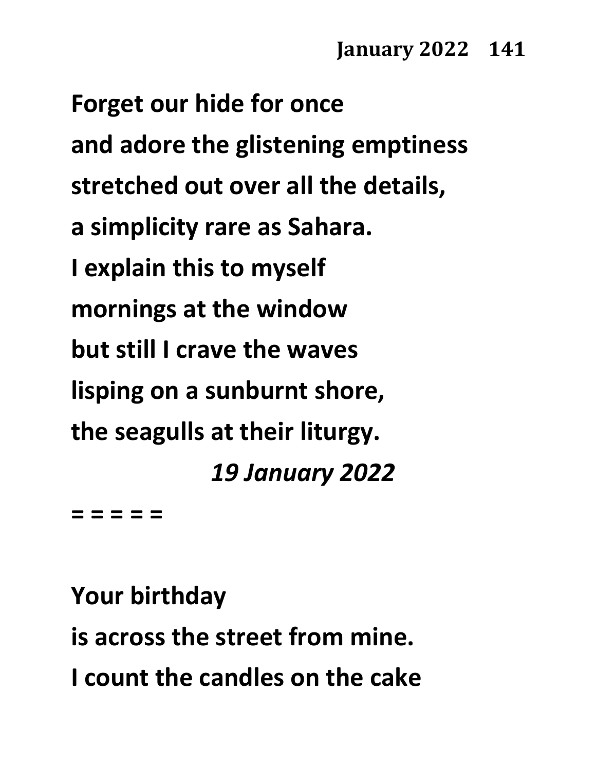**Forget our hide for once and adore the glistening emptiness stretched out over all the details, a simplicity rare as Sahara. I explain this to myself mornings at the window but still I crave the waves lisping on a sunburnt shore, the seagulls at their liturgy.** *19 January 2022*

**= = = = =**

**Your birthday**

**is across the street from mine. I count the candles on the cake**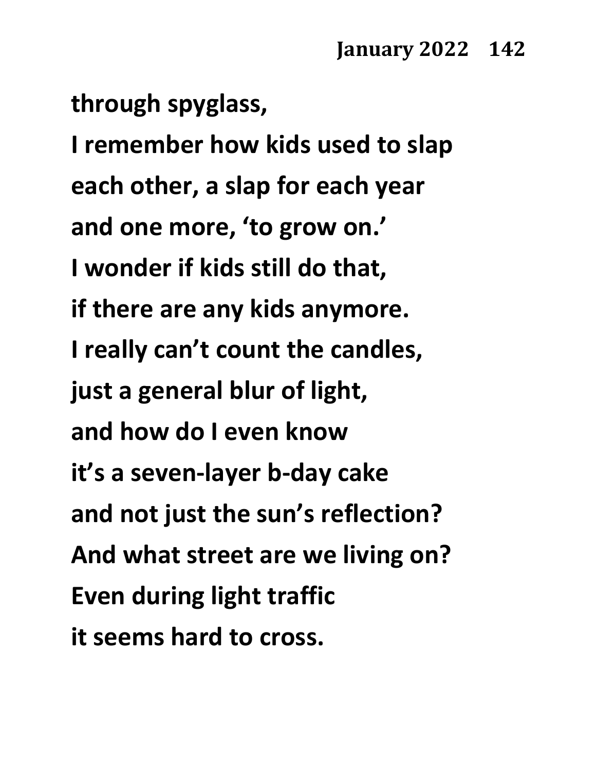**through spyglass,**

**I remember how kids used to slap each other, a slap for each year and one more, 'to grow on.' I wonder if kids still do that, if there are any kids anymore. I really can't count the candles, just a general blur of light, and how do I even know it's a seven-layer b-day cake and not just the sun's reflection? And what street are we living on? Even during light traffic it seems hard to cross.**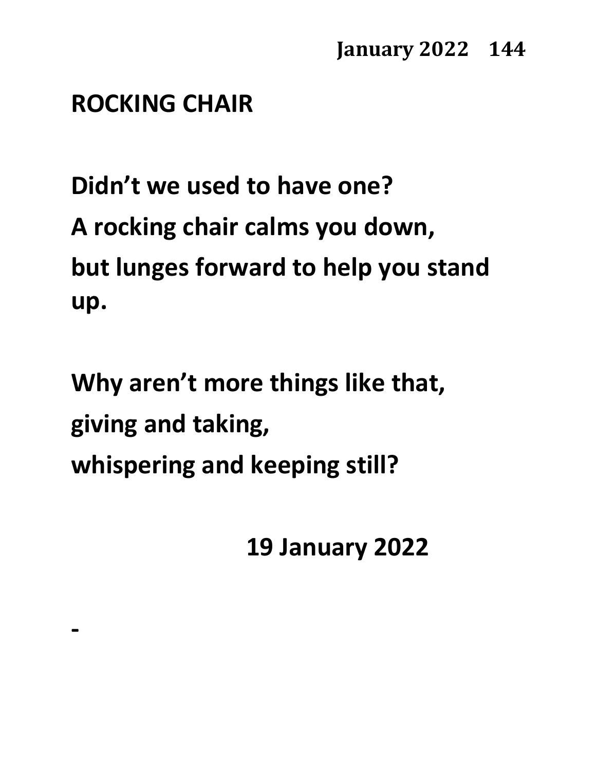#### **ROCKING CHAIR**

**-**

**Didn't we used to have one? A rocking chair calms you down, but lunges forward to help you stand up.**

**Why aren't more things like that, giving and taking, whispering and keeping still?**

**19 January 2022**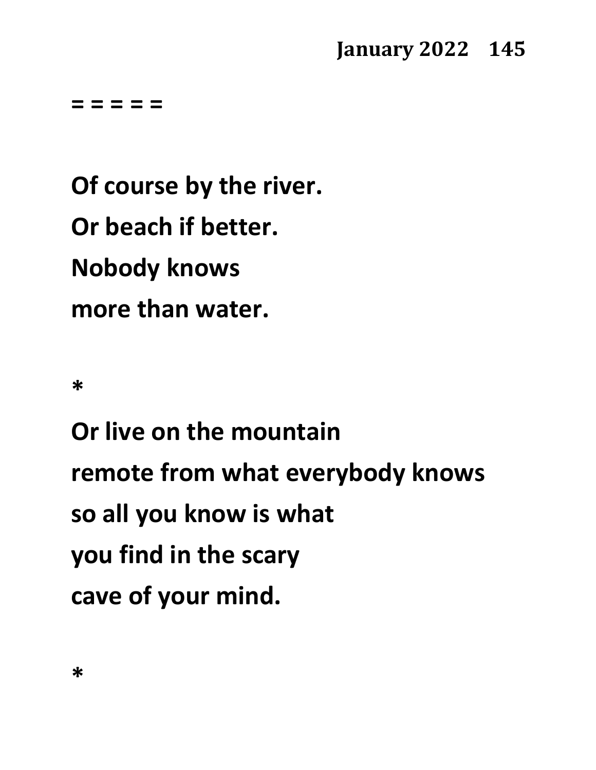**= = = = =**

**Of course by the river. Or beach if better. Nobody knows more than water.**

**\***

**Or live on the mountain remote from what everybody knows so all you know is what you find in the scary cave of your mind.**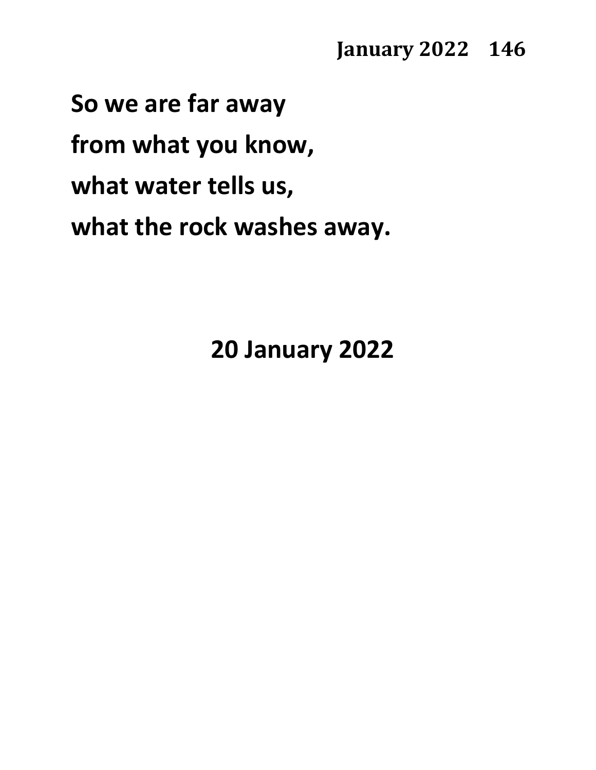**So we are far away from what you know, what water tells us, what the rock washes away.**

**20 January 2022**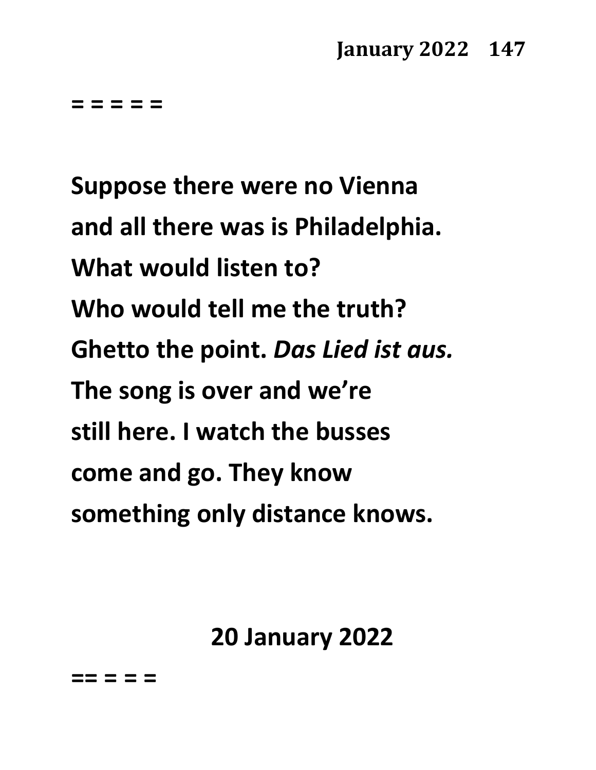**= = = = =**

**Suppose there were no Vienna and all there was is Philadelphia. What would listen to? Who would tell me the truth? Ghetto the point.** *Das Lied ist aus.* **The song is over and we're still here. I watch the busses come and go. They know something only distance knows.**

**20 January 2022**

**== = = =**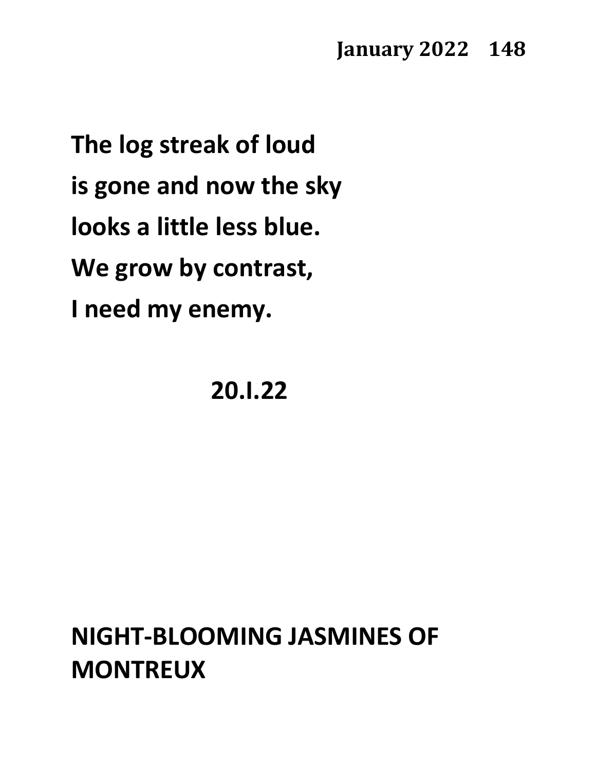**The log streak of loud is gone and now the sky looks a little less blue. We grow by contrast, I need my enemy.**

**20.I.22**

# **NIGHT-BLOOMING JASMINES OF MONTREUX**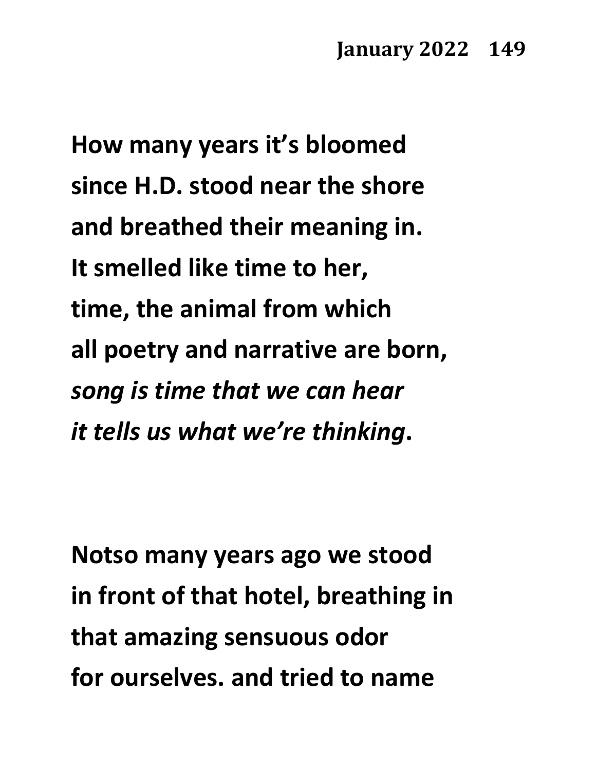**How many years it's bloomed since H.D. stood near the shore and breathed their meaning in. It smelled like time to her, time, the animal from which all poetry and narrative are born,** *song is time that we can hear it tells us what we're thinking***.**

**Notso many years ago we stood in front of that hotel, breathing in that amazing sensuous odor for ourselves. and tried to name**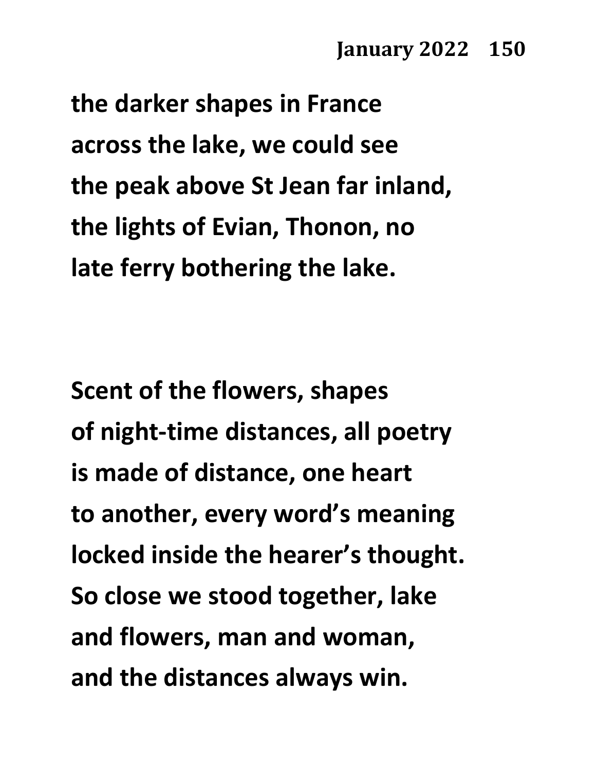**the darker shapes in France across the lake, we could see the peak above St Jean far inland, the lights of Evian, Thonon, no late ferry bothering the lake.**

**Scent of the flowers, shapes of night-time distances, all poetry is made of distance, one heart to another, every word's meaning locked inside the hearer's thought. So close we stood together, lake and flowers, man and woman, and the distances always win.**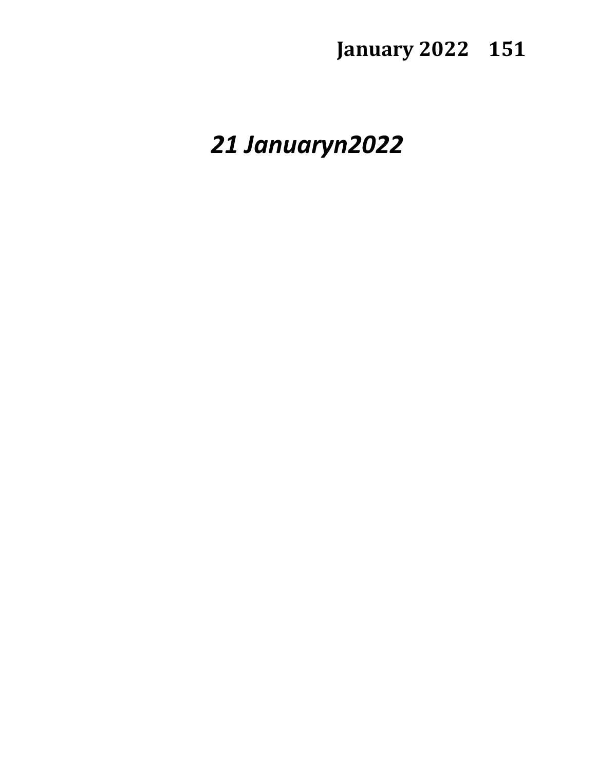*21 Januaryn2022*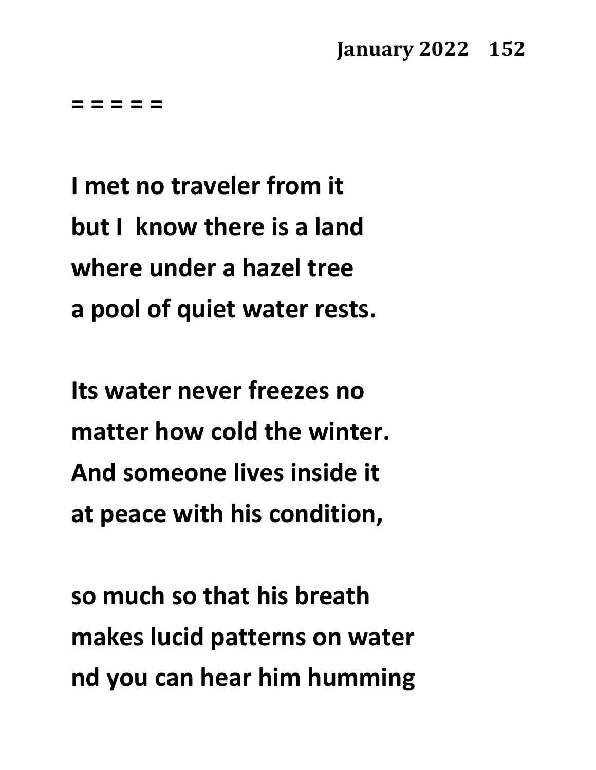**= = = = =**

**I met no traveler from it but I know there is a land where under a hazel tree a pool of quiet water rests.**

**Its water never freezes no matter how cold the winter. And someone lives inside it at peace with his condition,**

**so much so that his breath makes lucid patterns on water nd you can hear him humming**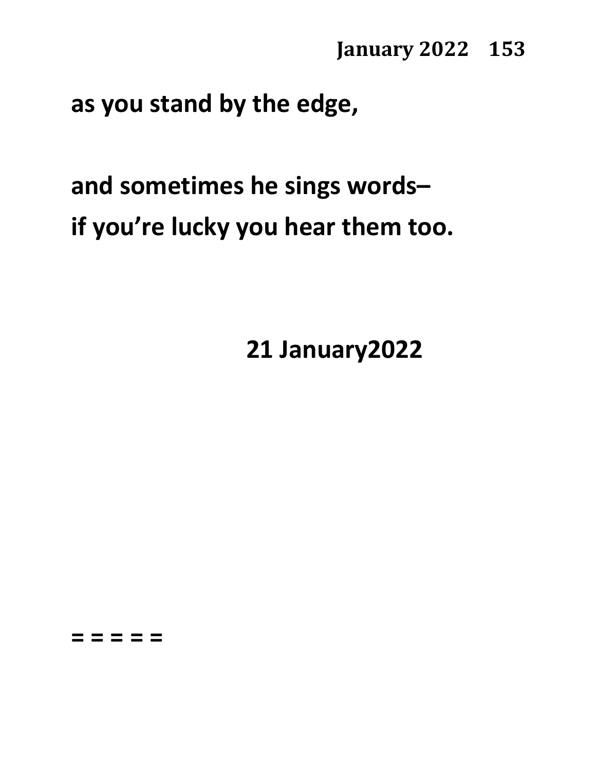**as you stand by the edge,**

# **and sometimes he sings words– if you're lucky you hear them too.**

**21 January2022**

**= = = = =**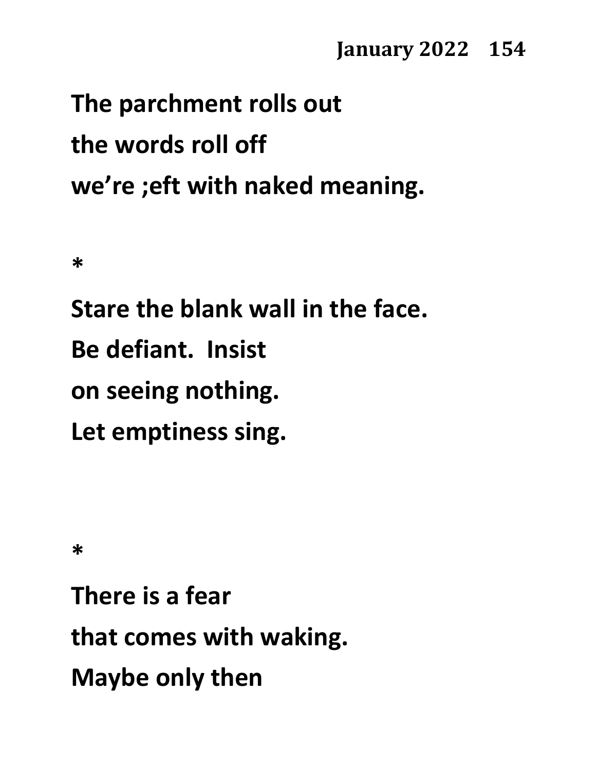# **The parchment rolls out the words roll off we're ;eft with naked meaning.**

**\***

**Stare the blank wall in the face. Be defiant. Insist on seeing nothing. Let emptiness sing.**

**\***

**There is a fear that comes with waking. Maybe only then**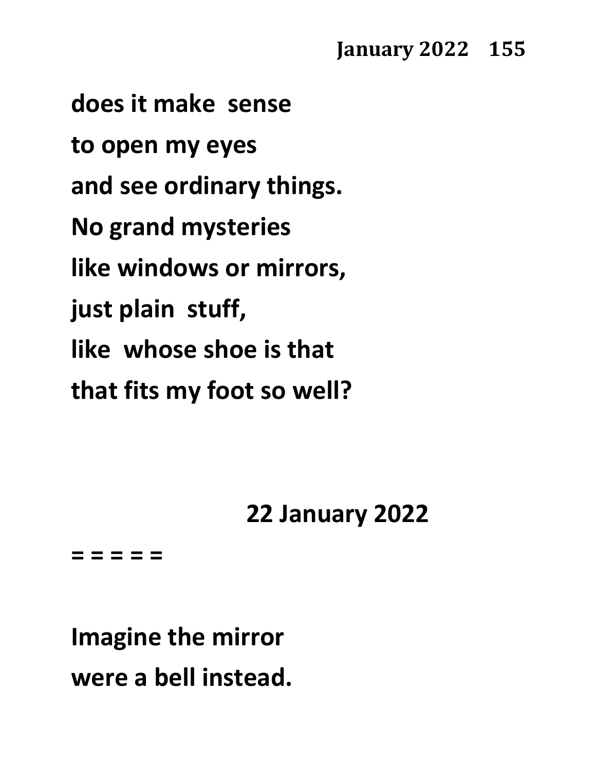**does it make sense to open my eyes and see ordinary things. No grand mysteries like windows or mirrors, just plain stuff, like whose shoe is that that fits my foot so well?**

## **22 January 2022**

**= = = = =**

**Imagine the mirror were a bell instead.**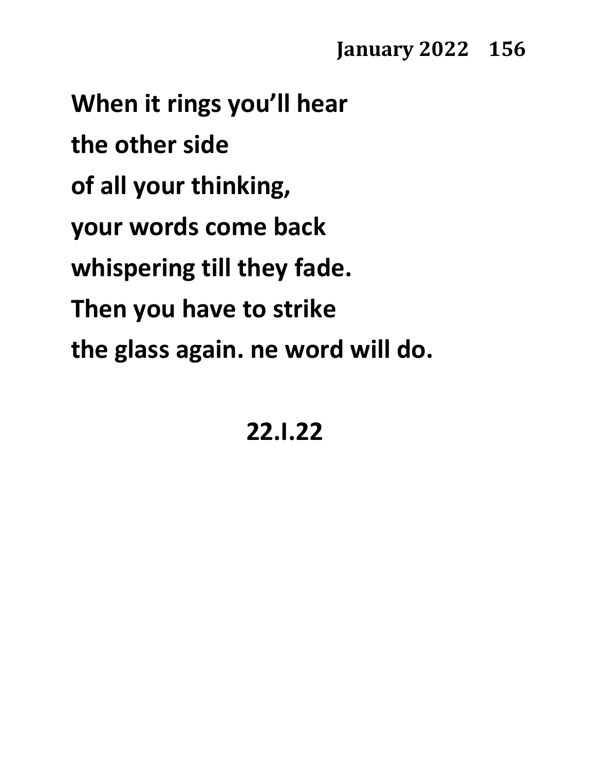**When it rings you'll hear the other side of all your thinking, your words come back whispering till they fade. Then you have to strike the glass again. ne word will do.**

### **22.I.22**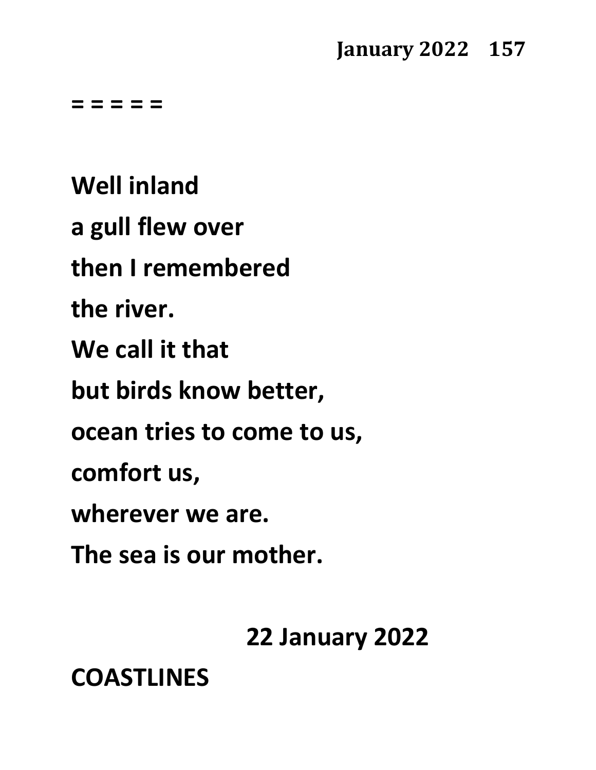**= = = = =**

**Well inland a gull flew over then I remembered the river. We call it that but birds know better, ocean tries to come to us, comfort us, wherever we are. The sea is our mother.**

**22 January 2022**

**COASTLINES**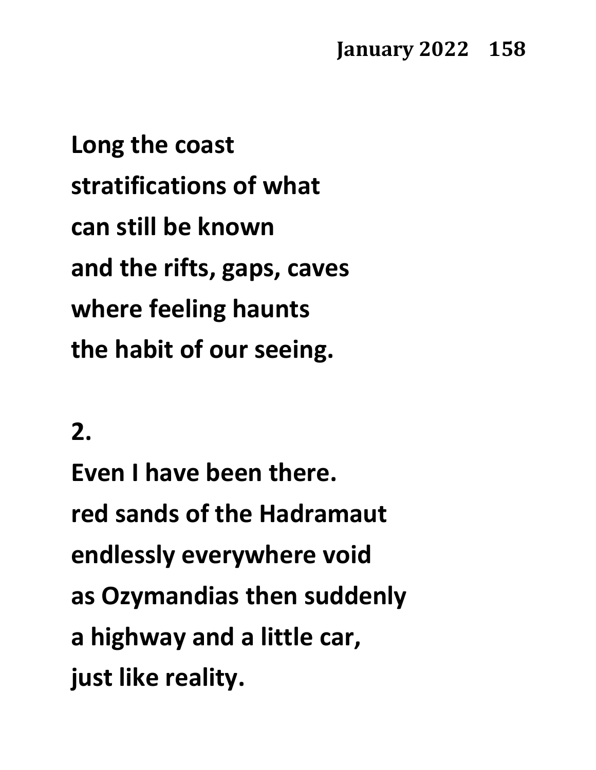**Long the coast stratifications of what can still be known and the rifts, gaps, caves where feeling haunts the habit of our seeing.**

#### **2.**

**Even I have been there. red sands of the Hadramaut endlessly everywhere void as Ozymandias then suddenly a highway and a little car, just like reality.**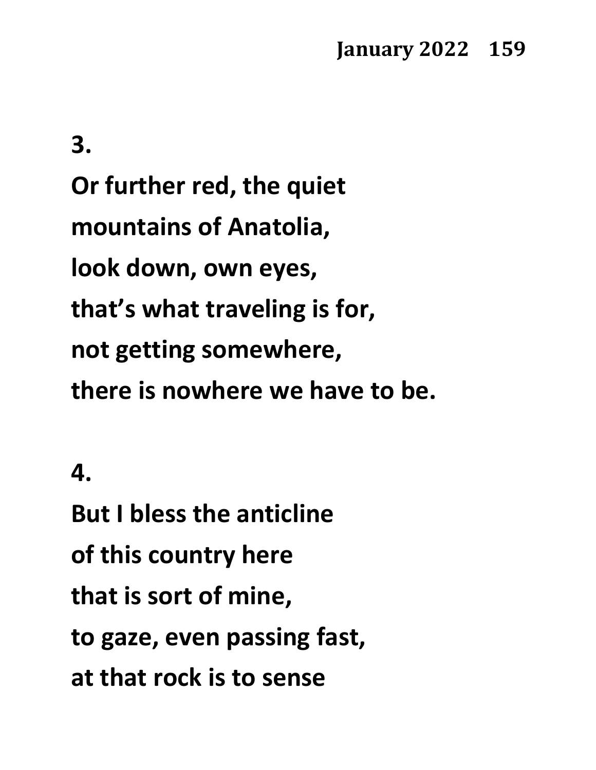**3. Or further red, the quiet mountains of Anatolia, look down, own eyes, that's what traveling is for, not getting somewhere, there is nowhere we have to be.**

### **4.**

**But I bless the anticline of this country here that is sort of mine, to gaze, even passing fast, at that rock is to sense**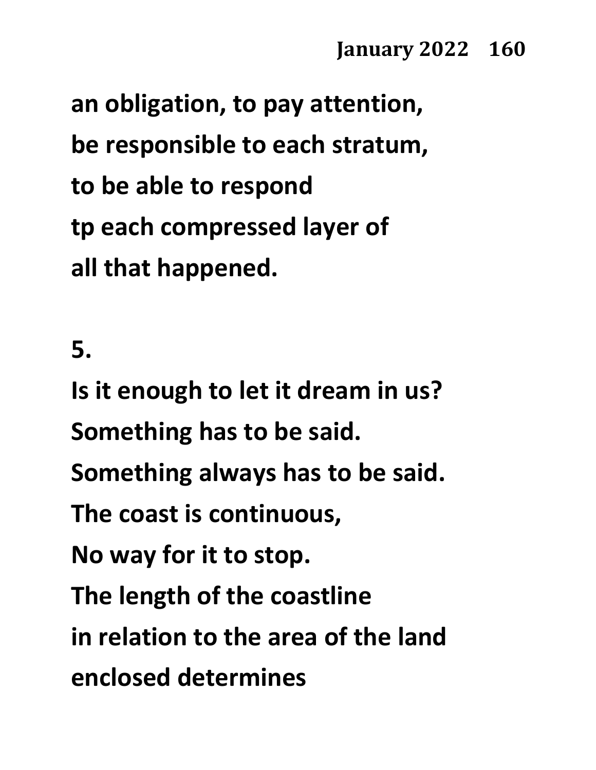**an obligation, to pay attention, be responsible to each stratum, to be able to respond tp each compressed layer of all that happened.**

#### **5.**

**Is it enough to let it dream in us? Something has to be said. Something always has to be said. The coast is continuous, No way for it to stop. The length of the coastline in relation to the area of the land enclosed determines**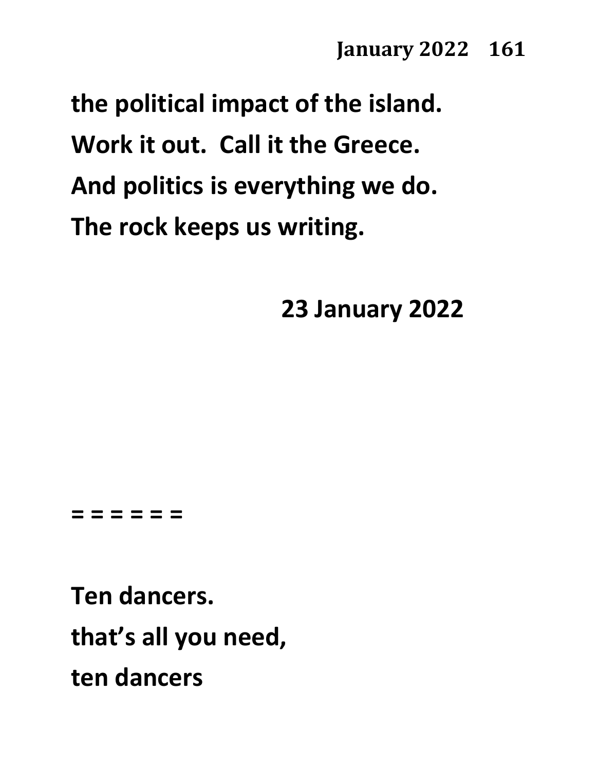**the political impact of the island. Work it out. Call it the Greece. And politics is everything we do. The rock keeps us writing.**

**23 January 2022**

#### **= = = = = =**

**Ten dancers. that's all you need, ten dancers**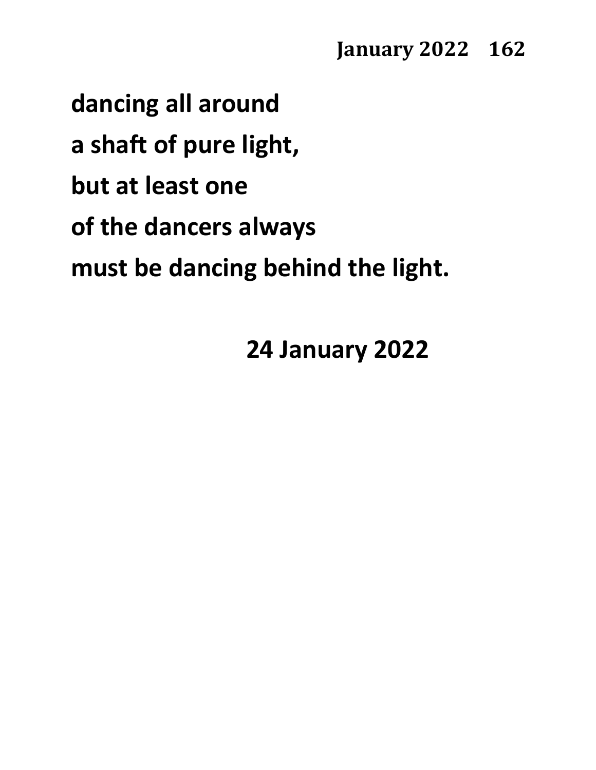**dancing all around a shaft of pure light, but at least one of the dancers always must be dancing behind the light.**

**24 January 2022**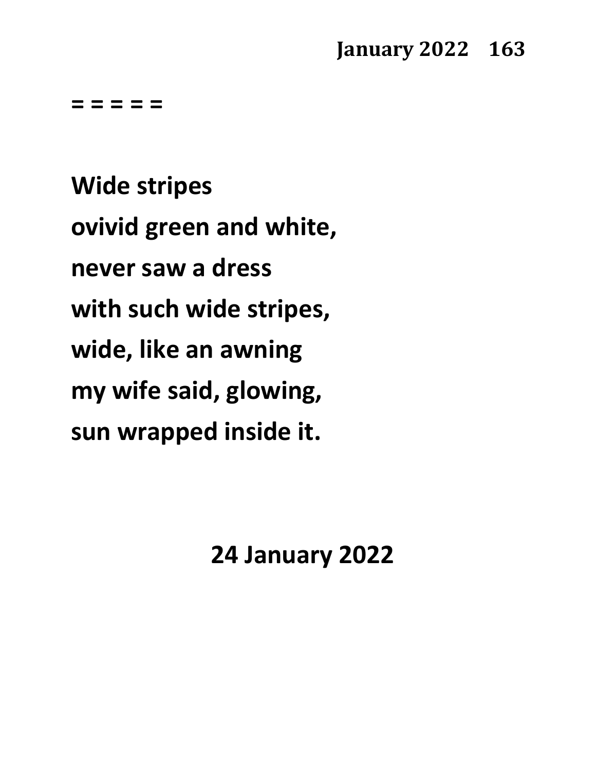**= = = = =**

**Wide stripes ovivid green and white, never saw a dress with such wide stripes, wide, like an awning my wife said, glowing, sun wrapped inside it.**

**24 January 2022**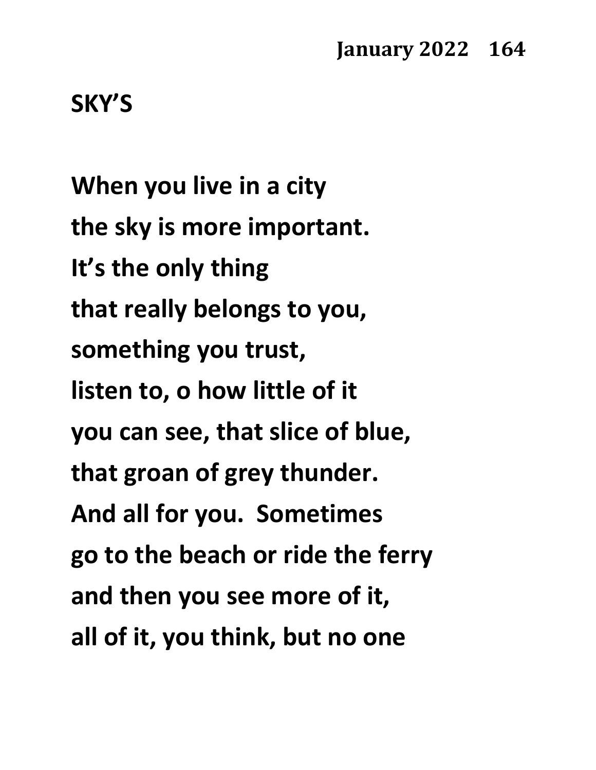**SKY'S**

**When you live in a city the sky is more important. It's the only thing that really belongs to you, something you trust, listen to, o how little of it you can see, that slice of blue, that groan of grey thunder. And all for you. Sometimes go to the beach or ride the ferry and then you see more of it, all of it, you think, but no one**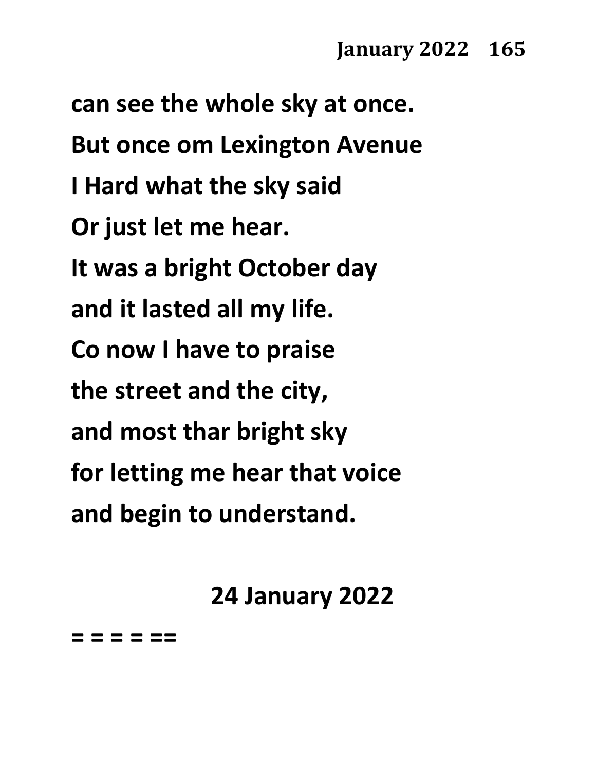**can see the whole sky at once. But once om Lexington Avenue I Hard what the sky said Or just let me hear. It was a bright October day and it lasted all my life. Co now I have to praise the street and the city, and most thar bright sky for letting me hear that voice and begin to understand.**

### **24 January 2022**

**= = = = ==**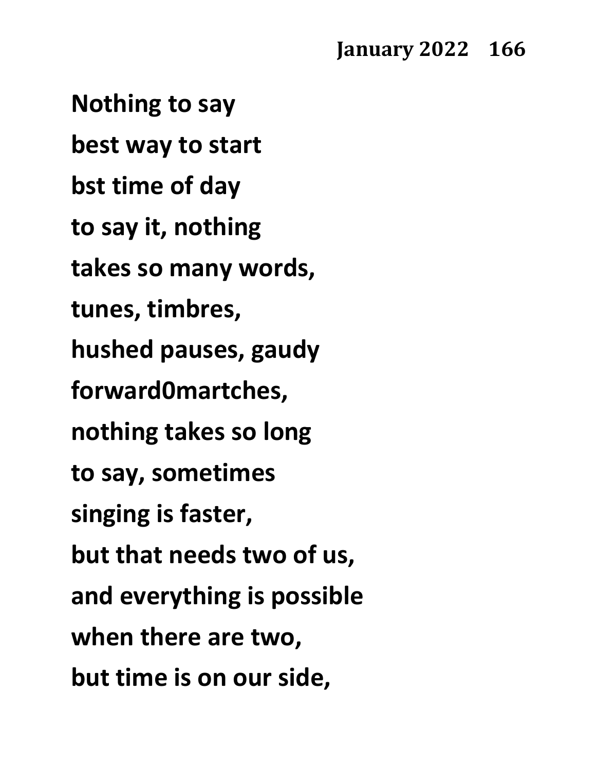**Nothing to say best way to start bst time of day to say it, nothing takes so many words, tunes, timbres, hushed pauses, gaudy forward0martches, nothing takes so long to say, sometimes singing is faster, but that needs two of us, and everything is possible when there are two, but time is on our side,**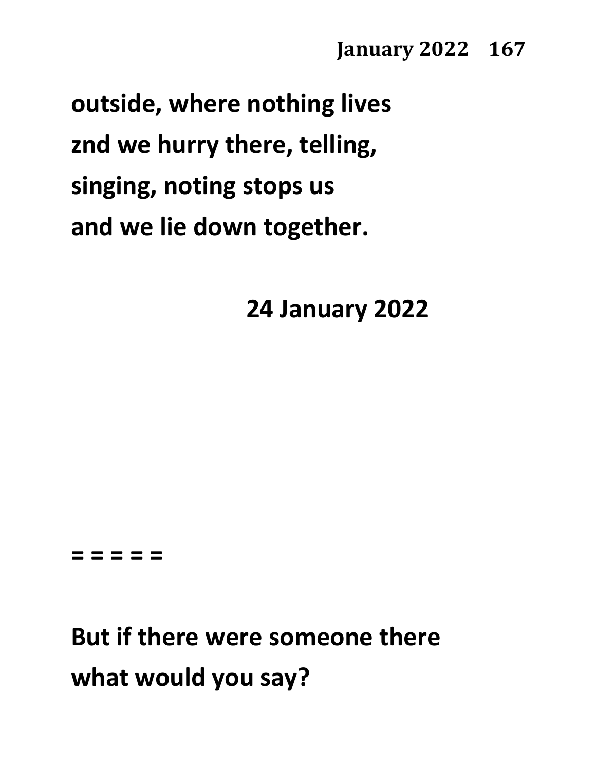**outside, where nothing lives znd we hurry there, telling, singing, noting stops us and we lie down together.**

**24 January 2022**

**= = = = =**

**But if there were someone there what would you say?**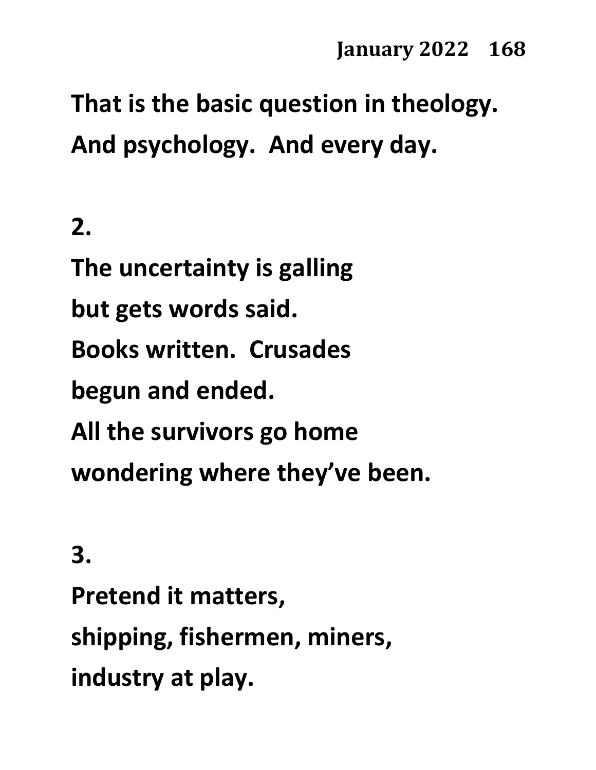**That is the basic question in theology. And psychology. And every day.**

**2. The uncertainty is galling but gets words said. Books written. Crusades begun and ended. All the survivors go home wondering where they've been.**

**3.**

**Pretend it matters, shipping, fishermen, miners, industry at play.**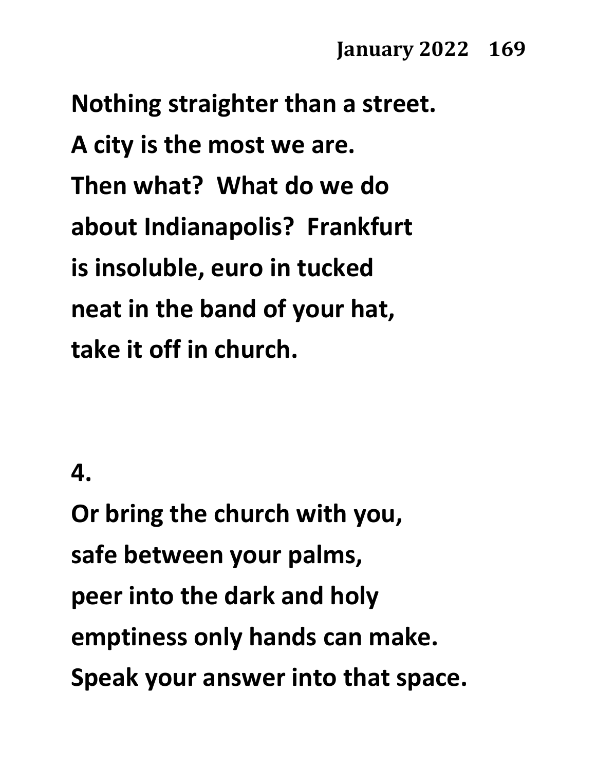**Nothing straighter than a street. A city is the most we are. Then what? What do we do about Indianapolis? Frankfurt is insoluble, euro in tucked neat in the band of your hat, take it off in church.**

#### **4.**

**Or bring the church with you, safe between your palms, peer into the dark and holy emptiness only hands can make. Speak your answer into that space.**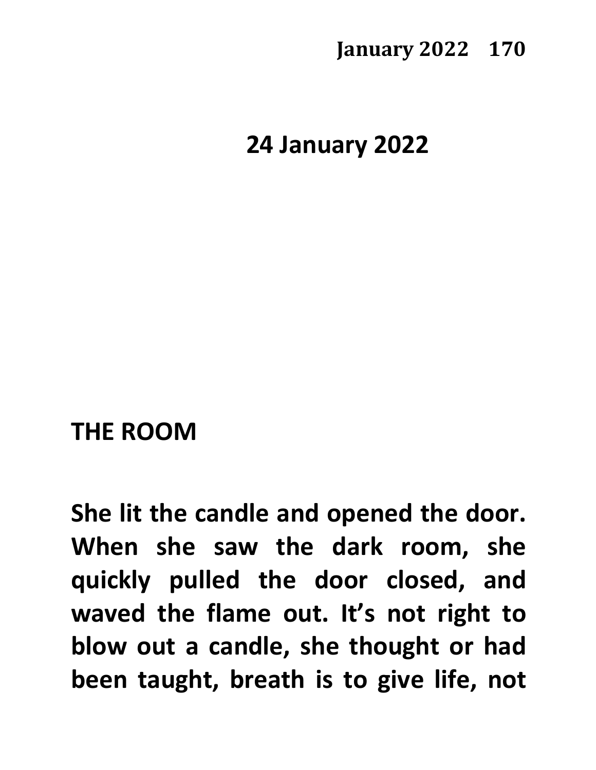**24 January 2022**

#### **THE ROOM**

**She lit the candle and opened the door. When she saw the dark room, she quickly pulled the door closed, and waved the flame out. It's not right to blow out a candle, she thought or had been taught, breath is to give life, not**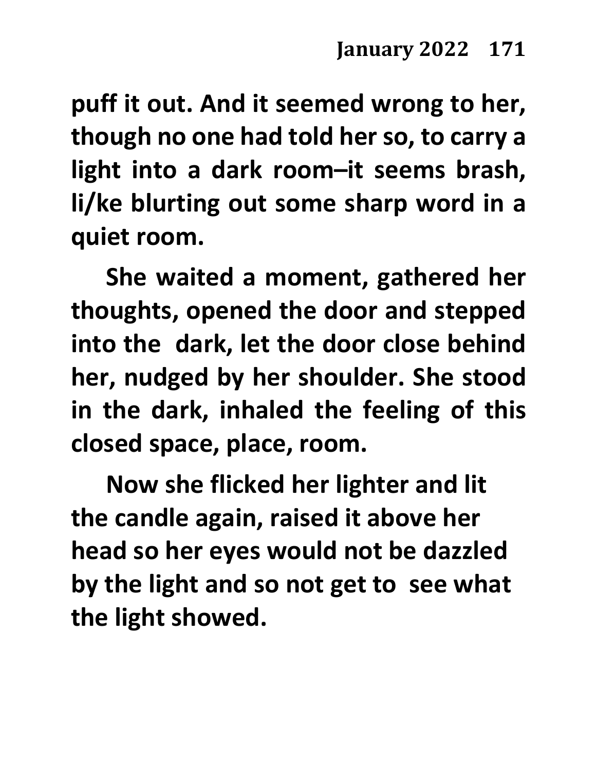**puff it out. And it seemed wrong to her, though no one had told her so, to carry a light into a dark room–it seems brash, li/ke blurting out some sharp word in a quiet room.** 

**She waited a moment, gathered her thoughts, opened the door and stepped into the dark, let the door close behind her, nudged by her shoulder. She stood in the dark, inhaled the feeling of this closed space, place, room.**

**Now she flicked her lighter and lit the candle again, raised it above her head so her eyes would not be dazzled by the light and so not get to see what the light showed.**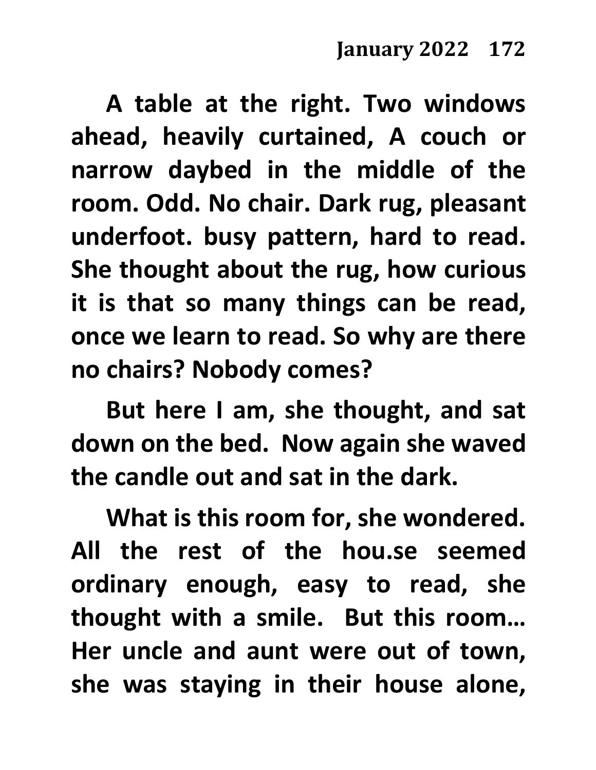**A table at the right. Two windows ahead, heavily curtained, A couch or narrow daybed in the middle of the room. Odd. No chair. Dark rug, pleasant underfoot. busy pattern, hard to read. She thought about the rug, how curious it is that so many things can be read, once we learn to read. So why are there no chairs? Nobody comes?**

**But here I am, she thought, and sat down on the bed. Now again she waved the candle out and sat in the dark.**

**What is this room for, she wondered. All the rest of the hou.se seemed ordinary enough, easy to read, she thought with a smile. But this room… Her uncle and aunt were out of town, she was staying in their house alone,**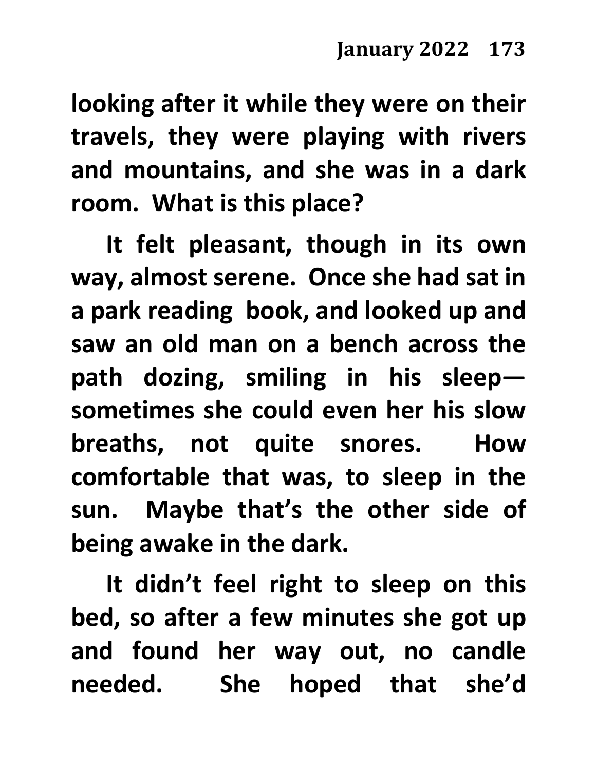**looking after it while they were on their travels, they were playing with rivers and mountains, and she was in a dark room. What is this place?**

**It felt pleasant, though in its own way, almost serene. Once she had sat in a park reading book, and looked up and saw an old man on a bench across the path dozing, smiling in his sleep sometimes she could even her his slow breaths, not quite snores. How comfortable that was, to sleep in the sun. Maybe that's the other side of being awake in the dark.**

**It didn't feel right to sleep on this bed, so after a few minutes she got up and found her way out, no candle needed. She hoped that she'd**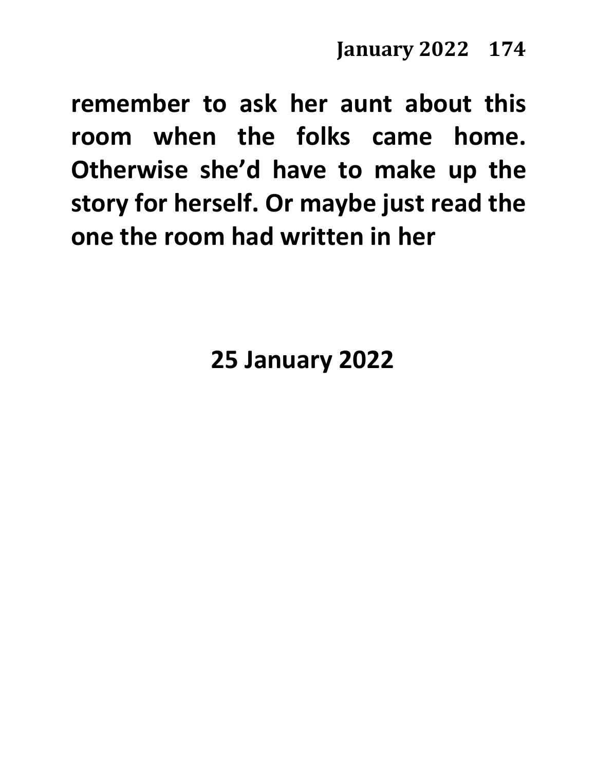**remember to ask her aunt about this room when the folks came home. Otherwise she'd have to make up the story for herself. Or maybe just read the one the room had written in her**

**25 January 2022**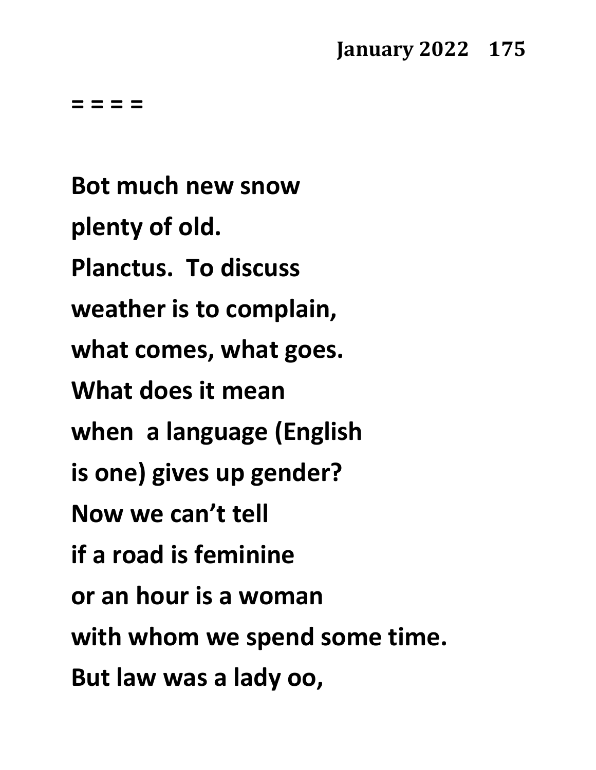**= = = =**

**Bot much new snow plenty of old. Planctus. To discuss weather is to complain, what comes, what goes. What does it mean when a language (English is one) gives up gender? Now we can't tell if a road is feminine or an hour is a woman with whom we spend some time. But law was a lady oo,**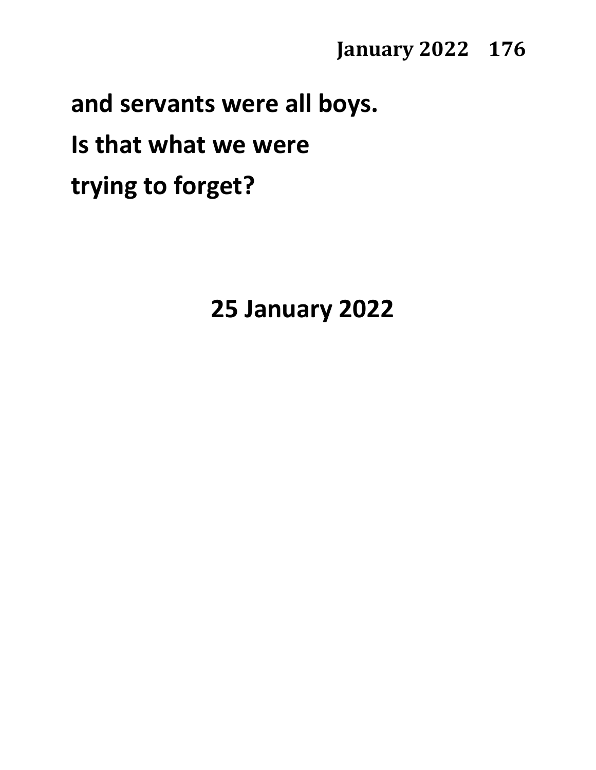#### **and servants were all boys.**

### **Is that what we were**

**trying to forget?**

**25 January 2022**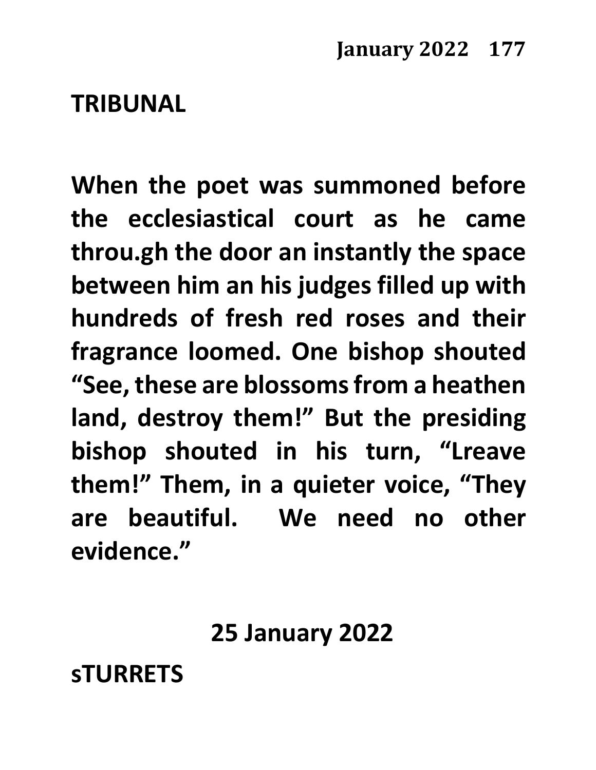#### **TRIBUNAL**

**When the poet was summoned before the ecclesiastical court as he came throu.gh the door an instantly the space between him an his judges filled up with hundreds of fresh red roses and their fragrance loomed. One bishop shouted "See, these are blossoms from a heathen land, destroy them!" But the presiding bishop shouted in his turn, "Lreave them!" Them, in a quieter voice, "They are beautiful. We need no other evidence."**

**25 January 2022**

**sTURRETS**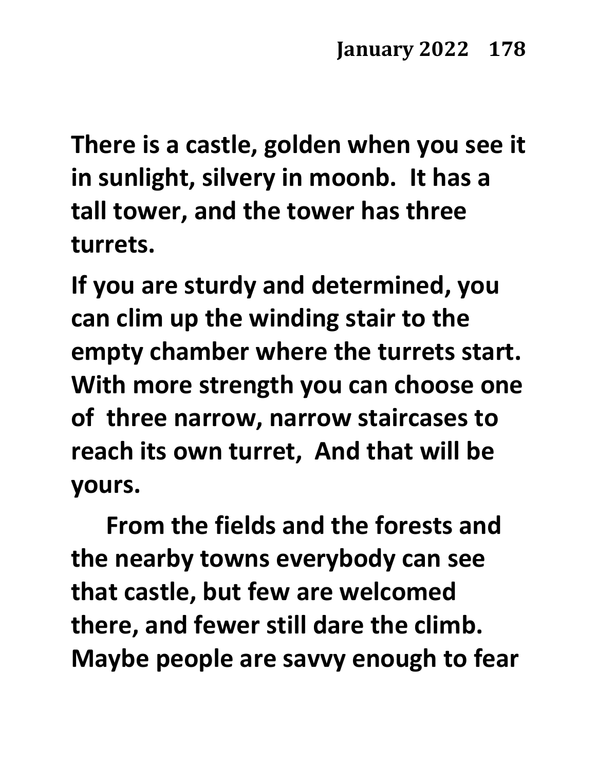**There is a castle, golden when you see it in sunlight, silvery in moonb. It has a tall tower, and the tower has three turrets.**

**If you are sturdy and determined, you can clim up the winding stair to the empty chamber where the turrets start. With more strength you can choose one of three narrow, narrow staircases to reach its own turret, And that will be yours.** 

**From the fields and the forests and the nearby towns everybody can see that castle, but few are welcomed there, and fewer still dare the climb. Maybe people are savvy enough to fear**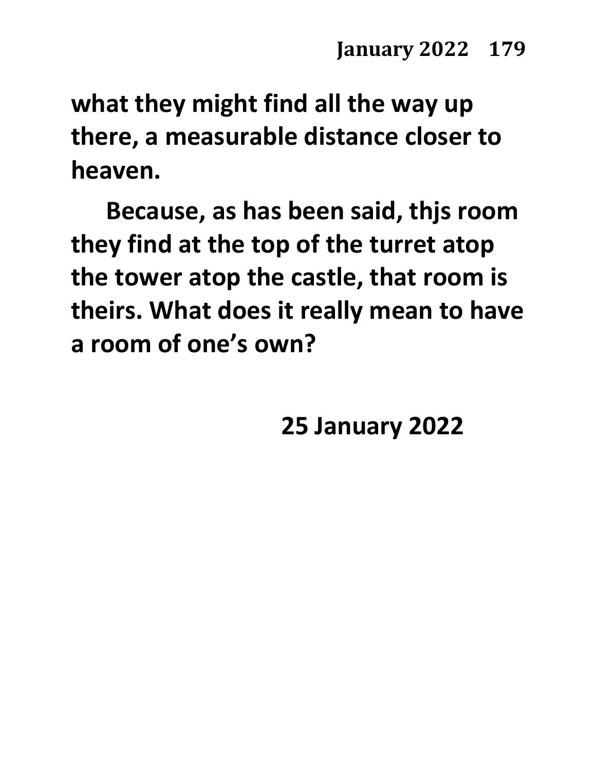**what they might find all the way up there, a measurable distance closer to heaven.**

**Because, as has been said, thjs room they find at the top of the turret atop the tower atop the castle, that room is theirs. What does it really mean to have a room of one's own?**

**25 January 2022**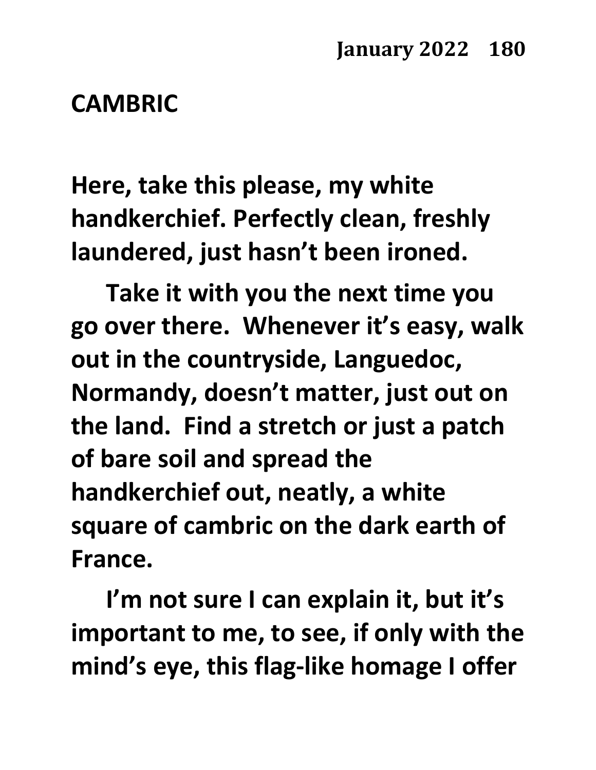#### **CAMBRIC**

**Here, take this please, my white handkerchief. Perfectly clean, freshly laundered, just hasn't been ironed.**

**Take it with you the next time you go over there. Whenever it's easy, walk out in the countryside, Languedoc, Normandy, doesn't matter, just out on the land. Find a stretch or just a patch of bare soil and spread the handkerchief out, neatly, a white square of cambric on the dark earth of France.**

**I'm not sure I can explain it, but it's important to me, to see, if only with the mind's eye, this flag-like homage I offer**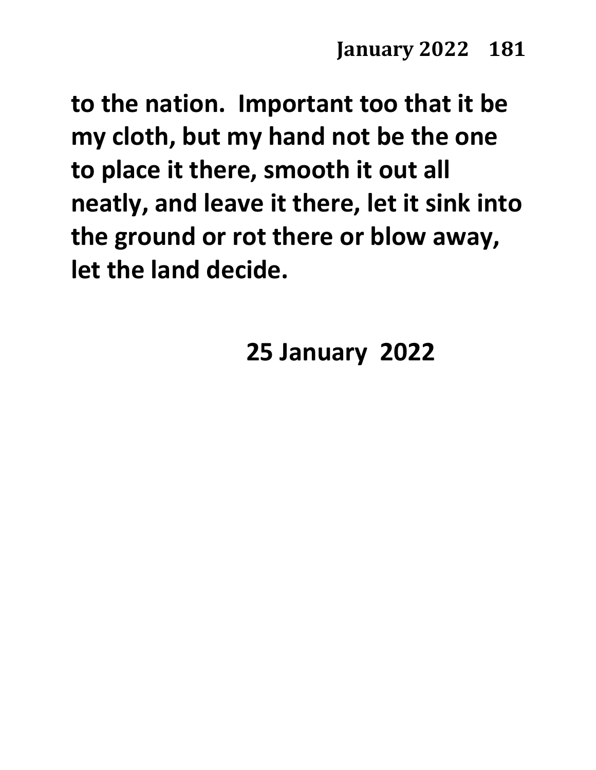**to the nation. Important too that it be my cloth, but my hand not be the one to place it there, smooth it out all neatly, and leave it there, let it sink into the ground or rot there or blow away, let the land decide.**

**25 January 2022**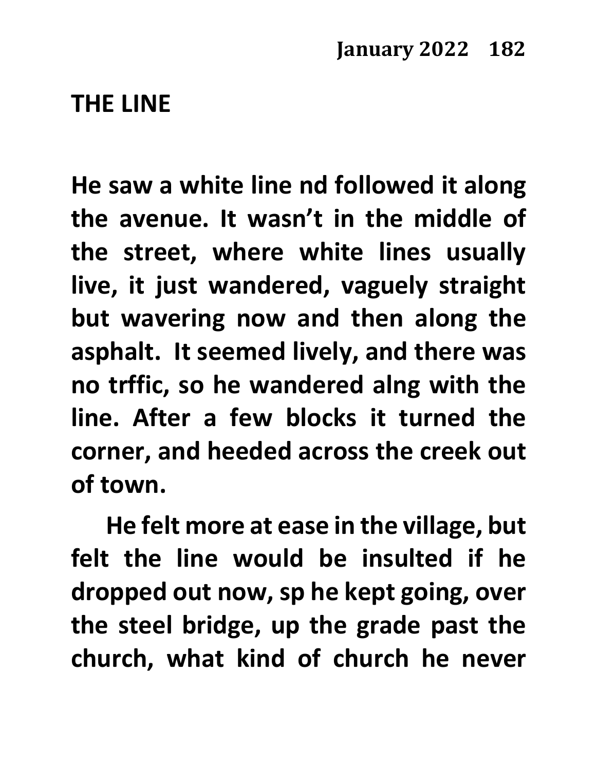#### **THE LINE**

**He saw a white line nd followed it along the avenue. It wasn't in the middle of the street, where white lines usually live, it just wandered, vaguely straight but wavering now and then along the asphalt. It seemed lively, and there was no trffic, so he wandered alng with the line. After a few blocks it turned the corner, and heeded across the creek out of town.**

**He felt more at ease in the village, but felt the line would be insulted if he dropped out now, sp he kept going, over the steel bridge, up the grade past the church, what kind of church he never**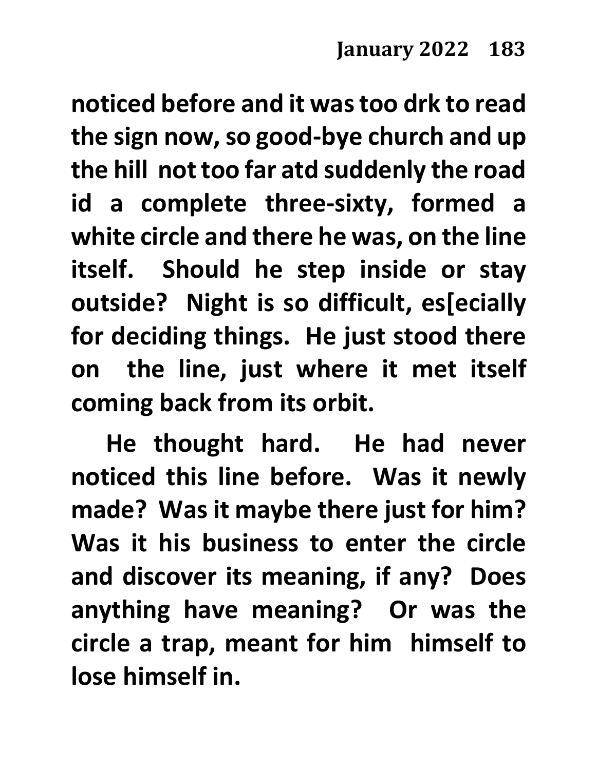**noticed before and it was too drk to read the sign now, so good-bye church and up the hill not too far atd suddenly the road id a complete three-sixty, formed a white circle and there he was, on the line itself. Should he step inside or stay outside? Night is so difficult, es[ecially for deciding things. He just stood there on the line, just where it met itself coming back from its orbit.**

**He thought hard. He had never noticed this line before. Was it newly made? Was it maybe there just for him? Was it his business to enter the circle and discover its meaning, if any? Does anything have meaning? Or was the circle a trap, meant for him himself to lose himself in.**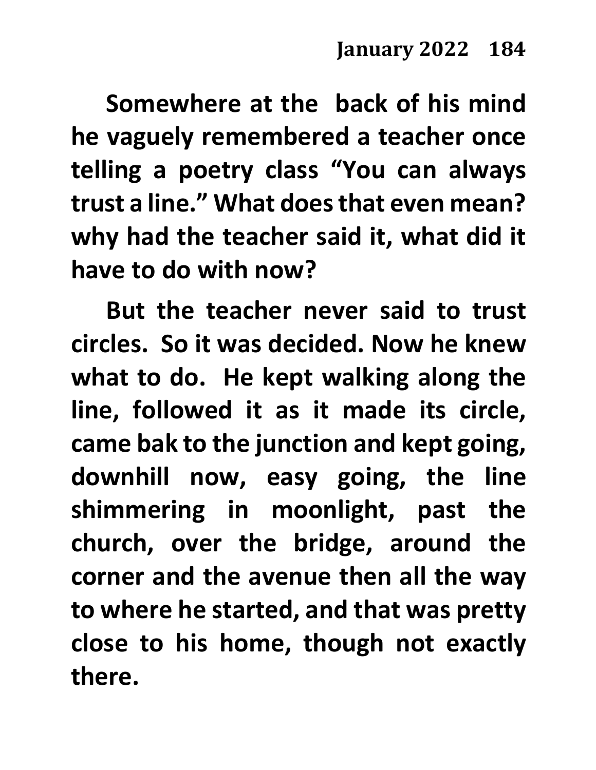**Somewhere at the back of his mind he vaguely remembered a teacher once telling a poetry class "You can always trust a line." What does that even mean? why had the teacher said it, what did it have to do with now?** 

**But the teacher never said to trust circles. So it was decided. Now he knew what to do. He kept walking along the line, followed it as it made its circle, came bak to the junction and kept going, downhill now, easy going, the line shimmering in moonlight, past the church, over the bridge, around the corner and the avenue then all the way to where he started, and that was pretty close to his home, though not exactly there.**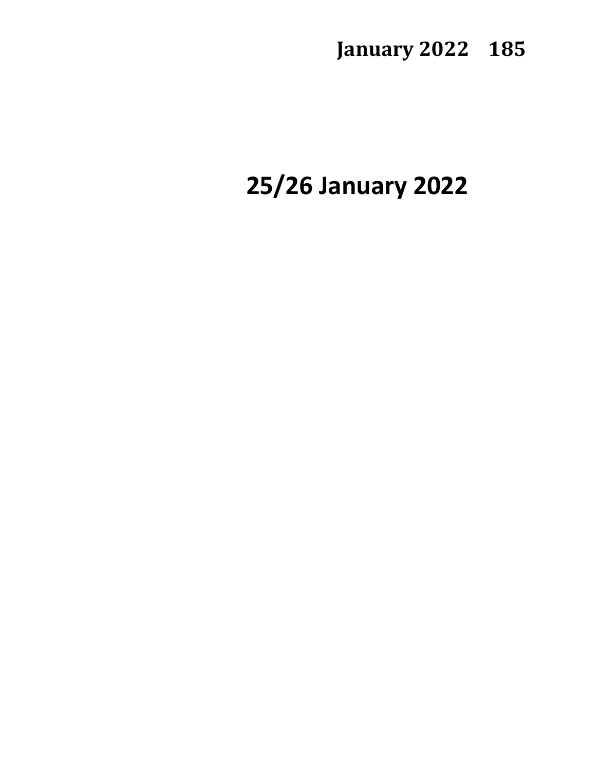# **25/26 January 2022**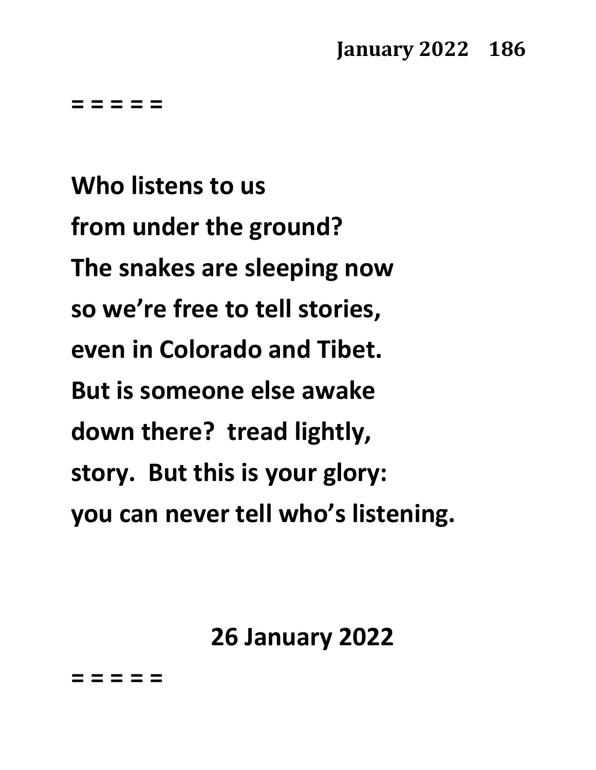**= = = = =**

**Who listens to us from under the ground? The snakes are sleeping now so we're free to tell stories, even in Colorado and Tibet. But is someone else awake down there? tread lightly, story. But this is your glory: you can never tell who's listening.**

**26 January 2022**

**= = = = =**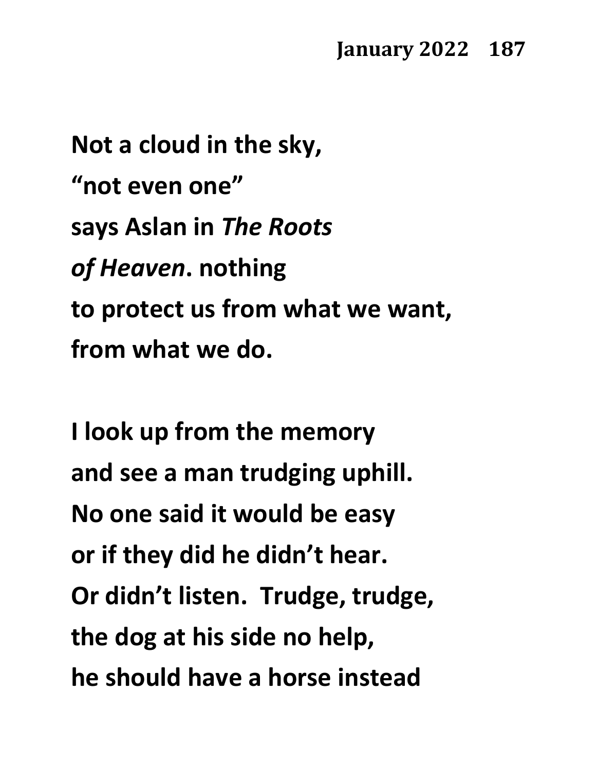**Not a cloud in the sky, "not even one" says Aslan in** *The Roots of Heaven***. nothing to protect us from what we want, from what we do.**

**I look up from the memory and see a man trudging uphill. No one said it would be easy or if they did he didn't hear. Or didn't listen. Trudge, trudge, the dog at his side no help, he should have a horse instead**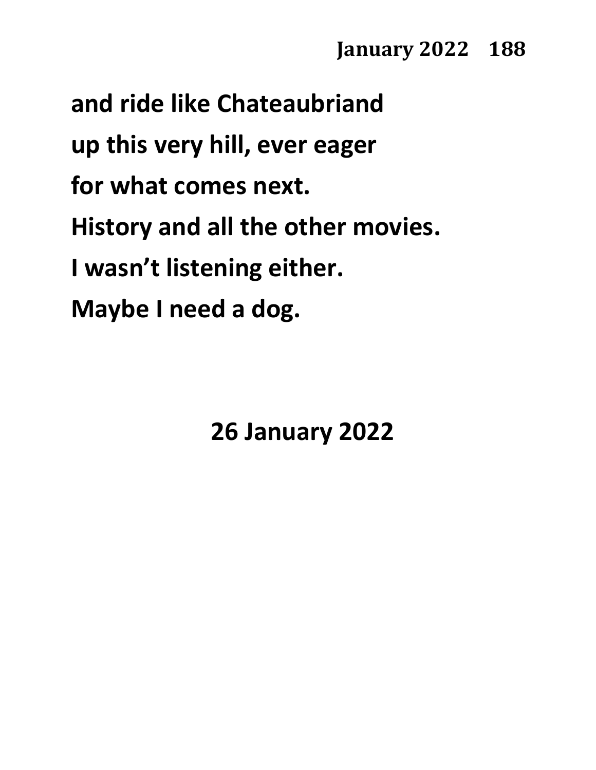**and ride like Chateaubriand up this very hill, ever eager for what comes next. History and all the other movies. I wasn't listening either. Maybe I need a dog.**

**26 January 2022**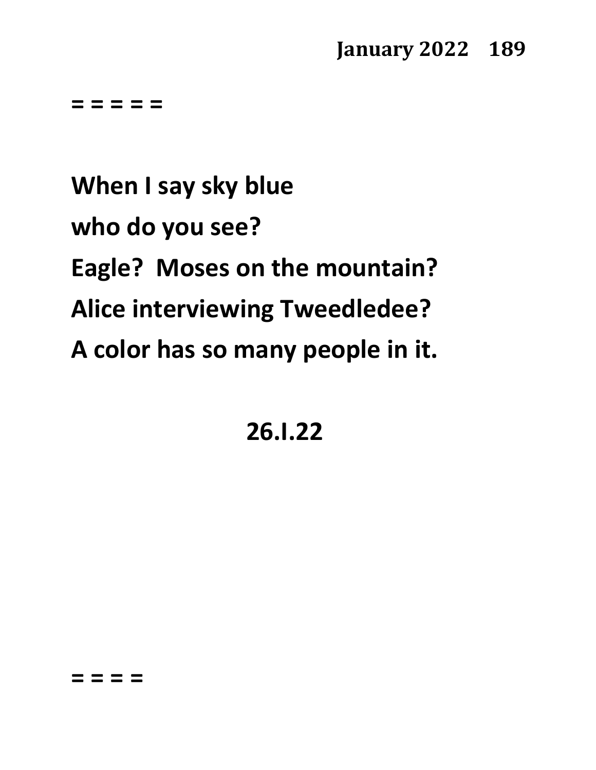**= = = = =**

**When I say sky blue who do you see? Eagle? Moses on the mountain? Alice interviewing Tweedledee? A color has so many people in it.**

**26.I.22**

**= = = =**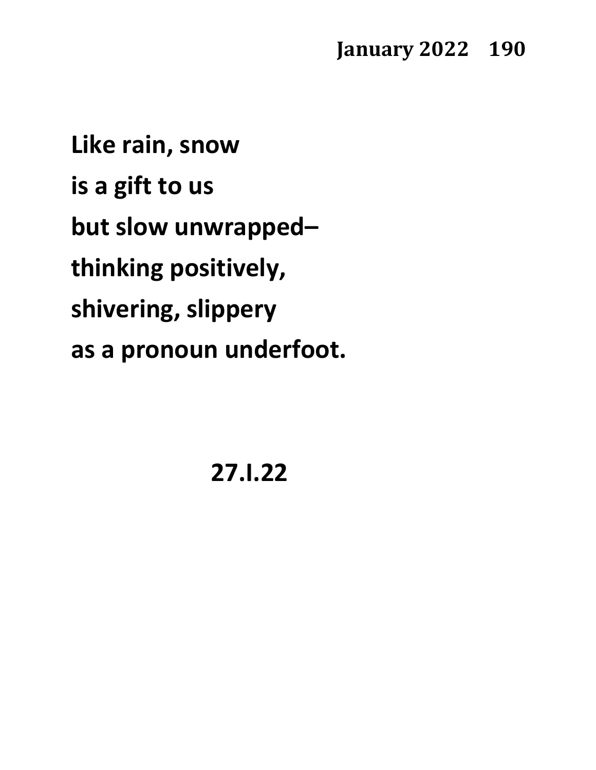**Like rain, snow is a gift to us but slow unwrapped– thinking positively, shivering, slippery as a pronoun underfoot.**

**27.I.22**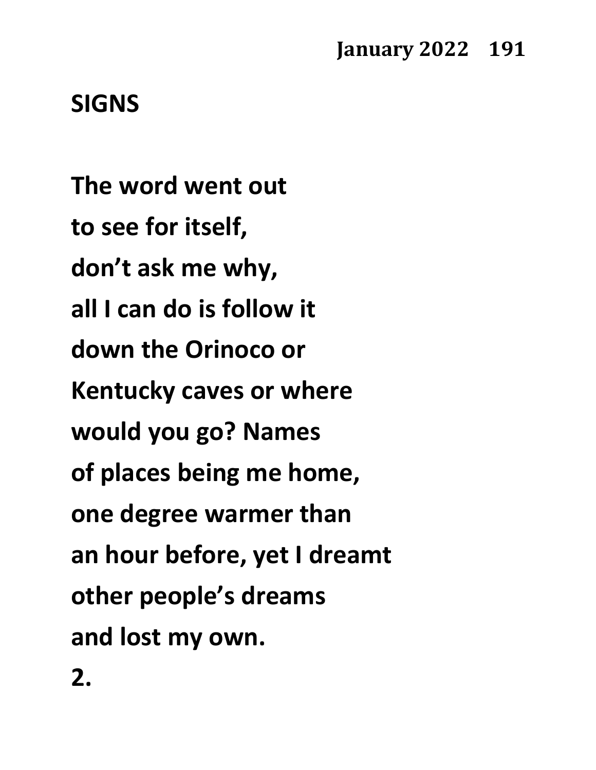### **SIGNS**

**The word went out to see for itself, don't ask me why, all I can do is follow it down the Orinoco or Kentucky caves or where would you go? Names of places being me home, one degree warmer than an hour before, yet I dreamt other people's dreams and lost my own. 2.**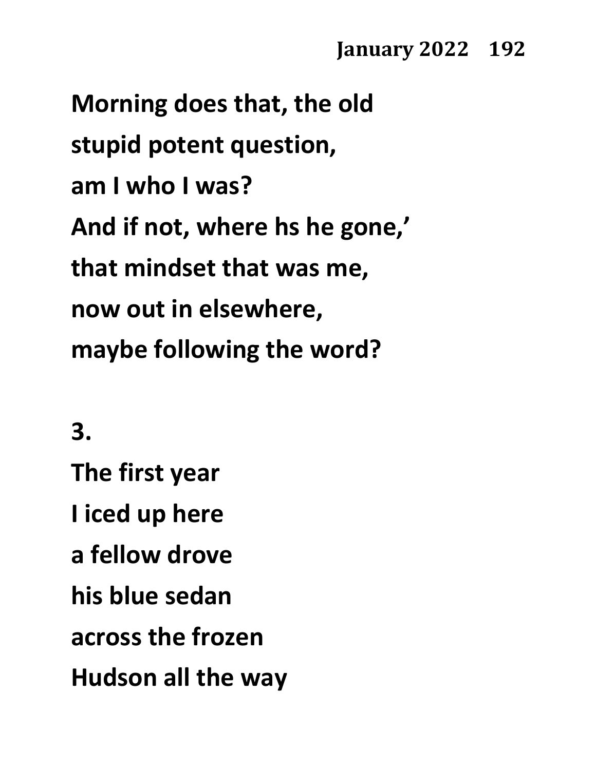**Morning does that, the old stupid potent question, am I who I was? And if not, where hs he gone,' that mindset that was me, now out in elsewhere, maybe following the word?**

**3.**

**The first year I iced up here a fellow drove his blue sedan across the frozen Hudson all the way**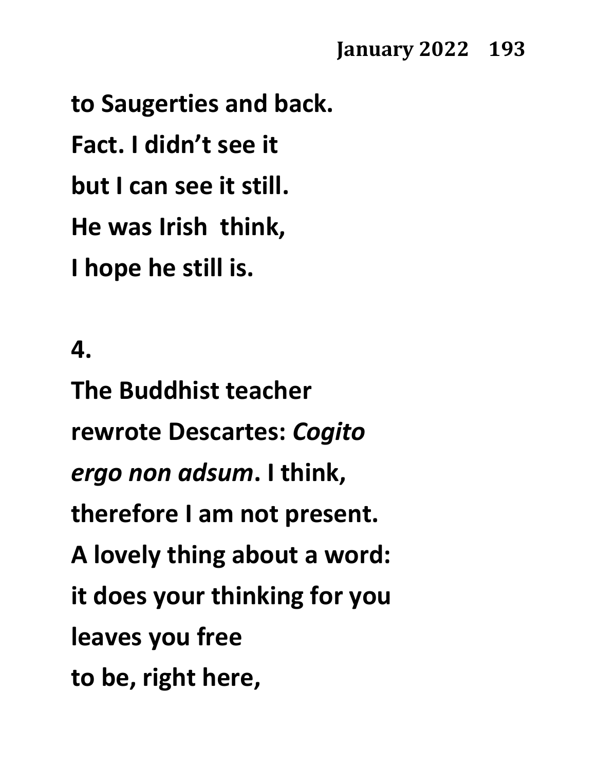**to Saugerties and back. Fact. I didn't see it but I can see it still. He was Irish think, I hope he still is.**

# **4.**

**The Buddhist teacher rewrote Descartes:** *Cogito ergo non adsum***. I think, therefore I am not present. A lovely thing about a word: it does your thinking for you leaves you free to be, right here,**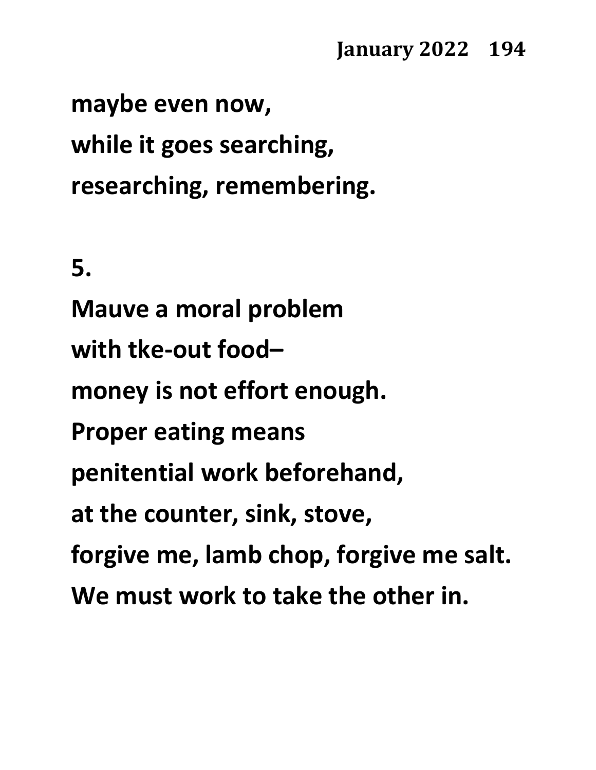**maybe even now, while it goes searching, researching, remembering.**

**5.**

**Mauve a moral problem with tke-out food– money is not effort enough. Proper eating means penitential work beforehand, at the counter, sink, stove, forgive me, lamb chop, forgive me salt. We must work to take the other in.**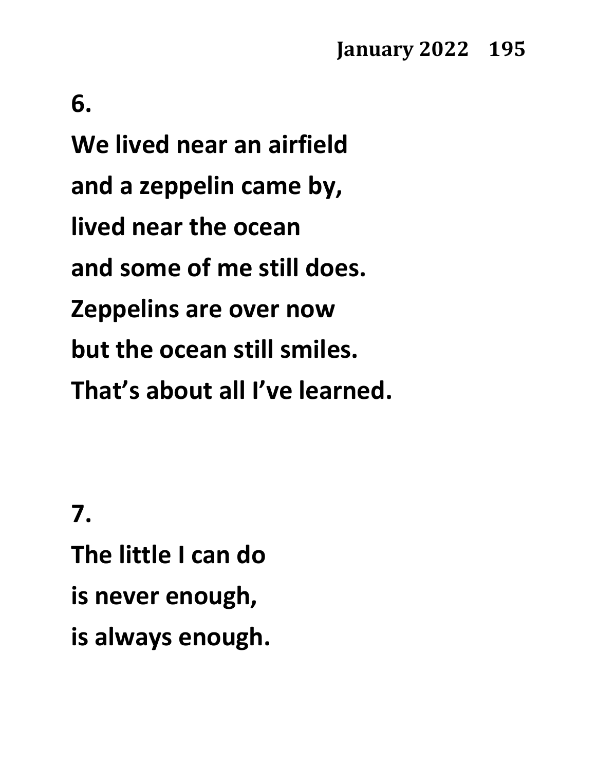#### **6.**

**We lived near an airfield and a zeppelin came by, lived near the ocean and some of me still does. Zeppelins are over now but the ocean still smiles. That's about all I've learned.**

# **7.**

**The little I can do is never enough, is always enough.**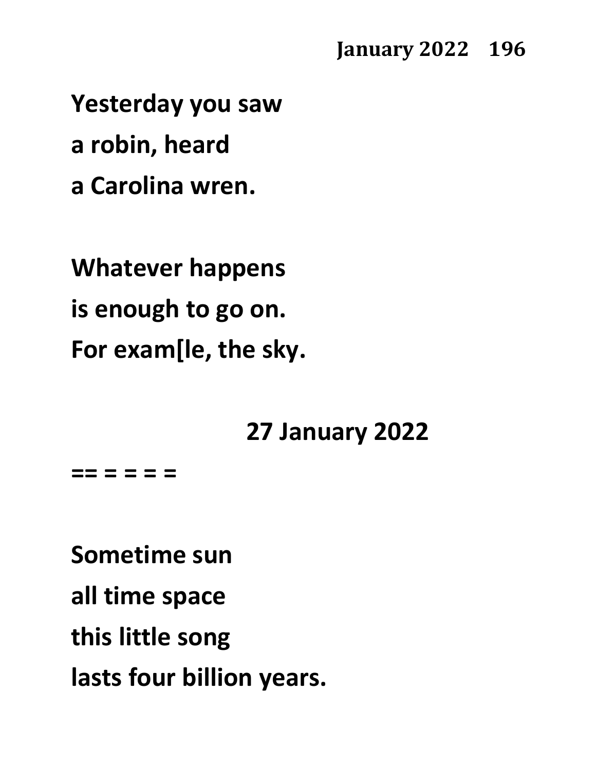**Yesterday you saw a robin, heard a Carolina wren.**

**Whatever happens is enough to go on. For exam[le, the sky.**

#### **27 January 2022**

**== = = = =**

**Sometime sun all time space this little song lasts four billion years.**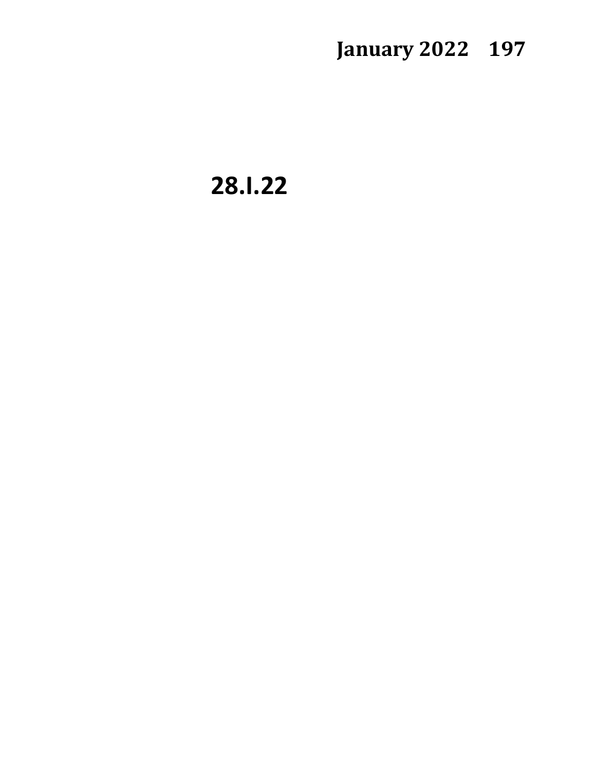**28.I.22**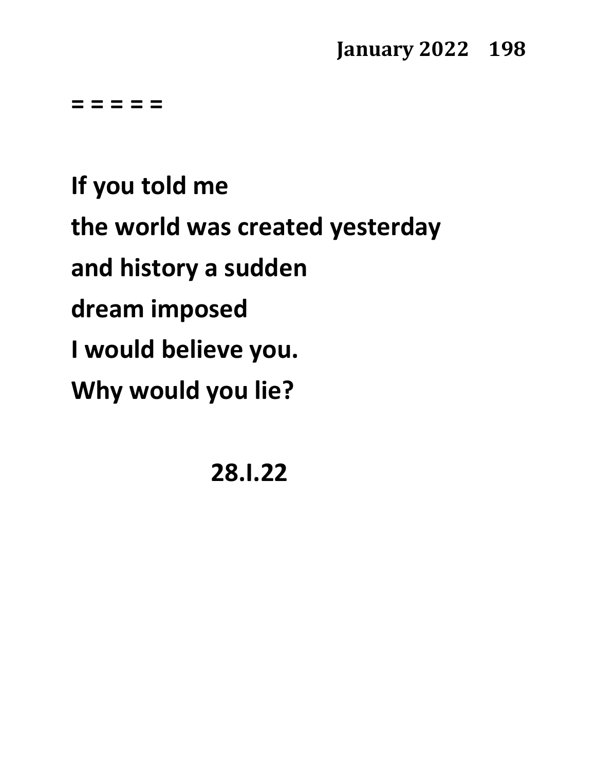**= = = = =**

**If you told me the world was created yesterday and history a sudden dream imposed I would believe you. Why would you lie?**

**28.I.22**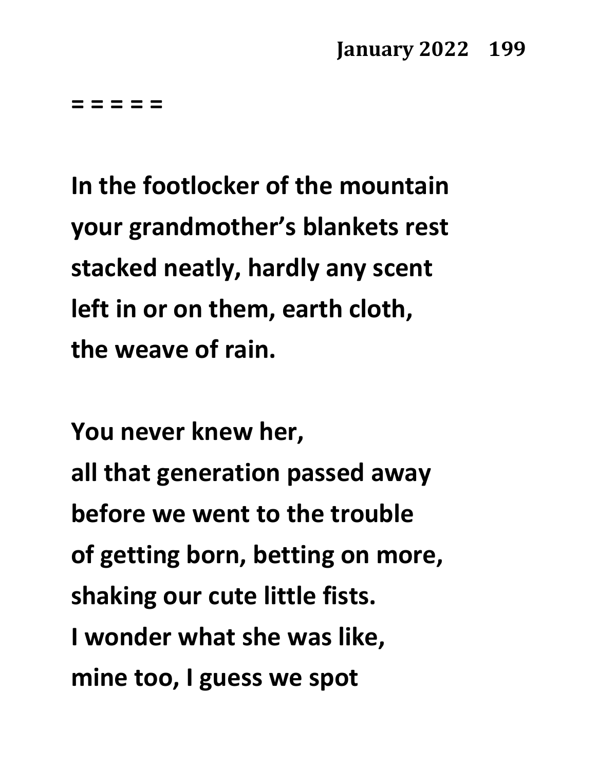**= = = = =**

**In the footlocker of the mountain your grandmother's blankets rest stacked neatly, hardly any scent left in or on them, earth cloth, the weave of rain.** 

**You never knew her, all that generation passed away before we went to the trouble of getting born, betting on more, shaking our cute little fists. I wonder what she was like, mine too, I guess we spot**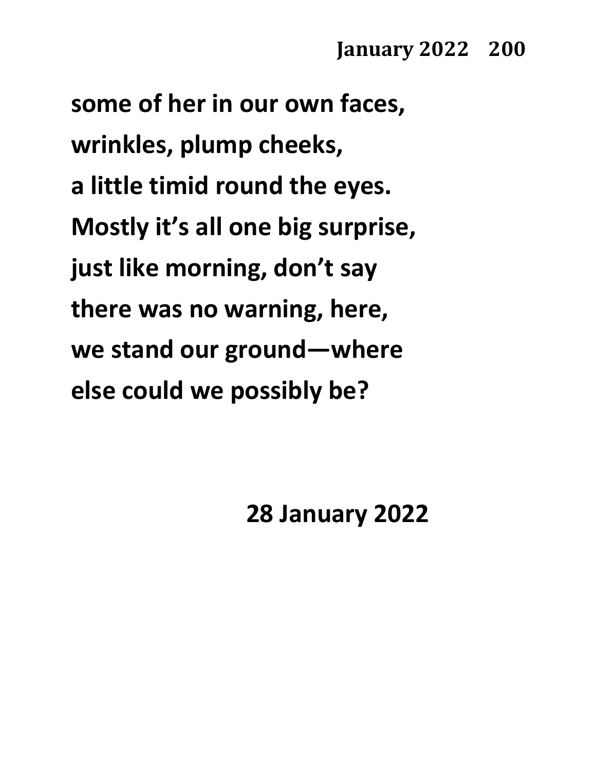**some of her in our own faces, wrinkles, plump cheeks, a little timid round the eyes. Mostly it's all one big surprise, just like morning, don't say there was no warning, here, we stand our ground—where else could we possibly be?**

**28 January 2022**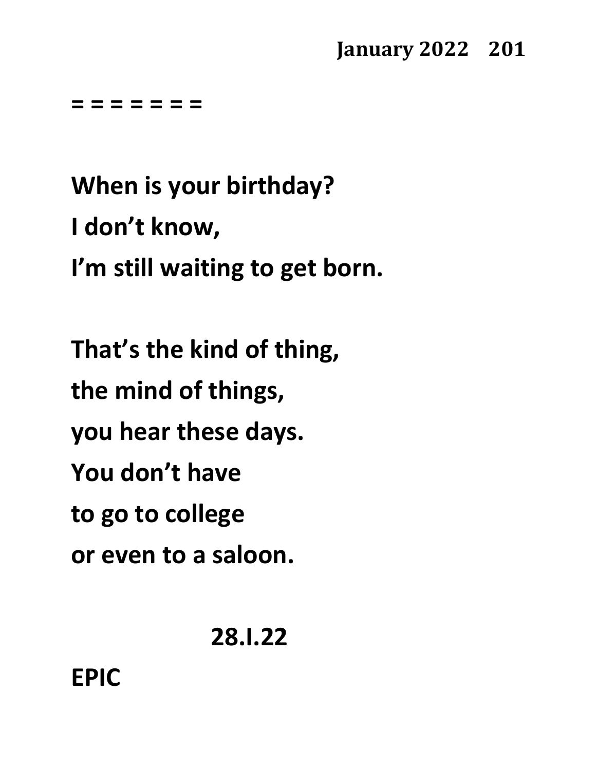**= = = = = = =**

**When is your birthday? I don't know, I'm still waiting to get born.**

**That's the kind of thing, the mind of things, you hear these days. You don't have to go to college or even to a saloon.**

**28.I.22**

# **EPIC**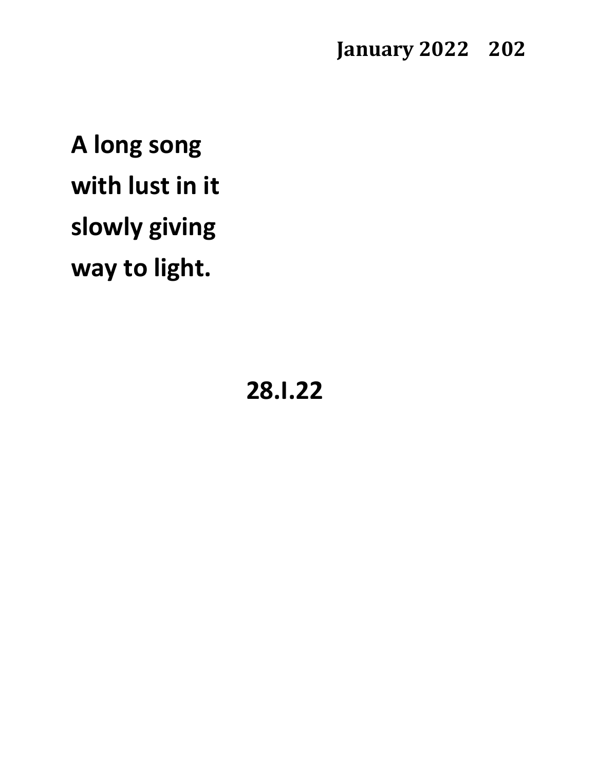**A long song with lust in it slowly giving way to light.**

**28.I.22**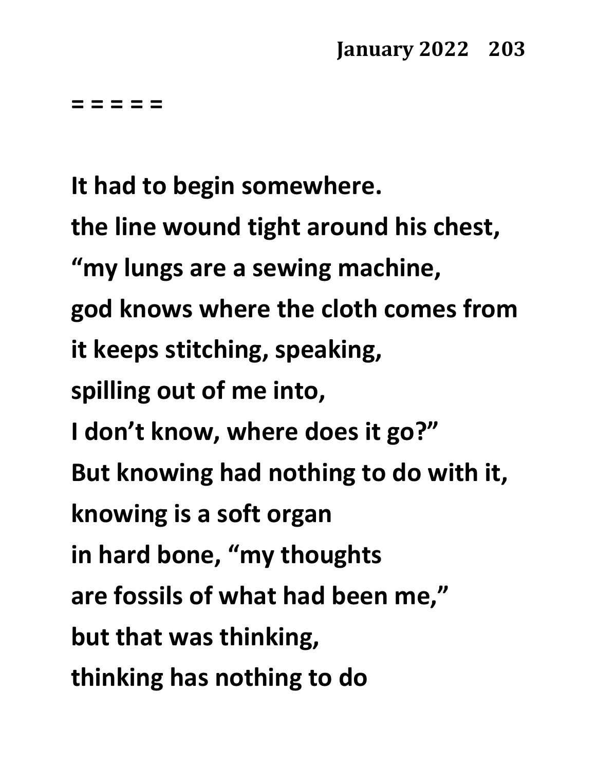**= = = = =**

**It had to begin somewhere. the line wound tight around his chest, "my lungs are a sewing machine, god knows where the cloth comes from it keeps stitching, speaking, spilling out of me into, I don't know, where does it go?" But knowing had nothing to do with it, knowing is a soft organ in hard bone, "my thoughts are fossils of what had been me," but that was thinking, thinking has nothing to do**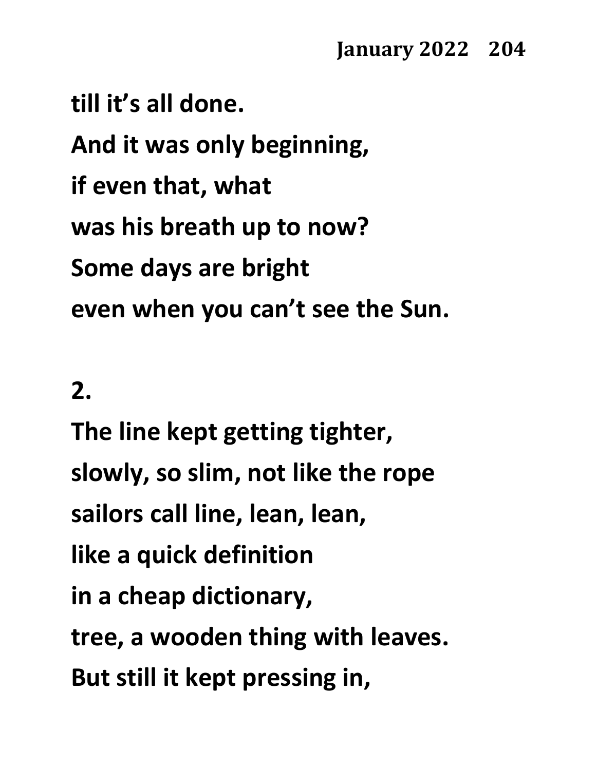**till it's all done. And it was only beginning, if even that, what was his breath up to now? Some days are bright even when you can't see the Sun.**

### **2.**

**The line kept getting tighter, slowly, so slim, not like the rope sailors call line, lean, lean, like a quick definition in a cheap dictionary, tree, a wooden thing with leaves. But still it kept pressing in,**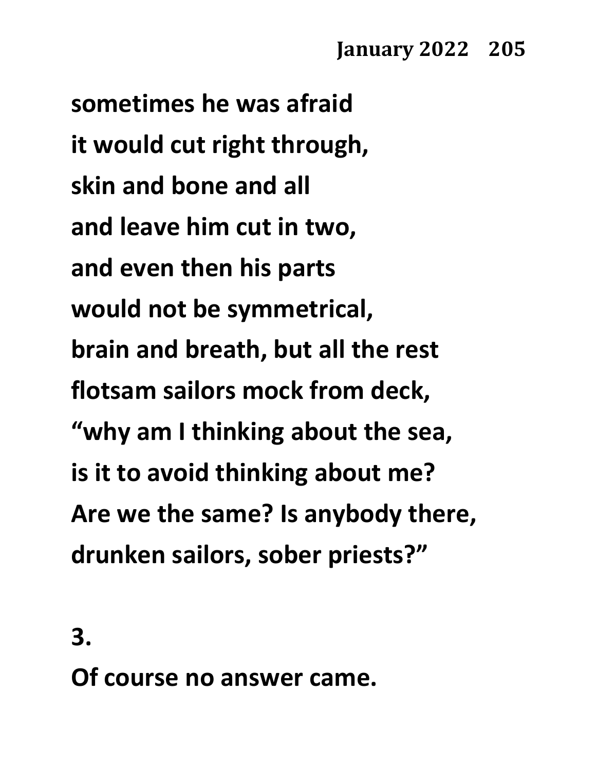**sometimes he was afraid it would cut right through, skin and bone and all and leave him cut in two, and even then his parts would not be symmetrical, brain and breath, but all the rest flotsam sailors mock from deck, "why am I thinking about the sea, is it to avoid thinking about me? Are we the same? Is anybody there, drunken sailors, sober priests?"**

**3.**

**Of course no answer came.**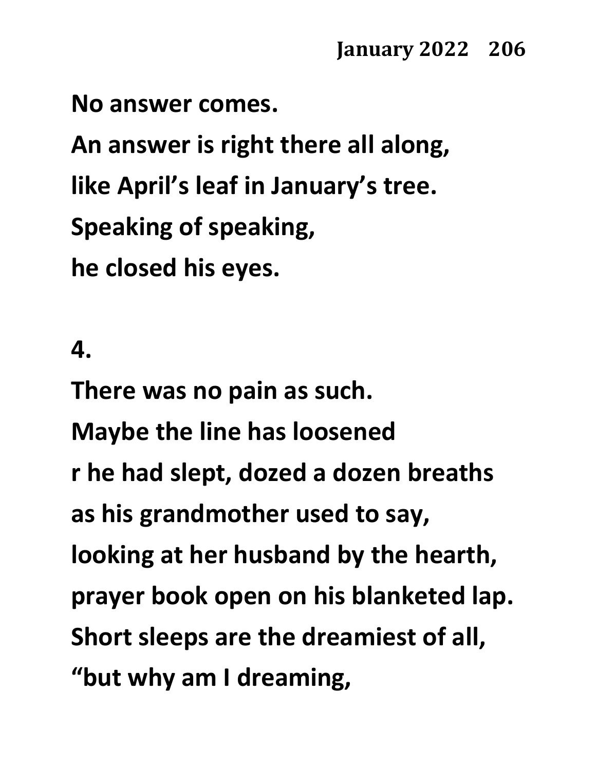**No answer comes.**

**An answer is right there all along, like April's leaf in January's tree. Speaking of speaking, he closed his eyes.**

#### **4.**

**There was no pain as such. Maybe the line has loosened r he had slept, dozed a dozen breaths as his grandmother used to say, looking at her husband by the hearth, prayer book open on his blanketed lap. Short sleeps are the dreamiest of all, "but why am I dreaming,**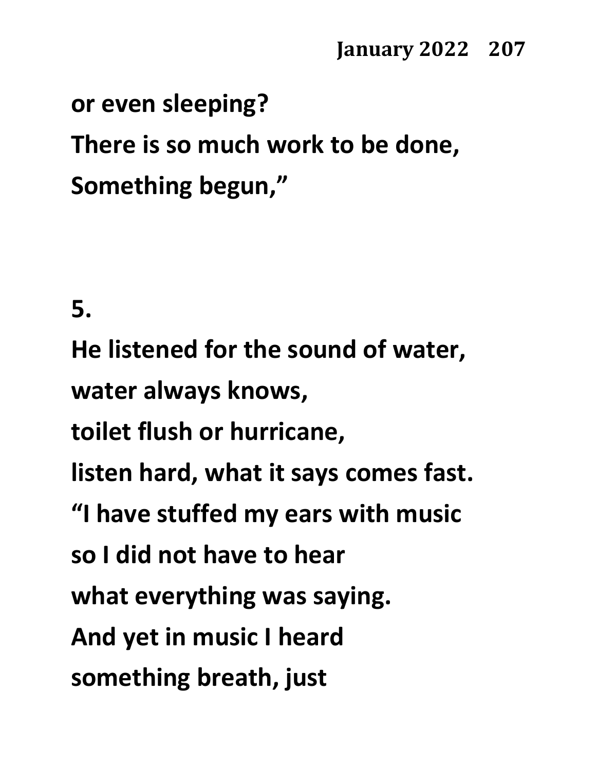# **or even sleeping? There is so much work to be done, Something begun,"**

**5.**

**He listened for the sound of water, water always knows, toilet flush or hurricane, listen hard, what it says comes fast. "I have stuffed my ears with music so I did not have to hear what everything was saying. And yet in music I heard something breath, just**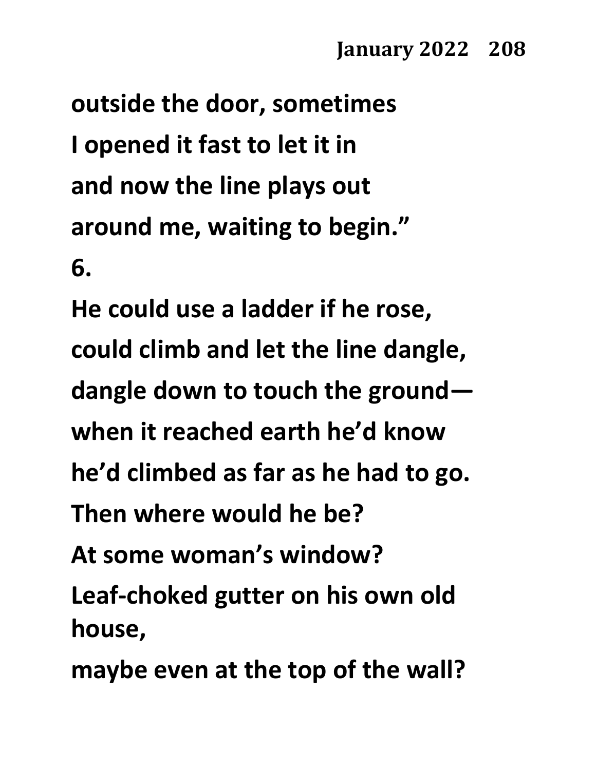**outside the door, sometimes I opened it fast to let it in and now the line plays out around me, waiting to begin." 6.**

**He could use a ladder if he rose, could climb and let the line dangle, dangle down to touch the ground when it reached earth he'd know he'd climbed as far as he had to go. Then where would he be? At some woman's window? Leaf-choked gutter on his own old house, maybe even at the top of the wall?**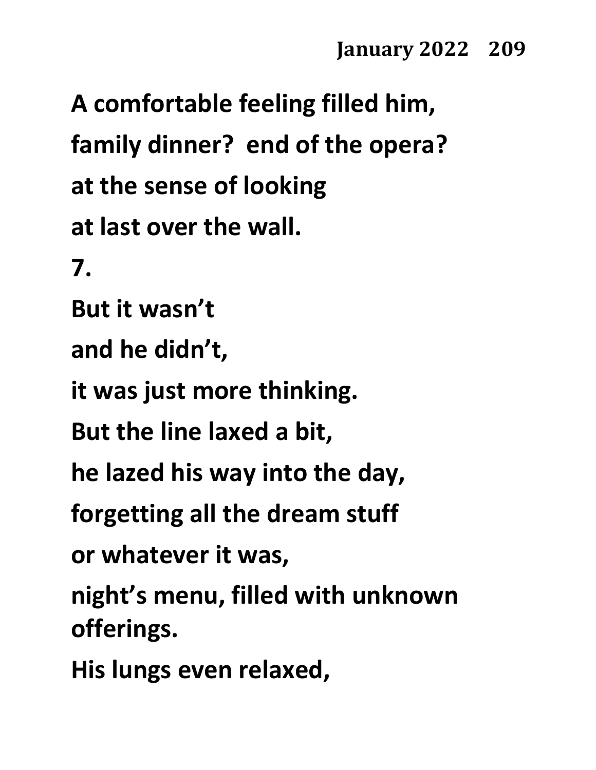**A comfortable feeling filled him, family dinner? end of the opera? at the sense of looking at last over the wall. 7. But it wasn't and he didn't, it was just more thinking. But the line laxed a bit, he lazed his way into the day, forgetting all the dream stuff or whatever it was, night's menu, filled with unknown offerings. His lungs even relaxed,**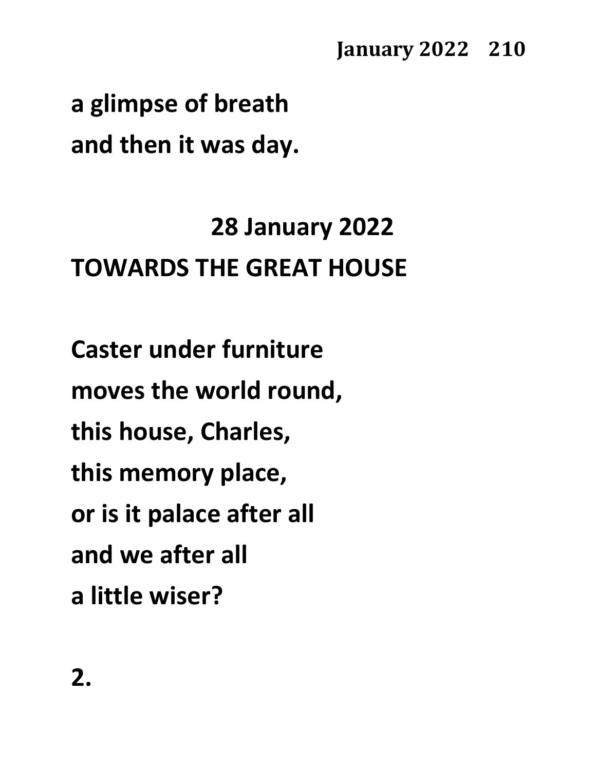**a glimpse of breath and then it was day.**

# **28 January 2022 TOWARDS THE GREAT HOUSE**

**Caster under furniture moves the world round, this house, Charles, this memory place, or is it palace after all and we after all a little wiser?**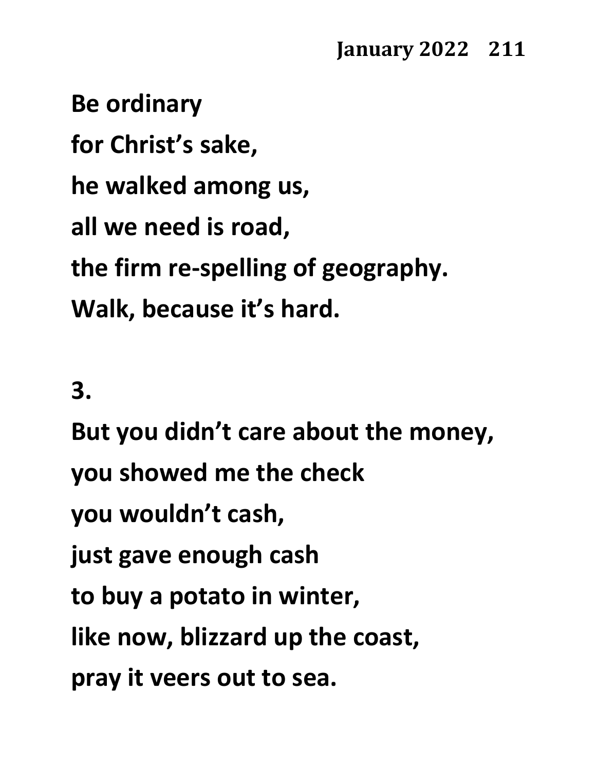**Be ordinary for Christ's sake, he walked among us, all we need is road, the firm re-spelling of geography. Walk, because it's hard.**

**3.**

**But you didn't care about the money, you showed me the check you wouldn't cash, just gave enough cash to buy a potato in winter, like now, blizzard up the coast, pray it veers out to sea.**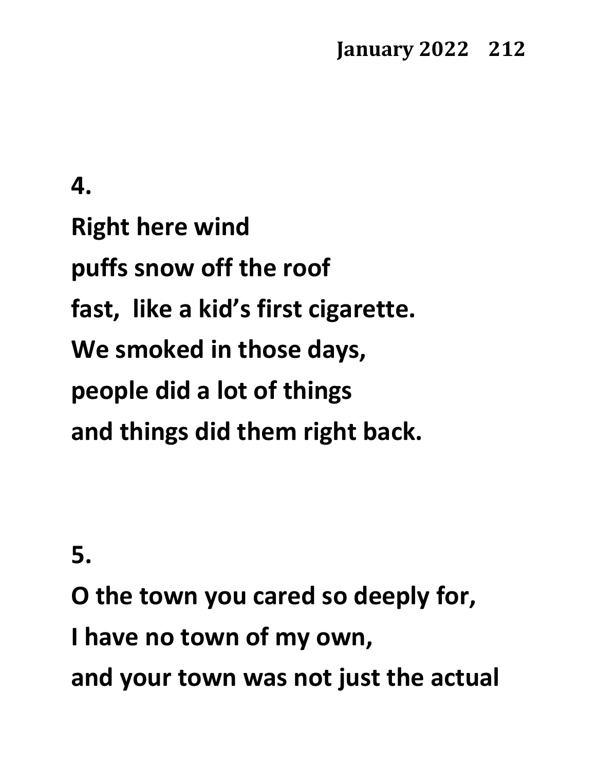**4.**

**Right here wind puffs snow off the roof fast, like a kid's first cigarette. We smoked in those days, people did a lot of things and things did them right back.**

**5.**

**O the town you cared so deeply for, I have no town of my own, and your town was not just the actual**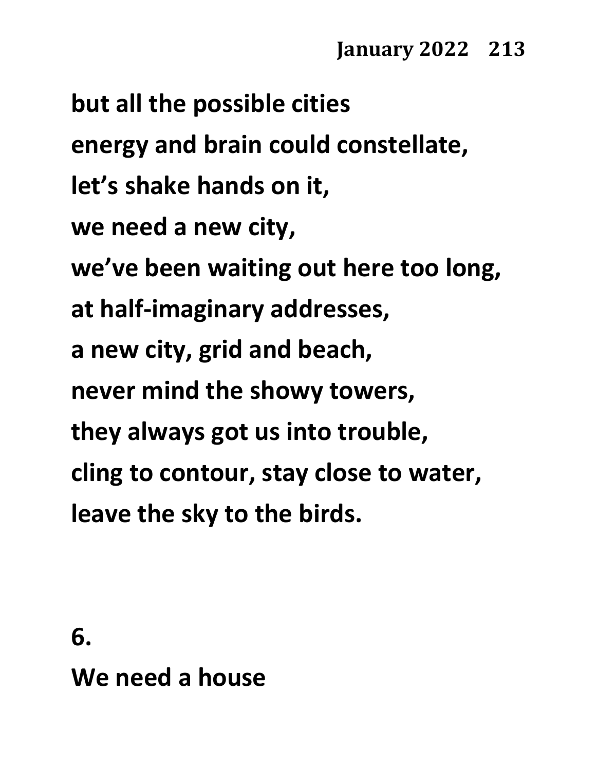**but all the possible cities energy and brain could constellate, let's shake hands on it, we need a new city, we've been waiting out here too long, at half-imaginary addresses, a new city, grid and beach, never mind the showy towers, they always got us into trouble, cling to contour, stay close to water, leave the sky to the birds.**

**6.**

**We need a house**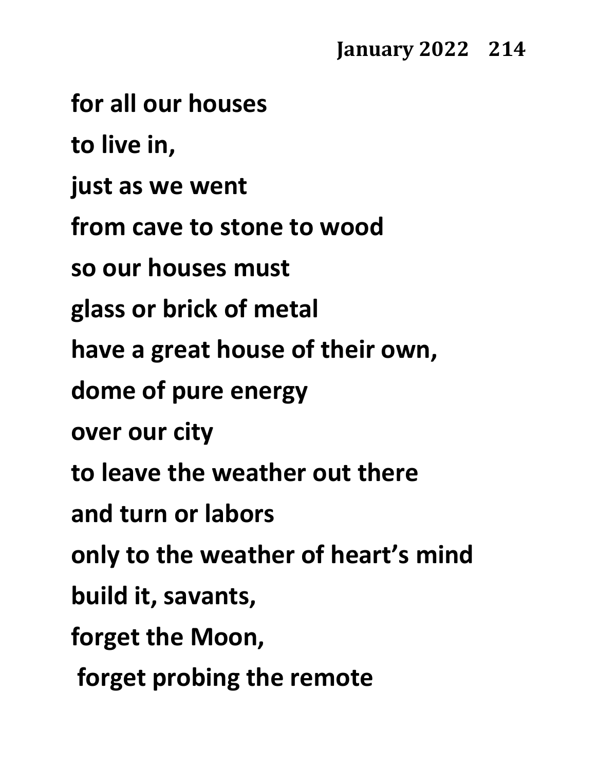**for all our houses**

**to live in,**

**just as we went**

**from cave to stone to wood**

**so our houses must**

**glass or brick of metal**

**have a great house of their own,**

**dome of pure energy**

**over our city**

**to leave the weather out there**

**and turn or labors**

**only to the weather of heart's mind**

**build it, savants,**

**forget the Moon,**

**forget probing the remote**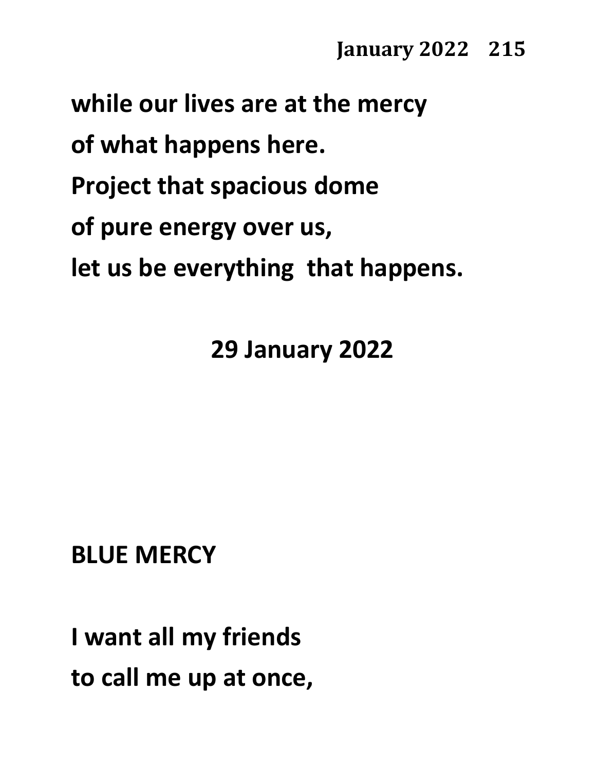#### **while our lives are at the mercy**

**of what happens here.**

- **Project that spacious dome**
- **of pure energy over us,**

**let us be everything that happens.**

### **29 January 2022**

# **BLUE MERCY**

**I want all my friends to call me up at once,**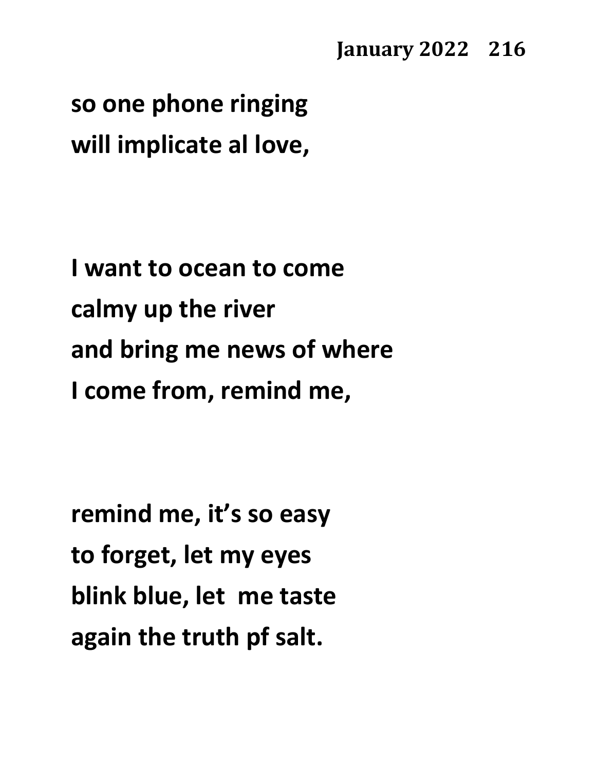## **so one phone ringing will implicate al love,**

**I want to ocean to come calmy up the river and bring me news of where I come from, remind me,**

**remind me, it's so easy to forget, let my eyes blink blue, let me taste again the truth pf salt.**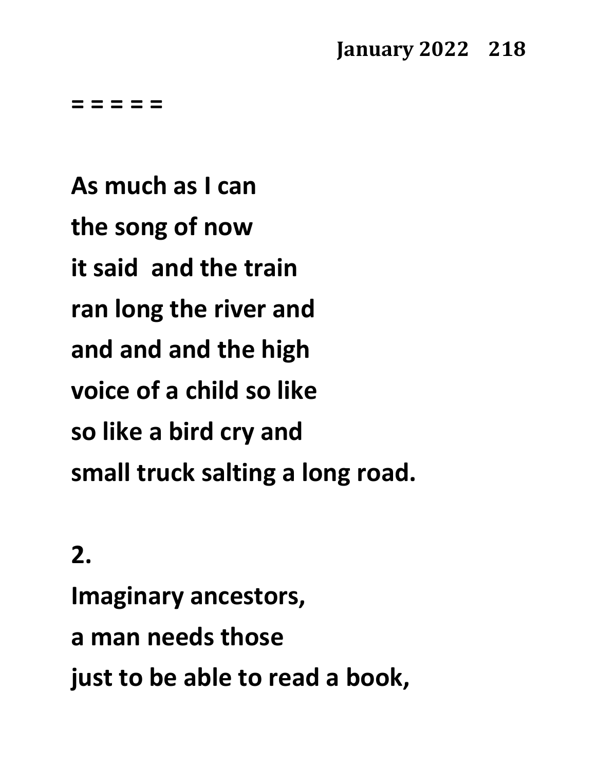**= = = = =**

**As much as I can the song of now it said and the train ran long the river and and and and the high voice of a child so like so like a bird cry and small truck salting a long road.**

### **2.**

**Imaginary ancestors, a man needs those just to be able to read a book,**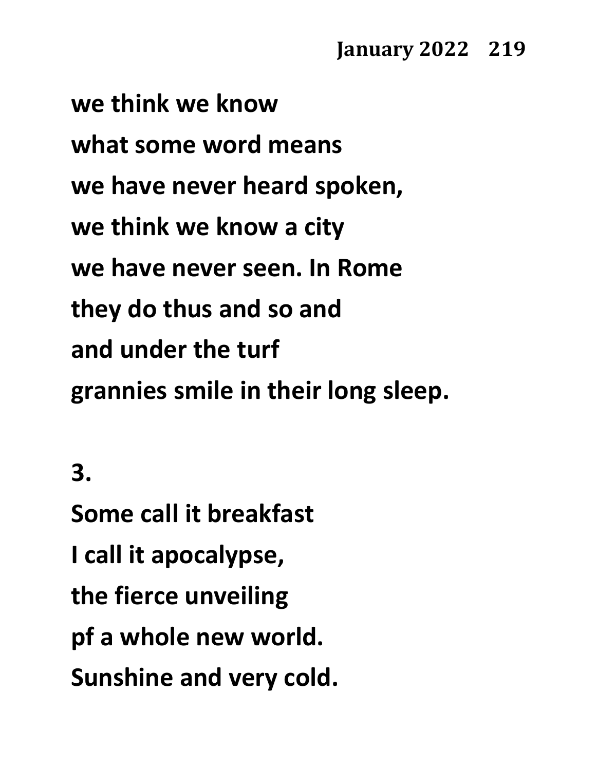**we think we know what some word means we have never heard spoken, we think we know a city we have never seen. In Rome they do thus and so and and under the turf grannies smile in their long sleep.**

**3.**

**Some call it breakfast I call it apocalypse, the fierce unveiling pf a whole new world. Sunshine and very cold.**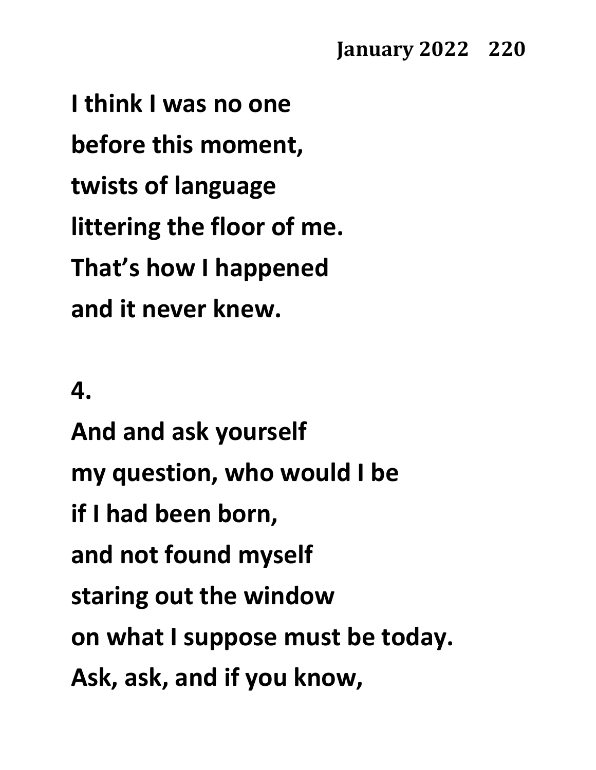**I think I was no one before this moment, twists of language littering the floor of me. That's how I happened and it never knew.**

## **4.**

**And and ask yourself my question, who would I be if I had been born, and not found myself staring out the window on what I suppose must be today. Ask, ask, and if you know,**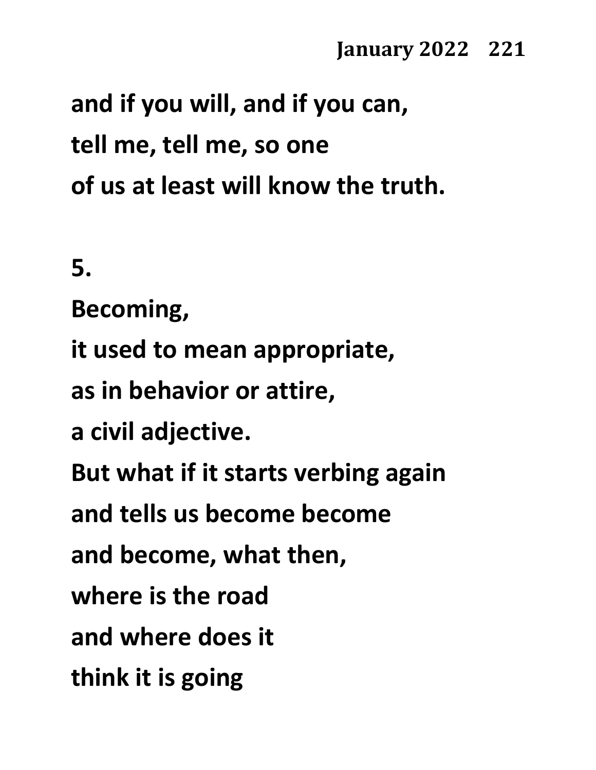**and if you will, and if you can, tell me, tell me, so one of us at least will know the truth.**

**5.**

**Becoming,** 

**it used to mean appropriate,**

**as in behavior or attire,**

**a civil adjective.**

**But what if it starts verbing again**

**and tells us become become**

**and become, what then,**

**where is the road**

**and where does it** 

**think it is going**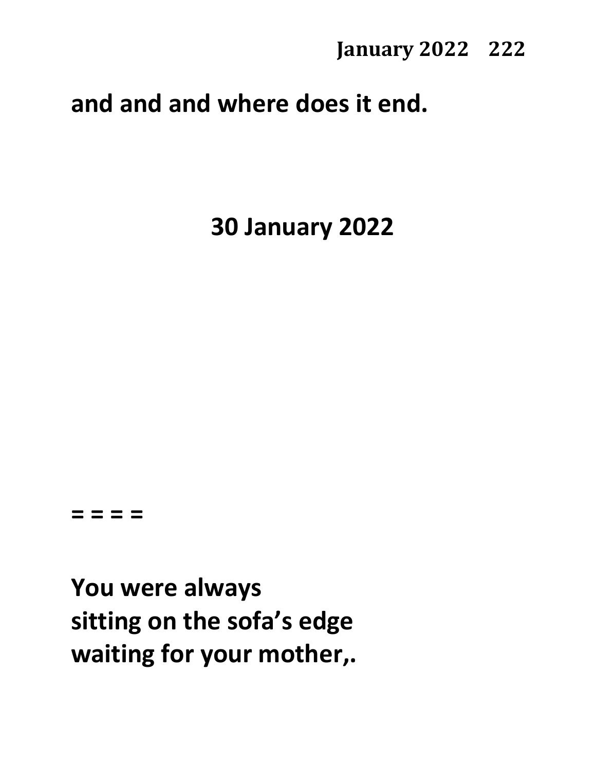## **and and and where does it end.**

**30 January 2022**

#### **= = = =**

**You were always sitting on the sofa's edge waiting for your mother,.**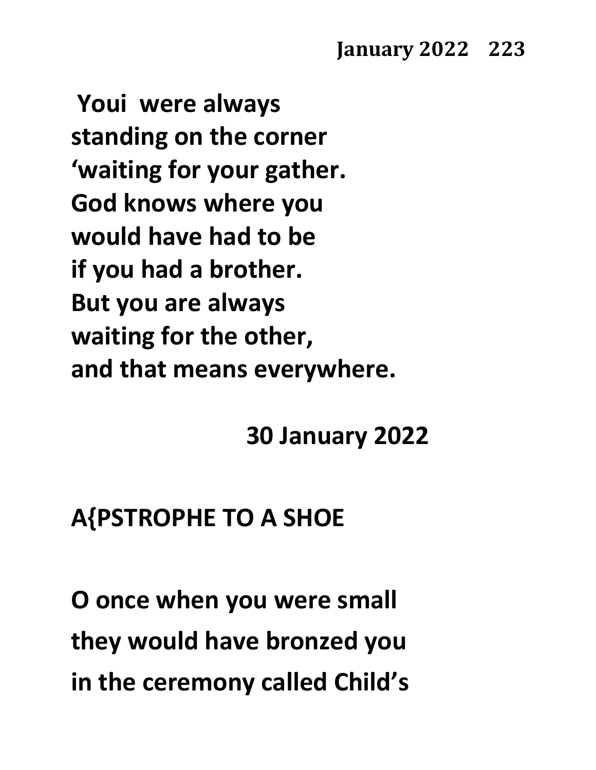**Youi were always standing on the corner 'waiting for your gather. God knows where you would have had to be if you had a brother. But you are always waiting for the other, and that means everywhere.**

**30 January 2022**

## **A{PSTROPHE TO A SHOE**

**O once when you were small they would have bronzed you in the ceremony called Child's**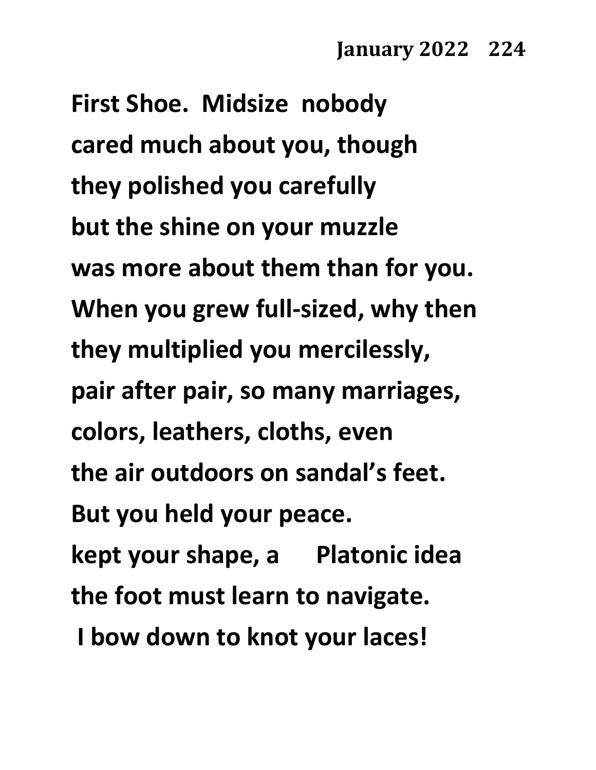**First Shoe. Midsize nobody cared much about you, though they polished you carefully but the shine on your muzzle was more about them than for you. When you grew full-sized, why then they multiplied you mercilessly, pair after pair, so many marriages, colors, leathers, cloths, even the air outdoors on sandal's feet. But you held your peace. kept your shape, a Platonic idea the foot must learn to navigate. I bow down to knot your laces!**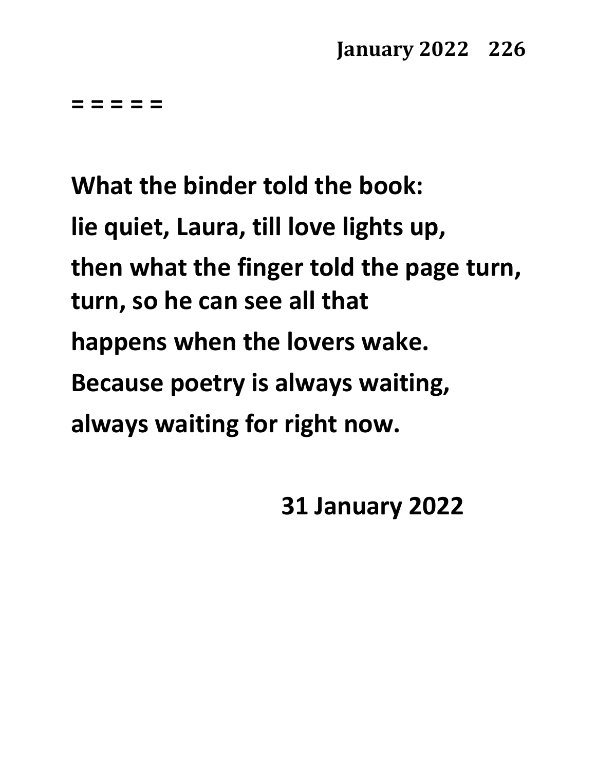**= = = = =**

**What the binder told the book: lie quiet, Laura, till love lights up, then what the finger told the page turn, turn, so he can see all that happens when the lovers wake. Because poetry is always waiting, always waiting for right now.**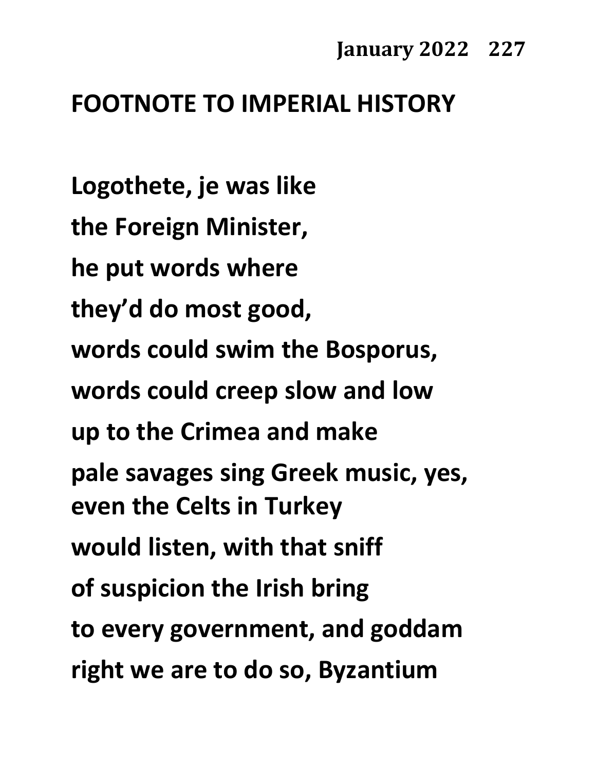## **FOOTNOTE TO IMPERIAL HISTORY**

**Logothete, je was like the Foreign Minister, he put words where they'd do most good, words could swim the Bosporus, words could creep slow and low up to the Crimea and make pale savages sing Greek music, yes, even the Celts in Turkey would listen, with that sniff of suspicion the Irish bring to every government, and goddam right we are to do so, Byzantium**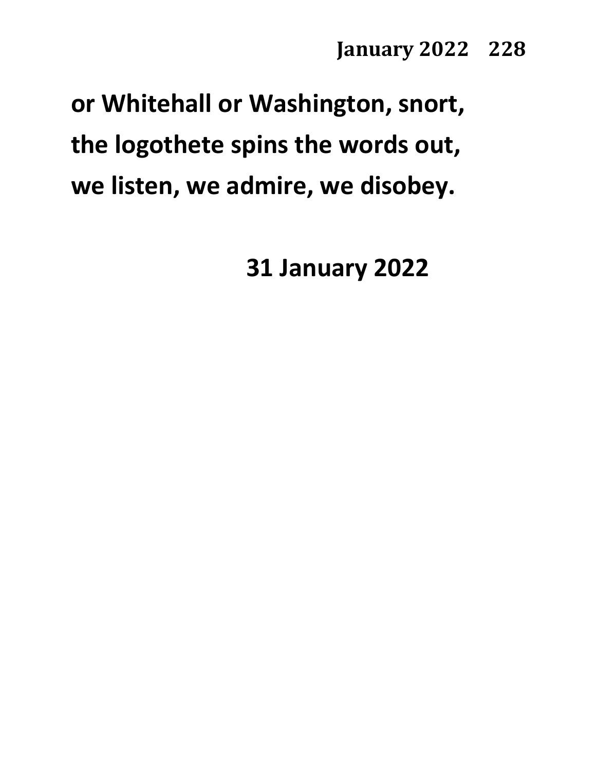# **or Whitehall or Washington, snort, the logothete spins the words out, we listen, we admire, we disobey.**